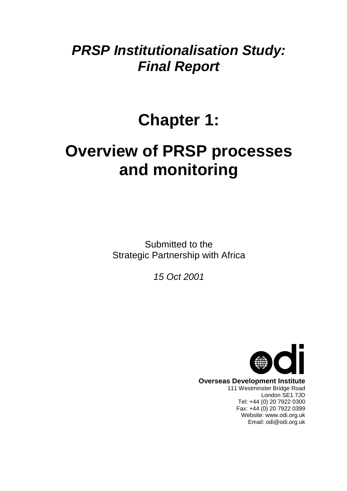## *PRSP Institutionalisation Study: Final Report*

# **Chapter 1:**

# **Overview of PRSP processes and monitoring**

Submitted to the Strategic Partnership with Africa

*15 Oct 2001*



**Overseas Development Institute** 111 Westminster Bridge Road London SE1 7JD Tel: +44 (0) 20 7922 0300 Fax: +44 (0) 20 7922 0399 Website: www.odi.org.uk Email: odi@odi.org.uk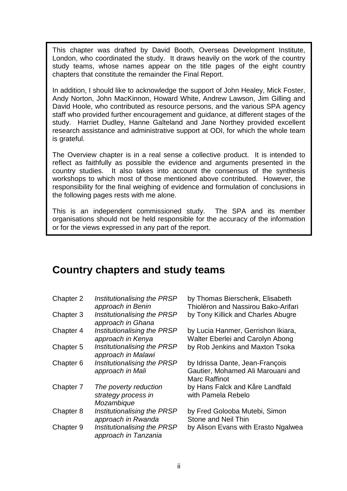This chapter was drafted by David Booth, Overseas Development Institute, London, who coordinated the study. It draws heavily on the work of the country study teams, whose names appear on the title pages of the eight country chapters that constitute the remainder the Final Report.

In addition, I should like to acknowledge the support of John Healey, Mick Foster, Andy Norton, John MacKinnon, Howard White, Andrew Lawson, Jim Gilling and David Hoole, who contributed as resource persons, and the various SPA agency staff who provided further encouragement and guidance, at different stages of the study. Harriet Dudley, Hanne Galteland and Jane Northey provided excellent research assistance and administrative support at ODI, for which the whole team is grateful.

The Overview chapter is in a real sense a collective product. It is intended to reflect as faithfully as possible the evidence and arguments presented in the country studies. It also takes into account the consensus of the synthesis workshops to which most of those mentioned above contributed. However, the responsibility for the final weighing of evidence and formulation of conclusions in the following pages rests with me alone.

This is an independent commissioned study. The SPA and its member organisations should not be held responsible for the accuracy of the information or for the views expressed in any part of the report.

### **Country chapters and study teams**

| Chapter 2 | Institutionalising the PRSP<br>approach in Benin           | by Thomas Bierschenk, Elisabeth<br>Thioléron and Nassirou Bako-Arifari                       |
|-----------|------------------------------------------------------------|----------------------------------------------------------------------------------------------|
| Chapter 3 | Institutionalising the PRSP<br>approach in Ghana           | by Tony Killick and Charles Abugre                                                           |
| Chapter 4 | Institutionalising the PRSP<br>approach in Kenya           | by Lucia Hanmer, Gerrishon Ikiara,<br>Walter Eberlei and Carolyn Abong                       |
| Chapter 5 | Institutionalising the PRSP<br>approach in Malawi          | by Rob Jenkins and Maxton Tsoka                                                              |
| Chapter 6 | Institutionalising the PRSP<br>approach in Mali            | by Idrissa Dante, Jean-François<br>Gautier, Mohamed Ali Marouani and<br><b>Marc Raffinot</b> |
| Chapter 7 | The poverty reduction<br>strategy process in<br>Mozambique | by Hans Falck and Kåre Landfald<br>with Pamela Rebelo                                        |
| Chapter 8 | Institutionalising the PRSP<br>approach in Rwanda          | by Fred Golooba Mutebi, Simon<br><b>Stone and Neil Thin</b>                                  |
| Chapter 9 | Institutionalising the PRSP<br>approach in Tanzania        | by Alison Evans with Erasto Ngalwea                                                          |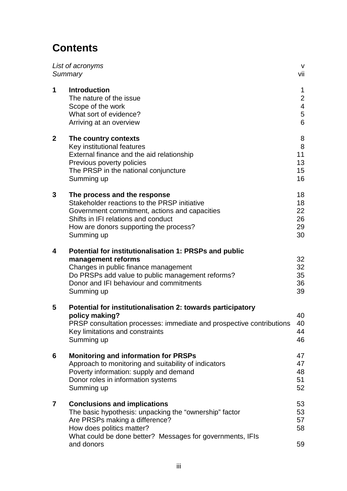### **Contents**

| List of acronyms<br>Summary |                                                                                                                                                                                                                                         | $\vee$<br>vii                                                                   |
|-----------------------------|-----------------------------------------------------------------------------------------------------------------------------------------------------------------------------------------------------------------------------------------|---------------------------------------------------------------------------------|
| 1                           | <b>Introduction</b><br>The nature of the issue<br>Scope of the work<br>What sort of evidence?<br>Arriving at an overview                                                                                                                | $\mathbf{1}$<br>$\mathbf{2}$<br>$\overline{\mathbf{4}}$<br>5<br>$6\phantom{1}6$ |
| $\boldsymbol{2}$            | The country contexts<br>Key institutional features<br>External finance and the aid relationship<br>Previous poverty policies<br>The PRSP in the national conjuncture<br>Summing up                                                      | 8<br>8<br>11<br>13<br>15<br>16                                                  |
| 3                           | The process and the response<br>Stakeholder reactions to the PRSP initiative<br>Government commitment, actions and capacities<br>Shifts in IFI relations and conduct<br>How are donors supporting the process?<br>Summing up            | 18<br>18<br>22<br>26<br>29<br>30                                                |
| 4                           | Potential for institutionalisation 1: PRSPs and public<br>management reforms<br>Changes in public finance management<br>Do PRSPs add value to public management reforms?<br>Donor and IFI behaviour and commitments<br>Summing up       | 32<br>32<br>35<br>36<br>39                                                      |
| 5                           | Potential for institutionalisation 2: towards participatory<br>policy making?<br>PRSP consultation processes: immediate and prospective contributions<br>Key limitations and constraints<br>Summing up                                  | 40<br>40<br>44<br>46                                                            |
| 6                           | <b>Monitoring and information for PRSPs</b><br>Approach to monitoring and suitability of indicators<br>Poverty information: supply and demand<br>Donor roles in information systems<br>Summing up                                       | 47<br>47<br>48<br>51<br>52                                                      |
| $\overline{7}$              | <b>Conclusions and implications</b><br>The basic hypothesis: unpacking the "ownership" factor<br>Are PRSPs making a difference?<br>How does politics matter?<br>What could be done better? Messages for governments, IFIs<br>and donors | 53<br>53<br>57<br>58<br>59                                                      |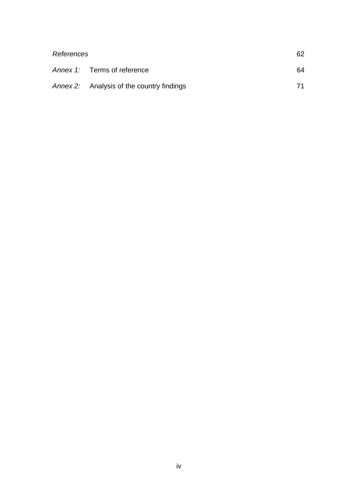| <b>References</b> |                                                  | 62 |
|-------------------|--------------------------------------------------|----|
|                   | Annex 1: Terms of reference                      | 64 |
|                   | <i>Annex 2:</i> Analysis of the country findings | 71 |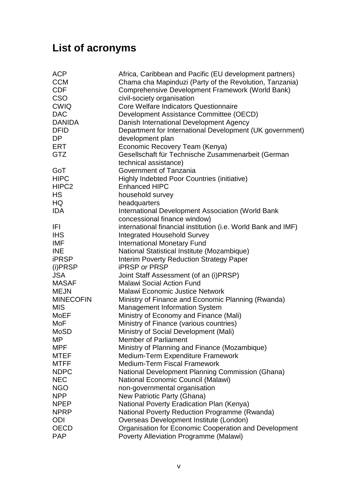### **List of acronyms**

| <b>ACP</b>        | Africa, Caribbean and Pacific (EU development partners)                                    |
|-------------------|--------------------------------------------------------------------------------------------|
| <b>CCM</b>        | Chama cha Mapinduzi (Party of the Revolution, Tanzania)                                    |
| <b>CDF</b>        | <b>Comprehensive Development Framework (World Bank)</b>                                    |
| <b>CSO</b>        | civil-society organisation                                                                 |
| <b>CWIQ</b>       | Core Welfare Indicators Questionnaire                                                      |
| <b>DAC</b>        | Development Assistance Committee (OECD)                                                    |
| <b>DANIDA</b>     | Danish International Development Agency                                                    |
| <b>DFID</b>       | Department for International Development (UK government)                                   |
| DP                | development plan                                                                           |
| ERT               | Economic Recovery Team (Kenya)                                                             |
| <b>GTZ</b>        | Gesellschaft für Technische Zusammenarbeit (German                                         |
|                   | technical assistance)                                                                      |
| GoT               | Government of Tanzania                                                                     |
| <b>HIPC</b>       | Highly Indebted Poor Countries (initiative)                                                |
| HIPC <sub>2</sub> | <b>Enhanced HIPC</b>                                                                       |
| HS                | household survey                                                                           |
| HQ                | headquarters                                                                               |
| <b>IDA</b>        | International Development Association (World Bank                                          |
|                   | concessional finance window)                                                               |
| IFI               | international financial institution (i.e. World Bank and IMF)                              |
| <b>IHS</b>        | <b>Integrated Household Survey</b>                                                         |
| <b>IMF</b>        | <b>International Monetary Fund</b>                                                         |
| <b>INE</b>        | National Statistical Institute (Mozambique)                                                |
| <b>iPRSP</b>      |                                                                                            |
| (i)PRSP           | <b>Interim Poverty Reduction Strategy Paper</b><br><b>iPRSP</b> or PRSP                    |
| <b>JSA</b>        | Joint Staff Assessment (of an (i)PRSP)                                                     |
| <b>MASAF</b>      | <b>Malawi Social Action Fund</b>                                                           |
| <b>MEJN</b>       | <b>Malawi Economic Justice Network</b>                                                     |
| <b>MINECOFIN</b>  |                                                                                            |
| <b>MIS</b>        | Ministry of Finance and Economic Planning (Rwanda)<br><b>Management Information System</b> |
| <b>MoEF</b>       |                                                                                            |
|                   | Ministry of Economy and Finance (Mali)                                                     |
| MoF               | Ministry of Finance (various countries)                                                    |
| <b>MoSD</b>       | Ministry of Social Development (Mali)<br><b>Member of Parliament</b>                       |
| MP                |                                                                                            |
| <b>MPF</b>        | Ministry of Planning and Finance (Mozambique)                                              |
| <b>MTEF</b>       | Medium-Term Expenditure Framework                                                          |
| <b>MTFF</b>       | <b>Medium-Term Fiscal Framework</b>                                                        |
| <b>NDPC</b>       | National Development Planning Commission (Ghana)                                           |
| <b>NEC</b>        | National Economic Council (Malawi)                                                         |
| <b>NGO</b>        | non-governmental organisation                                                              |
| <b>NPP</b>        | New Patriotic Party (Ghana)                                                                |
| <b>NPEP</b>       | National Poverty Eradication Plan (Kenya)                                                  |
| <b>NPRP</b>       | National Poverty Reduction Programme (Rwanda)                                              |
| ODI               | Overseas Development Institute (London)                                                    |
| <b>OECD</b>       | Organisation for Economic Cooperation and Development                                      |
| <b>PAP</b>        | Poverty Alleviation Programme (Malawi)                                                     |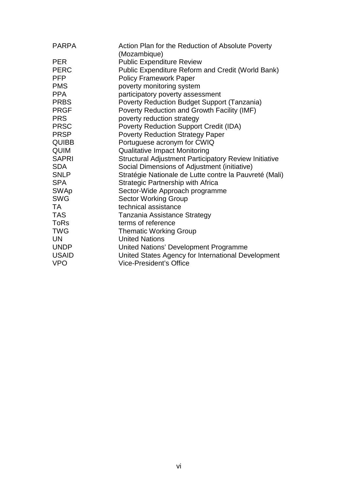| Action Plan for the Reduction of Absolute Poverty<br>(Mozambique) |
|-------------------------------------------------------------------|
| <b>Public Expenditure Review</b>                                  |
| <b>Public Expenditure Reform and Credit (World Bank)</b>          |
| <b>Policy Framework Paper</b>                                     |
| poverty monitoring system                                         |
| participatory poverty assessment                                  |
| Poverty Reduction Budget Support (Tanzania)                       |
| Poverty Reduction and Growth Facility (IMF)                       |
| poverty reduction strategy                                        |
| <b>Poverty Reduction Support Credit (IDA)</b>                     |
| <b>Poverty Reduction Strategy Paper</b>                           |
| Portuguese acronym for CWIQ                                       |
| <b>Qualitative Impact Monitoring</b>                              |
| <b>Structural Adjustment Participatory Review Initiative</b>      |
| Social Dimensions of Adjustment (initiative)                      |
| Stratégie Nationale de Lutte contre la Pauvreté (Mali)            |
| <b>Strategic Partnership with Africa</b>                          |
| Sector-Wide Approach programme                                    |
| <b>Sector Working Group</b>                                       |
| technical assistance                                              |
| Tanzania Assistance Strategy                                      |
| terms of reference                                                |
| <b>Thematic Working Group</b>                                     |
| <b>United Nations</b>                                             |
| United Nations' Development Programme                             |
| United States Agency for International Development                |
| <b>Vice-President's Office</b>                                    |
|                                                                   |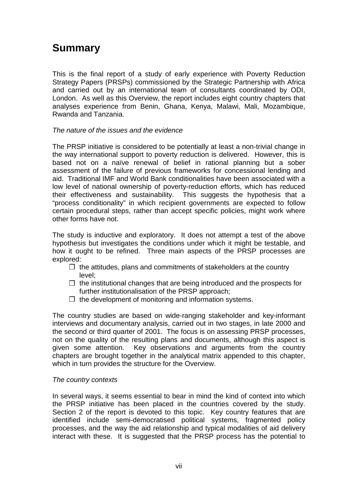### **Summary**

This is the final report of a study of early experience with Poverty Reduction Strategy Papers (PRSPs) commissioned by the Strategic Partnership with Africa and carried out by an international team of consultants coordinated by ODI, London. As well as this Overview, the report includes eight country chapters that analyses experience from Benin, Ghana, Kenya, Malawi, Mali, Mozambique, Rwanda and Tanzania.

#### *The nature of the issues and the evidence*

The PRSP initiative is considered to be potentially at least a non-trivial change in the way international support to poverty reduction is delivered. However, this is based not on a naïve renewal of belief in rational planning but a sober assessment of the failure of previous frameworks for concessional lending and aid. Traditional IMF and World Bank conditionalities have been associated with a low level of national ownership of poverty-reduction efforts, which has reduced their effectiveness and sustainability. This suggests the hypothesis that a "process conditionality" in which recipient governments are expected to follow certain procedural steps, rather than accept specific policies, might work where other forms have not.

The study is inductive and exploratory. It does not attempt a test of the above hypothesis but investigates the conditions under which it might be testable, and how it ought to be refined. Three main aspects of the PRSP processes are explored:

- $\Box$  the attitudes, plans and commitments of stakeholders at the country level;
- $\Box$  the institutional changes that are being introduced and the prospects for further institutionalisation of the PRSP approach;
- $\Box$  the development of monitoring and information systems.

The country studies are based on wide-ranging stakeholder and key-informant interviews and documentary analysis, carried out in two stages, in late 2000 and the second or third quarter of 2001. The focus is on assessing PRSP processes, not on the quality of the resulting plans and documents, although this aspect is given some attention. Key observations and arguments from the country chapters are brought together in the analytical matrix appended to this chapter, which in turn provides the structure for the Overview.

#### *The country contexts*

In several ways, it seems essential to bear in mind the kind of context into which the PRSP initiative has been placed in the countries covered by the study. Section 2 of the report is devoted to this topic. Key country features that are identified include semi-democratised political systems, fragmented policy processes, and the way the aid relationship and typical modalities of aid delivery interact with these. It is suggested that the PRSP process has the potential to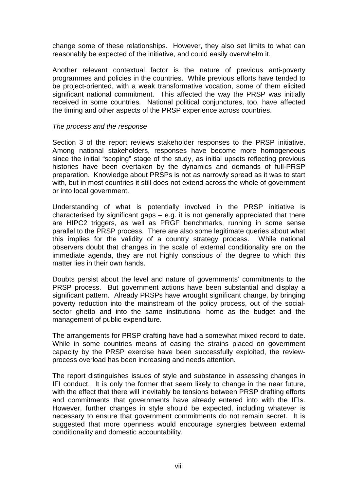change some of these relationships. However, they also set limits to what can reasonably be expected of the initiative, and could easily overwhelm it.

Another relevant contextual factor is the nature of previous anti-poverty programmes and policies in the countries. While previous efforts have tended to be project-oriented, with a weak transformative vocation, some of them elicited significant national commitment. This affected the way the PRSP was initially received in some countries. National political conjunctures, too, have affected the timing and other aspects of the PRSP experience across countries.

#### *The process and the response*

Section 3 of the report reviews stakeholder responses to the PRSP initiative. Among national stakeholders, responses have become more homogeneous since the initial "scoping" stage of the study, as initial upsets reflecting previous histories have been overtaken by the dynamics and demands of full-PRSP preparation. Knowledge about PRSPs is not as narrowly spread as it was to start with, but in most countries it still does not extend across the whole of government or into local government.

Understanding of what is potentially involved in the PRSP initiative is characterised by significant gaps – e.g. it is not generally appreciated that there are HIPC2 triggers, as well as PRGF benchmarks, running in some sense parallel to the PRSP process. There are also some legitimate queries about what this implies for the validity of a country strategy process. While national observers doubt that changes in the scale of external conditionality are on the immediate agenda, they are not highly conscious of the degree to which this matter lies in their own hands.

Doubts persist about the level and nature of governments' commitments to the PRSP process. But government actions have been substantial and display a significant pattern. Already PRSPs have wrought significant change, by bringing poverty reduction into the mainstream of the policy process, out of the socialsector ghetto and into the same institutional home as the budget and the management of public expenditure.

The arrangements for PRSP drafting have had a somewhat mixed record to date. While in some countries means of easing the strains placed on government capacity by the PRSP exercise have been successfully exploited, the reviewprocess overload has been increasing and needs attention.

The report distinguishes issues of style and substance in assessing changes in IFI conduct. It is only the former that seem likely to change in the near future, with the effect that there will inevitably be tensions between PRSP drafting efforts and commitments that governments have already entered into with the IFIs. However, further changes in style should be expected, including whatever is necessary to ensure that government commitments do not remain secret. It is suggested that more openness would encourage synergies between external conditionality and domestic accountability.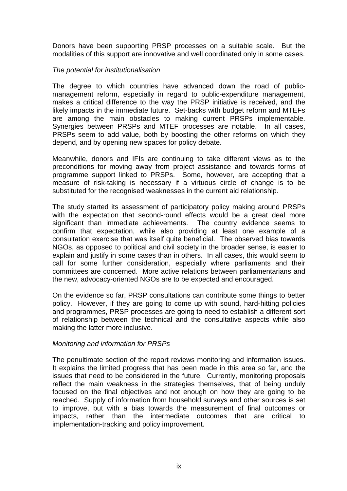Donors have been supporting PRSP processes on a suitable scale. But the modalities of this support are innovative and well coordinated only in some cases.

#### *The potential for institutionalisation*

The degree to which countries have advanced down the road of publicmanagement reform, especially in regard to public-expenditure management, makes a critical difference to the way the PRSP initiative is received, and the likely impacts in the immediate future. Set-backs with budget reform and MTEFs are among the main obstacles to making current PRSPs implementable. Synergies between PRSPs and MTEF processes are notable. In all cases, PRSPs seem to add value, both by boosting the other reforms on which they depend, and by opening new spaces for policy debate.

Meanwhile, donors and IFIs are continuing to take different views as to the preconditions for moving away from project assistance and towards forms of programme support linked to PRSPs. Some, however, are accepting that a measure of risk-taking is necessary if a virtuous circle of change is to be substituted for the recognised weaknesses in the current aid relationship.

The study started its assessment of participatory policy making around PRSPs with the expectation that second-round effects would be a great deal more significant than immediate achievements. The country evidence seems to confirm that expectation, while also providing at least one example of a consultation exercise that was itself quite beneficial. The observed bias towards NGOs, as opposed to political and civil society in the broader sense, is easier to explain and justify in some cases than in others. In all cases, this would seem to call for some further consideration, especially where parliaments and their committees are concerned. More active relations between parliamentarians and the new, advocacy-oriented NGOs are to be expected and encouraged.

On the evidence so far, PRSP consultations can contribute some things to better policy. However, if they are going to come up with sound, hard-hitting policies and programmes, PRSP processes are going to need to establish a different sort of relationship between the technical and the consultative aspects while also making the latter more inclusive.

#### *Monitoring and information for PRSPs*

The penultimate section of the report reviews monitoring and information issues. It explains the limited progress that has been made in this area so far, and the issues that need to be considered in the future. Currently, monitoring proposals reflect the main weakness in the strategies themselves, that of being unduly focused on the final objectives and not enough on how they are going to be reached. Supply of information from household surveys and other sources is set to improve, but with a bias towards the measurement of final outcomes or impacts, rather than the intermediate outcomes that are critical to implementation-tracking and policy improvement.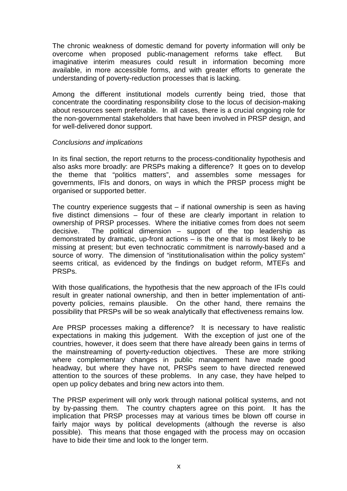The chronic weakness of domestic demand for poverty information will only be overcome when proposed public-management reforms take effect. But imaginative interim measures could result in information becoming more available, in more accessible forms, and with greater efforts to generate the understanding of poverty-reduction processes that is lacking.

Among the different institutional models currently being tried, those that concentrate the coordinating responsibility close to the locus of decision-making about resources seem preferable. In all cases, there is a crucial ongoing role for the non-governmental stakeholders that have been involved in PRSP design, and for well-delivered donor support.

#### *Conclusions and implications*

In its final section, the report returns to the process-conditionality hypothesis and also asks more broadly: are PRSPs making a difference? It goes on to develop the theme that "politics matters", and assembles some messages for governments, IFIs and donors, on ways in which the PRSP process might be organised or supported better.

The country experience suggests that  $-$  if national ownership is seen as having five distinct dimensions – four of these are clearly important in relation to ownership of PRSP processes. Where the initiative comes from does not seem decisive. The political dimension – support of the top leadership as demonstrated by dramatic, up-front actions – is the one that is most likely to be missing at present; but even technocratic commitment is narrowly-based and a source of worry. The dimension of "institutionalisation within the policy system" seems critical, as evidenced by the findings on budget reform, MTEFs and PRSPs.

With those qualifications, the hypothesis that the new approach of the IFIs could result in greater national ownership, and then in better implementation of antipoverty policies, remains plausible. On the other hand, there remains the possibility that PRSPs will be so weak analytically that effectiveness remains low.

Are PRSP processes making a difference? It is necessary to have realistic expectations in making this judgement. With the exception of just one of the countries, however, it does seem that there have already been gains in terms of the mainstreaming of poverty-reduction objectives. These are more striking where complementary changes in public management have made good headway, but where they have not, PRSPs seem to have directed renewed attention to the sources of these problems. In any case, they have helped to open up policy debates and bring new actors into them.

The PRSP experiment will only work through national political systems, and not by by-passing them. The country chapters agree on this point. It has the implication that PRSP processes may at various times be blown off course in fairly major ways by political developments (although the reverse is also possible). This means that those engaged with the process may on occasion have to bide their time and look to the longer term.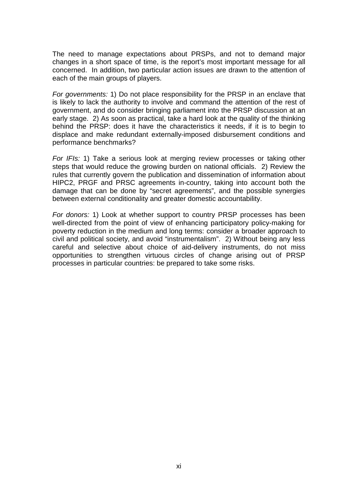The need to manage expectations about PRSPs, and not to demand major changes in a short space of time, is the report's most important message for all concerned. In addition, two particular action issues are drawn to the attention of each of the main groups of players.

*For governments:* 1) Do not place responsibility for the PRSP in an enclave that is likely to lack the authority to involve and command the attention of the rest of government, and do consider bringing parliament into the PRSP discussion at an early stage. 2) As soon as practical, take a hard look at the quality of the thinking behind the PRSP: does it have the characteristics it needs, if it is to begin to displace and make redundant externally-imposed disbursement conditions and performance benchmarks?

*For IFIs:* 1) Take a serious look at merging review processes or taking other steps that would reduce the growing burden on national officials. 2) Review the rules that currently govern the publication and dissemination of information about HIPC2, PRGF and PRSC agreements in-country, taking into account both the damage that can be done by "secret agreements", and the possible synergies between external conditionality and greater domestic accountability.

*For donors:* 1) Look at whether support to country PRSP processes has been well-directed from the point of view of enhancing participatory policy-making for poverty reduction in the medium and long terms: consider a broader approach to civil and political society, and avoid "instrumentalism". 2) Without being any less careful and selective about choice of aid-delivery instruments, do not miss opportunities to strengthen virtuous circles of change arising out of PRSP processes in particular countries: be prepared to take some risks.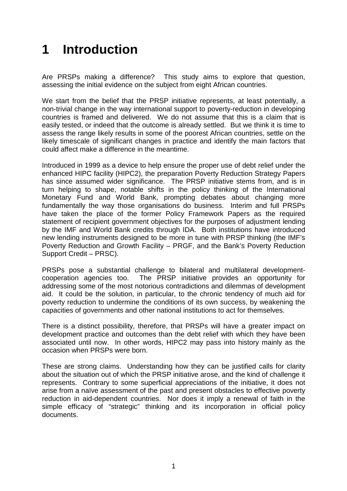## **1 Introduction**

Are PRSPs making a difference? This study aims to explore that question, assessing the initial evidence on the subject from eight African countries.

We start from the belief that the PRSP initiative represents, at least potentially, a non-trivial change in the way international support to poverty-reduction in developing countries is framed and delivered. We do not assume that this is a claim that is easily tested, or indeed that the outcome is already settled. But we think it is time to assess the range likely results in some of the poorest African countries, settle on the likely timescale of significant changes in practice and identify the main factors that could affect make a difference in the meantime.

Introduced in 1999 as a device to help ensure the proper use of debt relief under the enhanced HIPC facility (HIPC2), the preparation Poverty Reduction Strategy Papers has since assumed wider significance. The PRSP initiative stems from, and is in turn helping to shape, notable shifts in the policy thinking of the International Monetary Fund and World Bank, prompting debates about changing more fundamentally the way those organisations do business. Interim and full PRSPs have taken the place of the former Policy Framework Papers as the required statement of recipient government objectives for the purposes of adjustment lending by the IMF and World Bank credits through IDA. Both institutions have introduced new lending instruments designed to be more in tune with PRSP thinking (the IMF's Poverty Reduction and Growth Facility – PRGF, and the Bank's Poverty Reduction Support Credit – PRSC).

PRSPs pose a substantial challenge to bilateral and multilateral developmentcooperation agencies too. The PRSP initiative provides an opportunity for addressing some of the most notorious contradictions and dilemmas of development aid. It could be the solution, in particular, to the chronic tendency of much aid for poverty reduction to undermine the conditions of its own success, by weakening the capacities of governments and other national institutions to act for themselves.

There is a distinct possibility, therefore, that PRSPs will have a greater impact on development practice and outcomes than the debt relief with which they have been associated until now. In other words, HIPC2 may pass into history mainly as the occasion when PRSPs were born.

These are strong claims. Understanding how they can be justified calls for clarity about the situation out of which the PRSP initiative arose, and the kind of challenge it represents. Contrary to some superficial appreciations of the initiative, it does not arise from a naïve assessment of the past and present obstacles to effective poverty reduction in aid-dependent countries. Nor does it imply a renewal of faith in the simple efficacy of "strategic" thinking and its incorporation in official policy documents.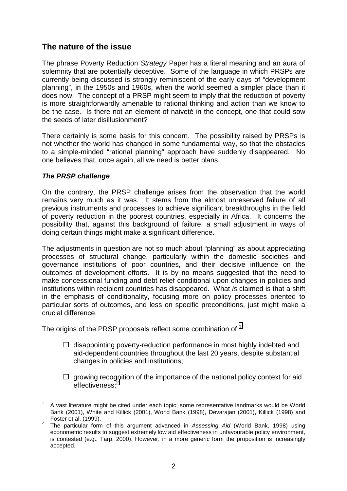#### **The nature of the issue**

The phrase Poverty Reduction *Strategy* Paper has a literal meaning and an aura of solemnity that are potentially deceptive. Some of the language in which PRSPs are currently being discussed is strongly reminiscent of the early days of "development planning", in the 1950s and 1960s, when the world seemed a simpler place than it does now. The concept of a PRSP might seem to imply that the reduction of poverty is more straightforwardly amenable to rational thinking and action than we know to be the case. Is there not an element of naiveté in the concept, one that could sow the seeds of later disillusionment?

There certainly is some basis for this concern. The possibility raised by PRSPs is not whether the world has changed in some fundamental way, so that the obstacles to a simple-minded "rational planning" approach have suddenly disappeared. No one believes that, once again, all we need is better plans.

#### *The PRSP challenge*

On the contrary, the PRSP challenge arises from the observation that the world remains very much as it was. It stems from the almost unreserved failure of all previous instruments and processes to achieve significant breakthroughs in the field of poverty reduction in the poorest countries, especially in Africa. It concerns the possibility that, against this background of failure, a small adjustment in ways of doing certain things might make a significant difference.

The adjustments in question are not so much about "planning" as about appreciating processes of structural change, particularly within the domestic societies and governance institutions of poor countries, and their decisive influence on the outcomes of development efforts. It is by no means suggested that the need to make concessional funding and debt relief conditional upon changes in policies and institutions within recipient countries has disappeared. What *is* claimed is that a shift in the emphasis of conditionality, focusing more on policy processes oriented to particular sorts of outcomes, and less on specific preconditions, just might make a crucial difference.

The origins of the PRSP proposals reflect some combination of:<sup>1</sup>

- $\Box$  disappointing poverty-reduction performance in most highly indebted and aid-dependent countries throughout the last 20 years, despite substantial changes in policies and institutions;
- $\Box$  growing recognition of the importance of the national policy context for aid effectiveness;<sup>2</sup>

l 1 A vast literature might be cited under each topic; some representative landmarks would be World Bank (2001), White and Killick (2001), World Bank (1998), Devarajan (2001), Killick (1998) and Foster et al. (1999).

The particular form of this argument advanced in *Assessing Aid* (World Bank, 1998) using econometric results to suggest extremely low aid effectiveness in unfavourable policy environment, is contested (e.g., Tarp, 2000). However, in a more generic form the proposition is increasingly accepted.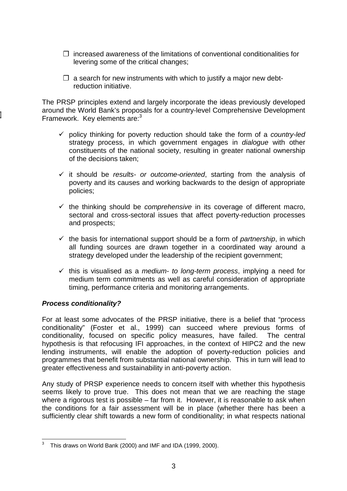- $\Box$  increased awareness of the limitations of conventional conditionalities for levering some of the critical changes;
- $\Box$  a search for new instruments with which to justify a major new debtreduction initiative.

The PRSP principles extend and largely incorporate the ideas previously developed around the World Bank's proposals for a country-level Comprehensive Development Framework. Key elements are: $3$ 

- ! policy thinking for poverty reduction should take the form of a *country-led* strategy process, in which government engages in *dialogue* with other constituents of the national society, resulting in greater national ownership of the decisions taken;
- $\checkmark$  it should be *results-* or outcome-oriented, starting from the analysis of poverty and its causes and working backwards to the design of appropriate policies;
- $\checkmark$  the thinking should be *comprehensive* in its coverage of different macro, sectoral and cross-sectoral issues that affect poverty-reduction processes and prospects;
- $\checkmark$  the basis for international support should be a form of *partnership*, in which all funding sources are drawn together in a coordinated way around a strategy developed under the leadership of the recipient government;
- $\checkmark$  this is visualised as a *medium- to long-term process*, implying a need for medium term commitments as well as careful consideration of appropriate timing, performance criteria and monitoring arrangements.

#### *Process conditionality?*

For at least some advocates of the PRSP initiative, there is a belief that "process conditionality" (Foster et al., 1999) can succeed where previous forms of conditionality, focused on specific policy measures, have failed. The central hypothesis is that refocusing IFI approaches, in the context of HIPC2 and the new lending instruments, will enable the adoption of poverty-reduction policies and programmes that benefit from substantial national ownership. This in turn will lead to greater effectiveness and sustainability in anti-poverty action.

Any study of PRSP experience needs to concern itself with whether this hypothesis seems likely to prove true. This does not mean that we are reaching the stage where a rigorous test is possible – far from it. However, it is reasonable to ask when the conditions for a fair assessment will be in place (whether there has been a sufficiently clear shift towards a new form of conditionality; in what respects national

l 3 This draws on World Bank (2000) and IMF and IDA (1999, 2000).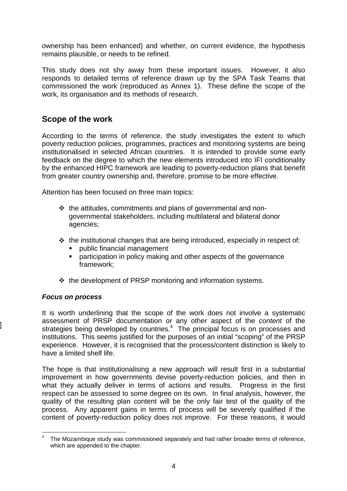ownership has been enhanced) and whether, on current evidence, the hypothesis remains plausible, or needs to be refined.

This study does not shy away from these important issues. However, it also responds to detailed terms of reference drawn up by the SPA Task Teams that commissioned the work (reproduced as Annex 1). These define the scope of the work, its organisation and its methods of research.

#### **Scope of the work**

According to the terms of reference, the study investigates the extent to which poverty reduction policies, programmes, practices and monitoring systems are being institutionalised in selected African countries. It is intended to provide some early feedback on the degree to which the new elements introduced into IFI conditionality by the enhanced HIPC framework are leading to poverty-reduction plans that benefit from greater country ownership and, therefore, promise to be more effective.

Attention has been focused on three main topics:

- $\div$  the attitudes, commitments and plans of governmental and nongovernmental stakeholders, including multilateral and bilateral donor agencies;
- $\cdot \cdot$  the institutional changes that are being introduced, especially in respect of:
	- public financial management
	- **EXEDENT** participation in policy making and other aspects of the governance framework;
- $\cdot \cdot$  the development of PRSP monitoring and information systems.

#### *Focus on process*

It is worth underlining that the scope of the work does not involve a systematic assessment of PRSP documentation or any other aspect of the *content* of the strategies being developed by countries.<sup>4</sup> The principal focus is on processes and institutions. This seems justified for the purposes of an initial "scoping" of the PRSP experience. However, it is recognised that the process/content distinction is likely to have a limited shelf life.

The hope is that institutionalising a new approach will result first in a substantial improvement in how governments devise poverty-reduction policies, and then in what they actually deliver in terms of actions and results. Progress in the first respect can be assessed to some degree on its own. In final analysis, however, the quality of the resulting plan content will be the only fair test of the quality of the process. Any apparent gains in terms of process will be severely qualified if the content of poverty-reduction policy does not improve. For these reasons, it would

l 4 The Mozambique study was commissioned separately and had rather broader terms of reference, which are appended to the chapter.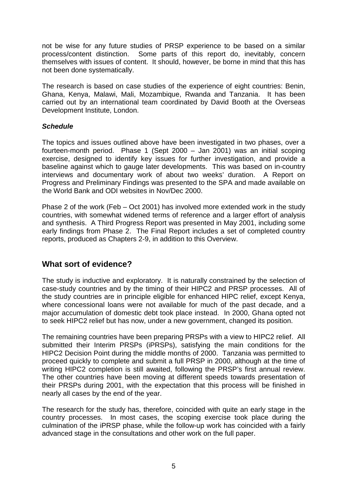not be wise for any future studies of PRSP experience to be based on a similar process/content distinction. Some parts of this report do, inevitably, concern themselves with issues of content. It should, however, be borne in mind that this has not been done systematically.

The research is based on case studies of the experience of eight countries: Benin, Ghana, Kenya, Malawi, Mali, Mozambique, Rwanda and Tanzania. It has been carried out by an international team coordinated by David Booth at the Overseas Development Institute, London.

#### *Schedule*

The topics and issues outlined above have been investigated in two phases, over a fourteen-month period. Phase 1 (Sept 2000 – Jan 2001) was an initial scoping exercise, designed to identify key issues for further investigation, and provide a baseline against which to gauge later developments. This was based on in-country interviews and documentary work of about two weeks' duration. A Report on Progress and Preliminary Findings was presented to the SPA and made available on the World Bank and ODI websites in Nov/Dec 2000.

Phase 2 of the work (Feb – Oct 2001) has involved more extended work in the study countries, with somewhat widened terms of reference and a larger effort of analysis and synthesis. A Third Progress Report was presented in May 2001, including some early findings from Phase 2. The Final Report includes a set of completed country reports, produced as Chapters 2-9, in addition to this Overview.

#### **What sort of evidence?**

The study is inductive and exploratory. It is naturally constrained by the selection of case-study countries and by the timing of their HIPC2 and PRSP processes. All of the study countries are in principle eligible for enhanced HIPC relief, except Kenya, where concessional loans were not available for much of the past decade, and a major accumulation of domestic debt took place instead. In 2000, Ghana opted not to seek HIPC2 relief but has now, under a new government, changed its position.

The remaining countries have been preparing PRSPs with a view to HIPC2 relief. All submitted their Interim PRSPs (iPRSPs), satisfying the main conditions for the HIPC2 Decision Point during the middle months of 2000. Tanzania was permitted to proceed quickly to complete and submit a full PRSP in 2000, although at the time of writing HIPC2 completion is still awaited, following the PRSP's first annual review. The other countries have been moving at different speeds towards presentation of their PRSPs during 2001, with the expectation that this process will be finished in nearly all cases by the end of the year.

The research for the study has, therefore, coincided with quite an early stage in the country processes. In most cases, the scoping exercise took place during the culmination of the iPRSP phase, while the follow-up work has coincided with a fairly advanced stage in the consultations and other work on the full paper.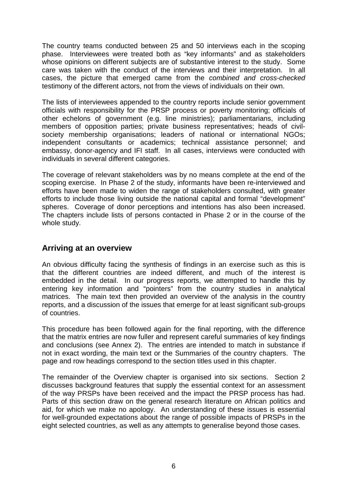The country teams conducted between 25 and 50 interviews each in the scoping phase. Interviewees were treated both as "key informants" and as stakeholders whose opinions on different subjects are of substantive interest to the study. Some care was taken with the conduct of the interviews and their interpretation. In all cases, the picture that emerged came from the *combined and cross-checked* testimony of the different actors, not from the views of individuals on their own.

The lists of interviewees appended to the country reports include senior government officials with responsibility for the PRSP process or poverty monitoring; officials of other echelons of government (e.g. line ministries); parliamentarians, including members of opposition parties; private business representatives; heads of civilsociety membership organisations; leaders of national or international NGOs; independent consultants or academics; technical assistance personnel; and embassy, donor-agency and IFI staff. In all cases, interviews were conducted with individuals in several different categories.

The coverage of relevant stakeholders was by no means complete at the end of the scoping exercise. In Phase 2 of the study, informants have been re-interviewed and efforts have been made to widen the range of stakeholders consulted, with greater efforts to include those living outside the national capital and formal "development" spheres. Coverage of donor perceptions and intentions has also been increased. The chapters include lists of persons contacted in Phase 2 or in the course of the whole study.

#### **Arriving at an overview**

An obvious difficulty facing the synthesis of findings in an exercise such as this is that the different countries are indeed different, and much of the interest is embedded in the detail. In our progress reports, we attempted to handle this by entering key information and "pointers" from the country studies in analytical matrices. The main text then provided an overview of the analysis in the country reports, and a discussion of the issues that emerge for at least significant sub-groups of countries.

This procedure has been followed again for the final reporting, with the difference that the matrix entries are now fuller and represent careful summaries of key findings and conclusions (see Annex 2). The entries are intended to match in substance if not in exact wording, the main text or the Summaries of the country chapters. The page and row headings correspond to the section titles used in this chapter.

The remainder of the Overview chapter is organised into six sections. Section 2 discusses background features that supply the essential context for an assessment of the way PRSPs have been received and the impact the PRSP process has had. Parts of this section draw on the general research literature on African politics and aid, for which we make no apology. An understanding of these issues is essential for well-grounded expectations about the range of possible impacts of PRSPs in the eight selected countries, as well as any attempts to generalise beyond those cases.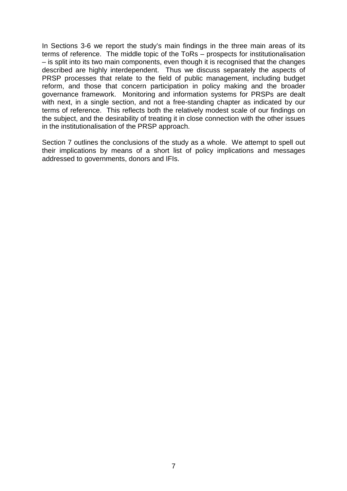In Sections 3-6 we report the study's main findings in the three main areas of its terms of reference. The middle topic of the ToRs – prospects for institutionalisation – is split into its two main components, even though it is recognised that the changes described are highly interdependent. Thus we discuss separately the aspects of PRSP processes that relate to the field of public management, including budget reform, and those that concern participation in policy making and the broader governance framework. Monitoring and information systems for PRSPs are dealt with next, in a single section, and not a free-standing chapter as indicated by our terms of reference. This reflects both the relatively modest scale of our findings on the subject, and the desirability of treating it in close connection with the other issues in the institutionalisation of the PRSP approach.

Section 7 outlines the conclusions of the study as a whole. We attempt to spell out their implications by means of a short list of policy implications and messages addressed to governments, donors and IFIs.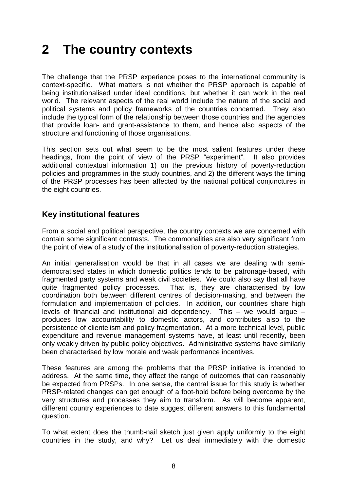## **2 The country contexts**

The challenge that the PRSP experience poses to the international community is context-specific. What matters is not whether the PRSP approach is capable of being institutionalised under ideal conditions, but whether it can work in the real world. The relevant aspects of the real world include the nature of the social and political systems and policy frameworks of the countries concerned. They also include the typical form of the relationship between those countries and the agencies that provide loan- and grant-assistance to them, and hence also aspects of the structure and functioning of those organisations.

This section sets out what seem to be the most salient features under these headings, from the point of view of the PRSP "experiment". It also provides additional contextual information 1) on the previous history of poverty-reduction policies and programmes in the study countries, and 2) the different ways the timing of the PRSP processes has been affected by the national political conjunctures in the eight countries.

#### **Key institutional features**

From a social and political perspective, the country contexts we are concerned with contain some significant contrasts. The commonalities are also very significant from the point of view of a study of the institutionalisation of poverty-reduction strategies.

An initial generalisation would be that in all cases we are dealing with semidemocratised states in which domestic politics tends to be patronage-based, with fragmented party systems and weak civil societies. We could also say that all have quite fragmented policy processes. That is, they are characterised by low coordination both between different centres of decision-making, and between the formulation and implementation of policies. In addition, our countries share high levels of financial and institutional aid dependency. This – we would argue – produces low accountability to domestic actors, and contributes also to the persistence of clientelism and policy fragmentation. At a more technical level, public expenditure and revenue management systems have, at least until recently, been only weakly driven by public policy objectives. Administrative systems have similarly been characterised by low morale and weak performance incentives.

These features are among the problems that the PRSP initiative is intended to address. At the same time, they affect the range of outcomes that can reasonably be expected from PRSPs. In one sense, the central issue for this study is whether PRSP-related changes can get enough of a foot-hold before being overcome by the very structures and processes they aim to transform. As will become apparent, different country experiences to date suggest different answers to this fundamental question.

To what extent does the thumb-nail sketch just given apply uniformly to the eight countries in the study, and why? Let us deal immediately with the domestic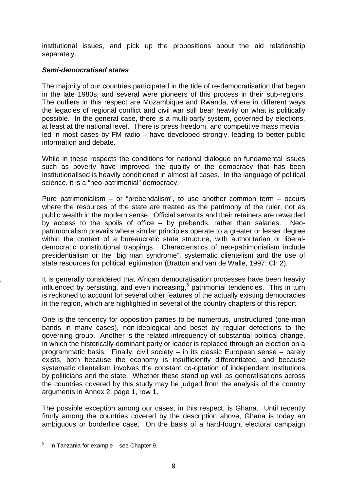institutional issues, and pick up the propositions about the aid relationship separately.

#### *Semi-democratised states*

The majority of our countries participated in the tide of re-democratisation that began in the late 1980s, and several were pioneers of this process in their sub-regions. The outliers in this respect are Mozambique and Rwanda, where in different ways the legacies of regional conflict and civil war still bear heavily on what is politically possible. In the general case, there is a multi-party system, governed by elections, at least at the national level. There is press freedom, and competitive mass media – led in most cases by FM radio – have developed strongly, leading to better public information and debate.

While in these respects the conditions for national dialogue on fundamental issues such as poverty have improved, the quality of the democracy that has been institutionalised is heavily conditioned in almost all cases. In the language of political science, it is a "neo-patrimonial" democracy.

Pure patrimonialism – or "prebendalism", to use another common term – occurs where the resources of the state are treated as the patrimony of the ruler, not as public wealth in the modern sense. Official servants and their retainers are rewarded by access to the spoils of office – by prebends, rather than salaries. Neopatrimonialism prevails where similar principles operate to a greater or lesser degree within the context of a bureaucratic state structure, with authoritarian or liberaldemocratic constitutional trappings. Characteristics of neo-patrimonialism include presidentialism or the "big man syndrome", systematic clientelism and the use of state resources for political legitimation (Bratton and van de Walle, 1997: Ch 2).

It is generally considered that African democratisation processes have been heavily influenced by persisting, and even increasing, $5$  patrimonial tendencies. This in turn is reckoned to account for several other features of the actually existing democracies in the region, which are highlighted in several of the country chapters of this report.

One is the tendency for opposition parties to be numerous, unstructured (one-man bands in many cases), non-ideological and beset by regular defections to the governing group. Another is the related infrequency of substantial political change, in which the historically-dominant party or leader is replaced through an election on a programmatic basis. Finally, civil society – in its classic European sense – barely exists, both because the economy is insufficiently differentiated, and because systematic clientelism involves the constant co-optation of independent institutions by politicians and the state. Whether these stand up well as generalisations across the countries covered by this study may be judged from the analysis of the country arguments in Annex 2, page 1, row 1.

The possible exception among our cases, in this respect, is Ghana. Until recently firmly among the countries covered by the description above, Ghana is today an ambiguous or borderline case. On the basis of a hard-fought electoral campaign

l

<sup>5</sup> In Tanzania for example – see Chapter 9.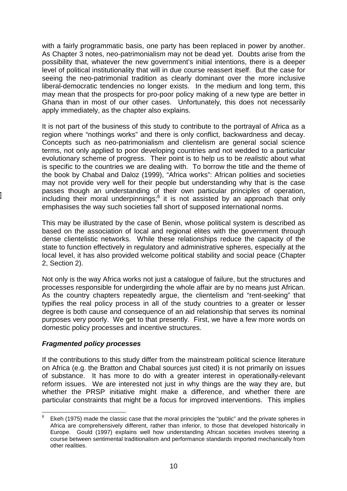with a fairly programmatic basis, one party has been replaced in power by another. As Chapter 3 notes, neo-patrimonialism may not be dead yet. Doubts arise from the possibility that, whatever the new government's initial intentions, there is a deeper level of political institutionality that will in due course reassert itself. But the case for seeing the neo-patrimonial tradition as clearly dominant over the more inclusive liberal-democratic tendencies no longer exists. In the medium and long term, this may mean that the prospects for pro-poor policy making of a new type are better in Ghana than in most of our other cases. Unfortunately, this does not necessarily apply immediately, as the chapter also explains.

It is not part of the business of this study to contribute to the portrayal of Africa as a region where "nothings works" and there is only conflict, backwardness and decay. Concepts such as neo-patrimonialism and clientelism are general social science terms, not only applied to poor developing countries and not wedded to a particular evolutionary scheme of progress. Their point is to help us to be *realistic* about what is specific to the countries we are dealing with. To borrow the title and the theme of the book by Chabal and Daloz (1999), "Africa works": African polities and societies may not provide very well for their people but understanding why that is the case passes though an understanding of their own particular principles of operation, including their moral underpinnings;<sup>6</sup> it is not assisted by an approach that only emphasises the way such societies fall short of supposed international norms.

This may be illustrated by the case of Benin, whose political system is described as based on the association of local and regional elites with the government through dense clientelistic networks. While these relationships reduce the capacity of the state to function effectively in regulatory and administrative spheres, especially at the local level, it has also provided welcome political stability and social peace (Chapter 2, Section 2).

Not only is the way Africa works not just a catalogue of failure, but the structures and processes responsible for undergirding the whole affair are by no means just African. As the country chapters repeatedly argue, the clientelism and "rent-seeking" that typifies the real policy process in all of the study countries to a greater or lesser degree is both cause and consequence of an aid relationship that serves its nominal purposes very poorly. We get to that presently. First, we have a few more words on domestic policy processes and incentive structures.

#### *Fragmented policy processes*

If the contributions to this study differ from the mainstream political science literature on Africa (e.g. the Bratton and Chabal sources just cited) it is not primarily on issues of substance. It has more to do with a greater interest in operationally-relevant reform issues. We are interested not just in why things are the way they are, but whether the PRSP initiative might make a difference, and whether there are particular constraints that might be a focus for improved interventions. This implies

 $\overline{a}$ 6 Ekeh (1975) made the classic case that the moral principles the "public" and the private spheres in Africa are comprehensively different, rather than inferior, to those that developed historically in Europe. Gould (1997) explains well how understanding African societies involves steering a course between sentimental traditionalism and performance standards imported mechanically from other realities.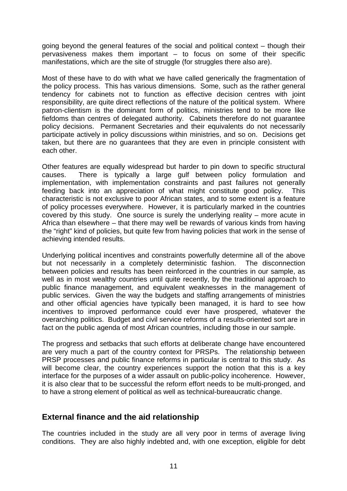going beyond the general features of the social and political context – though their pervasiveness makes them important – to focus on some of their specific manifestations, which are the site of struggle (for struggles there also are).

Most of these have to do with what we have called generically the fragmentation of the policy process. This has various dimensions. Some, such as the rather general tendency for cabinets not to function as effective decision centres with joint responsibility, are quite direct reflections of the nature of the political system. Where patron-clientism is the dominant form of politics, ministries tend to be more like fiefdoms than centres of delegated authority. Cabinets therefore do not guarantee policy decisions. Permanent Secretaries and their equivalents do not necessarily participate actively in policy discussions within ministries, and so on. Decisions get taken, but there are no guarantees that they are even in principle consistent with each other.

Other features are equally widespread but harder to pin down to specific structural causes. There is typically a large gulf between policy formulation and implementation, with implementation constraints and past failures not generally feeding back into an appreciation of what might constitute good policy. This characteristic is not exclusive to poor African states, and to some extent is a feature of policy processes everywhere. However, it is particularly marked in the countries covered by this study. One source is surely the underlying reality – more acute in Africa than elsewhere – that there may well be rewards of various kinds from having the "right" kind of policies, but quite few from having policies that work in the sense of achieving intended results.

Underlying political incentives and constraints powerfully determine all of the above but not necessarily in a completely deterministic fashion. The disconnection between policies and results has been reinforced in the countries in our sample, as well as in most wealthy countries until quite recently, by the traditional approach to public finance management, and equivalent weaknesses in the management of public services. Given the way the budgets and staffing arrangements of ministries and other official agencies have typically been managed, it is hard to see how incentives to improved performance could ever have prospered, whatever the overarching politics. Budget and civil service reforms of a results-oriented sort are in fact on the public agenda of most African countries, including those in our sample.

The progress and setbacks that such efforts at deliberate change have encountered are very much a part of the country context for PRSPs. The relationship between PRSP processes and public finance reforms in particular is central to this study. As will become clear, the country experiences support the notion that this is a key interface for the purposes of a wider assault on public-policy incoherence. However, it is also clear that to be successful the reform effort needs to be multi-pronged, and to have a strong element of political as well as technical-bureaucratic change.

#### **External finance and the aid relationship**

The countries included in the study are all very poor in terms of average living conditions. They are also highly indebted and, with one exception, eligible for debt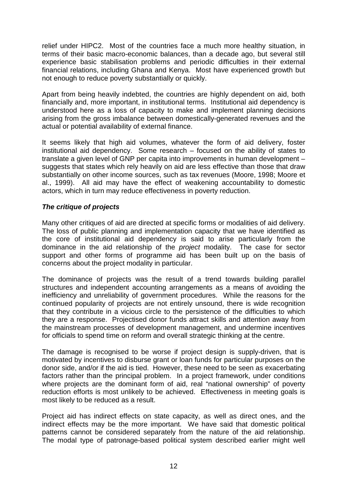relief under HIPC2. Most of the countries face a much more healthy situation, in terms of their basic macro-economic balances, than a decade ago, but several still experience basic stabilisation problems and periodic difficulties in their external financial relations, including Ghana and Kenya. Most have experienced growth but not enough to reduce poverty substantially or quickly.

Apart from being heavily indebted, the countries are highly dependent on aid, both financially and, more important, in institutional terms. Institutional aid dependency is understood here as a loss of capacity to make and implement planning decisions arising from the gross imbalance between domestically-generated revenues and the actual or potential availability of external finance.

It seems likely that high aid volumes, whatever the form of aid delivery, foster institutional aid dependency. Some research – focused on the ability of states to translate a given level of GNP per capita into improvements in human development – suggests that states which rely heavily on aid are less effective than those that draw substantially on other income sources, such as tax revenues (Moore, 1998; Moore et al., 1999). All aid may have the effect of weakening accountability to domestic actors, which in turn may reduce effectiveness in poverty reduction.

#### *The critique of projects*

Many other critiques of aid are directed at specific forms or modalities of aid delivery. The loss of public planning and implementation capacity that we have identified as the core of institutional aid dependency is said to arise particularly from the dominance in the aid relationship of the *project* modality. The case for sector support and other forms of programme aid has been built up on the basis of concerns about the project modality in particular.

The dominance of projects was the result of a trend towards building parallel structures and independent accounting arrangements as a means of avoiding the inefficiency and unreliability of government procedures. While the reasons for the continued popularity of projects are not entirely unsound, there is wide recognition that they contribute in a vicious circle to the persistence of the difficulties to which they are a response. Projectised donor funds attract skills and attention away from the mainstream processes of development management, and undermine incentives for officials to spend time on reform and overall strategic thinking at the centre.

The damage is recognised to be worse if project design is supply-driven, that is motivated by incentives to disburse grant or loan funds for particular purposes on the donor side, and/or if the aid is tied. However, these need to be seen as exacerbating factors rather than the principal problem. In a project framework, under conditions where projects are the dominant form of aid, real "national ownership" of poverty reduction efforts is most unlikely to be achieved. Effectiveness in meeting goals is most likely to be reduced as a result.

Project aid has indirect effects on state capacity, as well as direct ones, and the indirect effects may be the more important. We have said that domestic political patterns cannot be considered separately from the nature of the aid relationship. The modal type of patronage-based political system described earlier might well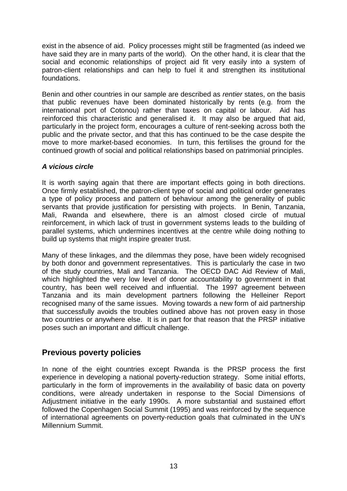exist in the absence of aid. Policy processes might still be fragmented (as indeed we have said they are in many parts of the world). On the other hand, it is clear that the social and economic relationships of project aid fit very easily into a system of patron-client relationships and can help to fuel it and strengthen its institutional foundations.

Benin and other countries in our sample are described as *rentier* states, on the basis that public revenues have been dominated historically by rents (e.g. from the international port of Cotonou) rather than taxes on capital or labour. Aid has reinforced this characteristic and generalised it. It may also be argued that aid, particularly in the project form, encourages a culture of rent-seeking across both the public and the private sector, and that this has continued to be the case despite the move to more market-based economies. In turn, this fertilises the ground for the continued growth of social and political relationships based on patrimonial principles.

#### *A vicious circle*

It is worth saying again that there are important effects going in both directions. Once firmly established, the patron-client type of social and political order generates a type of policy process and pattern of behaviour among the generality of public servants that provide justification for persisting with projects. In Benin, Tanzania, Mali, Rwanda and elsewhere, there is an almost closed circle of mutual reinforcement, in which lack of trust in government systems leads to the building of parallel systems, which undermines incentives at the centre while doing nothing to build up systems that might inspire greater trust.

Many of these linkages, and the dilemmas they pose, have been widely recognised by both donor and government representatives. This is particularly the case in two of the study countries, Mali and Tanzania. The OECD DAC Aid Review of Mali, which highlighted the very low level of donor accountability to government in that country, has been well received and influential. The 1997 agreement between Tanzania and its main development partners following the Helleiner Report recognised many of the same issues. Moving towards a new form of aid partnership that successfully avoids the troubles outlined above has not proven easy in those two countries or anywhere else. It is in part for that reason that the PRSP initiative poses such an important and difficult challenge.

#### **Previous poverty policies**

In none of the eight countries except Rwanda is the PRSP process the first experience in developing a national poverty-reduction strategy. Some initial efforts, particularly in the form of improvements in the availability of basic data on poverty conditions, were already undertaken in response to the Social Dimensions of Adjustment initiative in the early 1990s. A more substantial and sustained effort followed the Copenhagen Social Summit (1995) and was reinforced by the sequence of international agreements on poverty-reduction goals that culminated in the UN's Millennium Summit.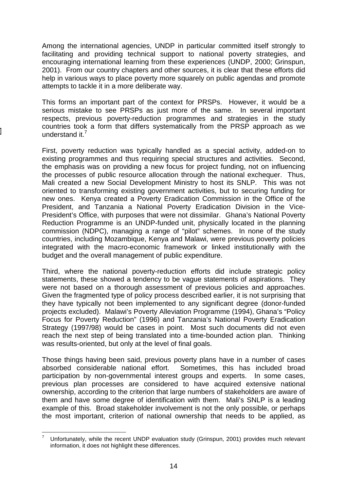Among the international agencies, UNDP in particular committed itself strongly to facilitating and providing technical support to national poverty strategies, and encouraging international learning from these experiences (UNDP, 2000; Grinspun, 2001). From our country chapters and other sources, it is clear that these efforts did help in various ways to place poverty more squarely on public agendas and promote attempts to tackle it in a more deliberate way.

This forms an important part of the context for PRSPs. However, it would be a serious mistake to see PRSPs as just more of the same. In several important respects, previous poverty-reduction programmes and strategies in the study countries took a form that differs systematically from the PRSP approach as we understand it.<sup>7</sup>

First, poverty reduction was typically handled as a special activity, added-on to existing programmes and thus requiring special structures and activities. Second, the emphasis was on providing a new focus for project funding, not on influencing the processes of public resource allocation through the national exchequer. Thus, Mali created a new Social Development Ministry to host its SNLP. This was not oriented to transforming existing government activities, but to securing funding for new ones. Kenya created a Poverty Eradication Commission in the Office of the President, and Tanzania a National Poverty Eradication Division in the Vice-President's Office, with purposes that were not dissimilar. Ghana's National Poverty Reduction Programme is an UNDP-funded unit, physically located in the planning commission (NDPC), managing a range of "pilot" schemes. In none of the study countries, including Mozambique, Kenya and Malawi, were previous poverty policies integrated with the macro-economic framework or linked institutionally with the budget and the overall management of public expenditure.

Third, where the national poverty-reduction efforts did include strategic policy statements, these showed a tendency to be vague statements of aspirations. They were not based on a thorough assessment of previous policies and approaches. Given the fragmented type of policy process described earlier, it is not surprising that they have typically not been implemented to any significant degree (donor-funded projects excluded). Malawi's Poverty Alleviation Programme (1994), Ghana's "Policy Focus for Poverty Reduction" (1996) and Tanzania's National Poverty Eradication Strategy (1997/98) would be cases in point. Most such documents did not even reach the next step of being translated into a time-bounded action plan. Thinking was results-oriented, but only at the level of final goals.

Those things having been said, previous poverty plans have in a number of cases absorbed considerable national effort. Sometimes, this has included broad participation by non-governmental interest groups and experts. In some cases, previous plan processes are considered to have acquired extensive national ownership, according to the criterion that large numbers of stakeholders are aware of them and have some degree of identification with them. Mali's SNLP is a leading example of this. Broad stakeholder involvement is not the only possible, or perhaps the most important, criterion of national ownership that needs to be applied, as

l 7 Unfortunately, while the recent UNDP evaluation study (Grinspun, 2001) provides much relevant information, it does not highlight these differences.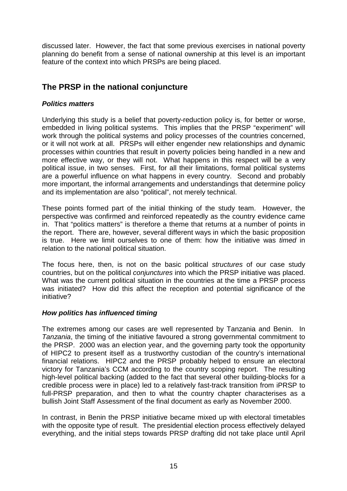discussed later. However, the fact that some previous exercises in national poverty planning do benefit from a sense of national ownership at this level is an important feature of the context into which PRSPs are being placed.

#### **The PRSP in the national conjuncture**

#### *Politics matters*

Underlying this study is a belief that poverty-reduction policy is, for better or worse, embedded in living political systems. This implies that the PRSP "experiment" will work through the political systems and policy processes of the countries concerned, or it will not work at all. PRSPs will either engender new relationships and dynamic processes within countries that result in poverty policies being handled in a new and more effective way, or they will not. What happens in this respect will be a very political issue, in two senses. First, for all their limitations, formal political systems are a powerful influence on what happens in every country. Second and probably more important, the informal arrangements and understandings that determine policy and its implementation are also "political", not merely technical.

These points formed part of the initial thinking of the study team. However, the perspective was confirmed and reinforced repeatedly as the country evidence came in. That "politics matters" is therefore a theme that returns at a number of points in the report. There are, however, several different ways in which the basic proposition is true. Here we limit ourselves to one of them: how the initiative was *timed* in relation to the national political situation.

The focus here, then, is not on the basic political *structures* of our case study countries, but on the political *conjunctures* into which the PRSP initiative was placed. What was the current political situation in the countries at the time a PRSP process was initiated? How did this affect the reception and potential significance of the initiative?

#### *How politics has influenced timing*

The extremes among our cases are well represented by Tanzania and Benin. In *Tanzania*, the timing of the initiative favoured a strong governmental commitment to the PRSP. 2000 was an election year, and the governing party took the opportunity of HIPC2 to present itself as a trustworthy custodian of the country's international financial relations. HIPC2 and the PRSP probably helped to ensure an electoral victory for Tanzania's CCM according to the country scoping report. The resulting high-level political backing (added to the fact that several other building-blocks for a credible process were in place) led to a relatively fast-track transition from iPRSP to full-PRSP preparation, and then to what the country chapter characterises as a bullish Joint Staff Assessment of the final document as early as November 2000.

In contrast, in Benin the PRSP initiative became mixed up with electoral timetables with the opposite type of result. The presidential election process effectively delayed everything, and the initial steps towards PRSP drafting did not take place until April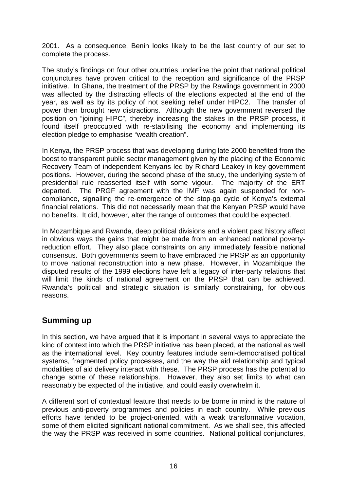2001. As a consequence, Benin looks likely to be the last country of our set to complete the process.

The study's findings on four other countries underline the point that national political conjunctures have proven critical to the reception and significance of the PRSP initiative. In Ghana, the treatment of the PRSP by the Rawlings government in 2000 was affected by the distracting effects of the elections expected at the end of the year, as well as by its policy of not seeking relief under HIPC2. The transfer of power then brought new distractions. Although the new government reversed the position on "joining HIPC", thereby increasing the stakes in the PRSP process, it found itself preoccupied with re-stabilising the economy and implementing its election pledge to emphasise "wealth creation".

In Kenya, the PRSP process that was developing during late 2000 benefited from the boost to transparent public sector management given by the placing of the Economic Recovery Team of independent Kenyans led by Richard Leakey in key government positions. However, during the second phase of the study, the underlying system of presidential rule reasserted itself with some vigour. The majority of the ERT departed. The PRGF agreement with the IMF was again suspended for noncompliance, signalling the re-emergence of the stop-go cycle of Kenya's external financial relations. This did not necessarily mean that the Kenyan PRSP would have no benefits. It did, however, alter the range of outcomes that could be expected.

In Mozambique and Rwanda, deep political divisions and a violent past history affect in obvious ways the gains that might be made from an enhanced national povertyreduction effort. They also place constraints on any immediately feasible national consensus. Both governments seem to have embraced the PRSP as an opportunity to move national reconstruction into a new phase. However, in Mozambique the disputed results of the 1999 elections have left a legacy of inter-party relations that will limit the kinds of national agreement on the PRSP that can be achieved. Rwanda's political and strategic situation is similarly constraining, for obvious reasons.

#### **Summing up**

In this section, we have argued that it is important in several ways to appreciate the kind of context into which the PRSP initiative has been placed, at the national as well as the international level. Key country features include semi-democratised political systems, fragmented policy processes, and the way the aid relationship and typical modalities of aid delivery interact with these. The PRSP process has the potential to change some of these relationships. However, they also set limits to what can reasonably be expected of the initiative, and could easily overwhelm it.

A different sort of contextual feature that needs to be borne in mind is the nature of previous anti-poverty programmes and policies in each country. While previous efforts have tended to be project-oriented, with a weak transformative vocation, some of them elicited significant national commitment. As we shall see, this affected the way the PRSP was received in some countries. National political conjunctures,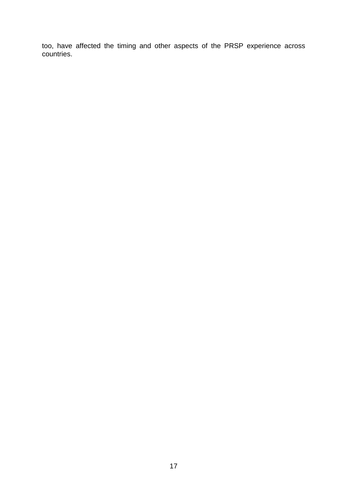too, have affected the timing and other aspects of the PRSP experience across countries.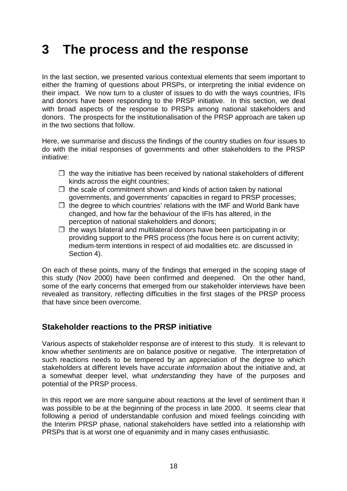### **3 The process and the response**

In the last section, we presented various contextual elements that seem important to either the framing of questions about PRSPs, or interpreting the initial evidence on their impact. We now turn to a cluster of issues to do with the ways countries, IFIs and donors have been responding to the PRSP initiative. In this section, we deal with broad aspects of the response to PRSPs among national stakeholders and donors. The prospects for the institutionalisation of the PRSP approach are taken up in the two sections that follow.

Here, we summarise and discuss the findings of the country studies on *four* issues to do with the initial responses of governments and other stakeholders to the PRSP initiative:

- $\Box$  the way the initiative has been received by national stakeholders of different kinds across the eight countries;
- $\Box$  the scale of commitment shown and kinds of action taken by national governments, and governments' capacities in regard to PRSP processes;
- $\Box$  the degree to which countries' relations with the IMF and World Bank have changed, and how far the behaviour of the IFIs has altered, in the perception of national stakeholders and donors;
- $\Box$  the ways bilateral and multilateral donors have been participating in or providing support to the PRS process (the focus here is on current activity; medium-term intentions in respect of aid modalities etc. are discussed in Section 4).

On each of these points, many of the findings that emerged in the scoping stage of this study (Nov 2000) have been confirmed and deepened. On the other hand, some of the early concerns that emerged from our stakeholder interviews have been revealed as transitory, reflecting difficulties in the first stages of the PRSP process that have since been overcome.

#### **Stakeholder reactions to the PRSP initiative**

Various aspects of stakeholder response are of interest to this study. It is relevant to know whether *sentiments* are on balance positive or negative. The interpretation of such reactions needs to be tempered by an appreciation of the degree to which stakeholders at different levels have accurate *information* about the initiative and, at a somewhat deeper level, what *understanding* they have of the purposes and potential of the PRSP process.

In this report we are more sanguine about reactions at the level of sentiment than it was possible to be at the beginning of the process in late 2000. It seems clear that following a period of understandable confusion and mixed feelings coinciding with the Interim PRSP phase, national stakeholders have settled into a relationship with PRSPs that is at worst one of equanimity and in many cases enthusiastic.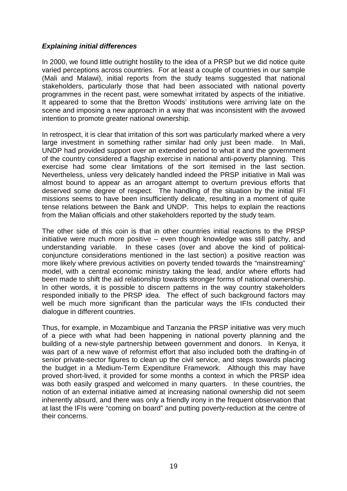#### *Explaining initial differences*

In 2000, we found little outright hostility to the idea of a PRSP but we did notice quite varied perceptions across countries. For at least a couple of countries in our sample (Mali and Malawi), initial reports from the study teams suggested that national stakeholders, particularly those that had been associated with national poverty programmes in the recent past, were somewhat irritated by aspects of the initiative. It appeared to some that the Bretton Woods' institutions were arriving late on the scene and imposing a new approach in a way that was inconsistent with the avowed intention to promote greater national ownership.

In retrospect, it is clear that irritation of this sort was particularly marked where a very large investment in something rather similar had only just been made. In Mali, UNDP had provided support over an extended period to what it and the government of the country considered a flagship exercise in national anti-poverty planning. This exercise had some clear limitations of the sort itemised in the last section. Nevertheless, unless very delicately handled indeed the PRSP initiative in Mali was almost bound to appear as an arrogant attempt to overturn previous efforts that deserved some degree of respect. The handling of the situation by the initial IFI missions seems to have been insufficiently delicate, resulting in a moment of quite tense relations between the Bank and UNDP. This helps to explain the reactions from the Malian officials and other stakeholders reported by the study team.

The other side of this coin is that in other countries initial reactions to the PRSP initiative were much more positive – even though knowledge was still patchy, and understanding variable. In these cases (over and above the kind of politicalconjuncture considerations mentioned in the last section) a positive reaction was more likely where previous activities on poverty tended towards the "mainstreaming" model, with a central economic ministry taking the lead, and/or where efforts had been made to shift the aid relationship towards stronger forms of national ownership. In other words, it is possible to discern patterns in the way country stakeholders responded initially to the PRSP idea. The effect of such background factors may well be much more significant than the particular ways the IFIs conducted their dialogue in different countries.

Thus, for example, in Mozambique and Tanzania the PRSP initiative was very much of a piece with what had been happening in national poverty planning and the building of a new-style partnership between government and donors. In Kenya, it was part of a new wave of reformist effort that also included both the drafting-in of senior private-sector figures to clean up the civil service, and steps towards placing the budget in a Medium-Term Expenditure Framework. Although this may have proved short-lived, it provided for some months a context in which the PRSP idea was both easily grasped and welcomed in many quarters. In these countries, the notion of an external initiative aimed at increasing national ownership did not seem inherently absurd, and there was only a friendly irony in the frequent observation that at last the IFIs were "coming on board" and putting poverty-reduction at the centre of their concerns.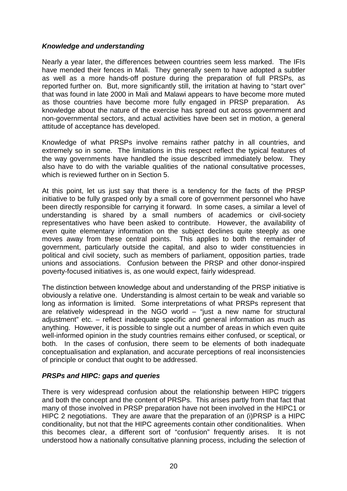#### *Knowledge and understanding*

Nearly a year later, the differences between countries seem less marked. The IFIs have mended their fences in Mali. They generally seem to have adopted a subtler as well as a more hands-off posture during the preparation of full PRSPs, as reported further on. But, more significantly still, the irritation at having to "start over" that was found in late 2000 in Mali and Malawi appears to have become more muted as those countries have become more fully engaged in PRSP preparation. As knowledge about the nature of the exercise has spread out across government and non-governmental sectors, and actual activities have been set in motion, a general attitude of acceptance has developed.

Knowledge of what PRSPs involve remains rather patchy in all countries, and extremely so in some. The limitations in this respect reflect the typical features of the way governments have handled the issue described immediately below. They also have to do with the variable qualities of the national consultative processes, which is reviewed further on in Section 5.

At this point, let us just say that there is a tendency for the facts of the PRSP initiative to be fully grasped only by a small core of government personnel who have been directly responsible for carrying it forward. In some cases, a similar a level of understanding is shared by a small numbers of academics or civil-society representatives who have been asked to contribute. However, the availability of even quite elementary information on the subject declines quite steeply as one moves away from these central points. This applies to both the remainder of government, particularly outside the capital, and also to wider constituencies in political and civil society, such as members of parliament, opposition parties, trade unions and associations. Confusion between the PRSP and other donor-inspired poverty-focused initiatives is, as one would expect, fairly widespread.

The distinction between knowledge about and understanding of the PRSP initiative is obviously a relative one. Understanding is almost certain to be weak and variable so long as information is limited. Some interpretations of what PRSPs represent that are relatively widespread in the NGO world  $-$  "just a new name for structural adjustment" etc. – reflect inadequate specific and general information as much as anything. However, it is possible to single out a number of areas in which even quite well-informed opinion in the study countries remains either confused, or sceptical, or both. In the cases of confusion, there seem to be elements of both inadequate conceptualisation and explanation, and accurate perceptions of real inconsistencies of principle or conduct that ought to be addressed.

#### *PRSPs and HIPC: gaps and queries*

There is very widespread confusion about the relationship between HIPC triggers and both the concept and the content of PRSPs. This arises partly from that fact that many of those involved in PRSP preparation have not been involved in the HIPC1 or HIPC 2 negotiations. They are aware that the preparation of an (i)PRSP is a HIPC conditionality, but not that the HIPC agreements contain other conditionalities. When this becomes clear, a different sort of "confusion" frequently arises. It is not understood how a nationally consultative planning process, including the selection of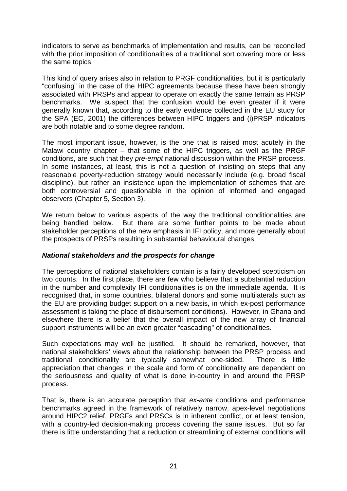indicators to serve as benchmarks of implementation and results, can be reconciled with the prior imposition of conditionalities of a traditional sort covering more or less the same topics.

This kind of query arises also in relation to PRGF conditionalities, but it is particularly "confusing" in the case of the HIPC agreements because these have been strongly associated with PRSPs and appear to operate on exactly the same terrain as PRSP benchmarks. We suspect that the confusion would be even greater if it were generally known that, according to the early evidence collected in the EU study for the SPA (EC, 2001) the differences between HIPC triggers and (i)PRSP indicators are both notable and to some degree random.

The most important issue, however, is the one that is raised most acutely in the Malawi country chapter – that some of the HIPC triggers, as well as the PRGF conditions, are such that they *pre-empt* national discussion within the PRSP process. In some instances, at least, this is not a question of insisting on steps that any reasonable poverty-reduction strategy would necessarily include (e.g. broad fiscal discipline), but rather an insistence upon the implementation of schemes that are both controversial and questionable in the opinion of informed and engaged observers (Chapter 5, Section 3).

We return below to various aspects of the way the traditional conditionalities are being handled below. But there are some further points to be made about stakeholder perceptions of the new emphasis in IFI policy, and more generally about the prospects of PRSPs resulting in substantial behavioural changes.

#### *National stakeholders and the prospects for change*

The perceptions of national stakeholders contain is a fairly developed scepticism on two counts. In the first place, there are few who believe that a substantial reduction in the number and complexity IFI conditionalities is on the immediate agenda. It is recognised that, in some countries, bilateral donors and some multilaterals such as the EU are providing budget support on a new basis, in which ex-post performance assessment is taking the place of disbursement conditions). However, in Ghana and elsewhere there is a belief that the overall impact of the new array of financial support instruments will be an even greater "cascading" of conditionalities.

Such expectations may well be justified. It should be remarked, however, that national stakeholders' views about the relationship between the PRSP process and traditional conditionality are typically somewhat one-sided. There is little appreciation that changes in the scale and form of conditionality are dependent on the seriousness and quality of what is done in-country in and around the PRSP process.

That is, there is an accurate perception that *ex-ante* conditions and performance benchmarks agreed in the framework of relatively narrow, apex-level negotiations around HIPC2 relief, PRGFs and PRSCs is in inherent conflict, or at least tension, with a country-led decision-making process covering the same issues. But so far there is little understanding that a reduction or streamlining of external conditions will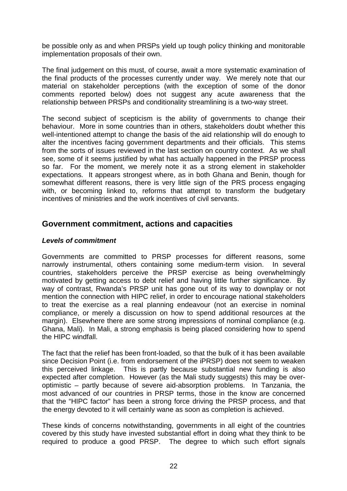be possible only as and when PRSPs yield up tough policy thinking and monitorable implementation proposals of their own.

The final judgement on this must, of course, await a more systematic examination of the final products of the processes currently under way. We merely note that our material on stakeholder perceptions (with the exception of some of the donor comments reported below) does not suggest any acute awareness that the relationship between PRSPs and conditionality streamlining is a two-way street.

The second subject of scepticism is the ability of governments to change their behaviour. More in some countries than in others, stakeholders doubt whether this well-intentioned attempt to change the basis of the aid relationship will do enough to alter the incentives facing government departments and their officials. This stems from the sorts of issues reviewed in the last section on country context. As we shall see, some of it seems justified by what has actually happened in the PRSP process so far. For the moment, we merely note it as a strong element in stakeholder expectations. It appears strongest where, as in both Ghana and Benin, though for somewhat different reasons, there is very little sign of the PRS process engaging with, or becoming linked to, reforms that attempt to transform the budgetary incentives of ministries and the work incentives of civil servants.

#### **Government commitment, actions and capacities**

#### *Levels of commitment*

Governments are committed to PRSP processes for different reasons, some narrowly instrumental, others containing some medium-term vision. In several countries, stakeholders perceive the PRSP exercise as being overwhelmingly motivated by getting access to debt relief and having little further significance. By way of contrast, Rwanda's PRSP unit has gone out of its way to downplay or not mention the connection with HIPC relief, in order to encourage national stakeholders to treat the exercise as a real planning endeavour (not an exercise in nominal compliance, or merely a discussion on how to spend additional resources at the margin). Elsewhere there are some strong impressions of nominal compliance (e.g. Ghana, Mali). In Mali, a strong emphasis is being placed considering how to spend the HIPC windfall.

The fact that the relief has been front-loaded, so that the bulk of it has been available since Decision Point (i.e. from endorsement of the iPRSP) does not seem to weaken this perceived linkage. This is partly because substantial new funding is also expected after completion. However (as the Mali study suggests) this may be overoptimistic – partly because of severe aid-absorption problems. In Tanzania, the most advanced of our countries in PRSP terms, those in the know are concerned that the "HIPC factor" has been a strong force driving the PRSP process, and that the energy devoted to it will certainly wane as soon as completion is achieved.

These kinds of concerns notwithstanding, governments in all eight of the countries covered by this study have invested substantial effort in doing what they think to be required to produce a good PRSP. The degree to which such effort signals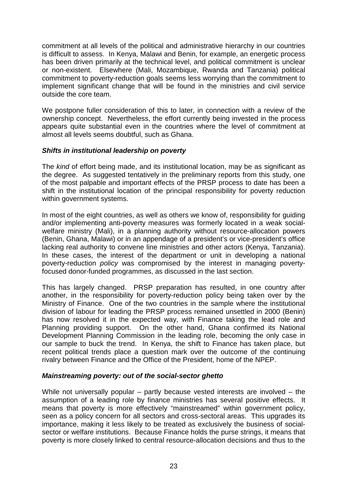commitment at all levels of the political and administrative hierarchy in our countries is difficult to assess. In Kenya, Malawi and Benin, for example, an energetic process has been driven primarily at the technical level, and political commitment is unclear or non-existent. Elsewhere (Mali, Mozambique, Rwanda and Tanzania) political commitment to poverty-reduction goals seems less worrying than the commitment to implement significant change that will be found in the ministries and civil service outside the core team.

We postpone fuller consideration of this to later, in connection with a review of the ownership concept. Nevertheless, the effort currently being invested in the process appears quite substantial even in the countries where the level of commitment at almost all levels seems doubtful, such as Ghana.

#### *Shifts in institutional leadership on poverty*

The *kind* of effort being made, and its institutional location, may be as significant as the degree. As suggested tentatively in the preliminary reports from this study, one of the most palpable and important effects of the PRSP process to date has been a shift in the institutional location of the principal responsibility for poverty reduction within government systems.

In most of the eight countries, as well as others we know of, responsibility for guiding and/or implementing anti-poverty measures was formerly located in a weak socialwelfare ministry (Mali), in a planning authority without resource-allocation powers (Benin, Ghana, Malawi) or in an appendage of a president's or vice-president's office lacking real authority to convene line ministries and other actors (Kenya, Tanzania). In these cases, the interest of the department or unit in developing a national poverty-reduction *policy* was compromised by the interest in managing povertyfocused donor-funded programmes, as discussed in the last section.

This has largely changed. PRSP preparation has resulted, in one country after another, in the responsibility for poverty-reduction policy being taken over by the Ministry of Finance. One of the two countries in the sample where the institutional division of labour for leading the PRSP process remained unsettled in 2000 (Benin) has now resolved it in the expected way, with Finance taking the lead role and Planning providing support. On the other hand, Ghana confirmed its National Development Planning Commission in the leading role, becoming the only case in our sample to buck the trend. In Kenya, the shift to Finance has taken place, but recent political trends place a question mark over the outcome of the continuing rivalry between Finance and the Office of the President, home of the NPEP.

#### *Mainstreaming poverty: out of the social-sector ghetto*

While not universally popular – partly because vested interests are involved – the assumption of a leading role by finance ministries has several positive effects. It means that poverty is more effectively "mainstreamed" within government policy, seen as a policy concern for all sectors and cross-sectoral areas. This upgrades its importance, making it less likely to be treated as exclusively the business of socialsector or welfare institutions. Because Finance holds the purse strings, it means that poverty is more closely linked to central resource-allocation decisions and thus to the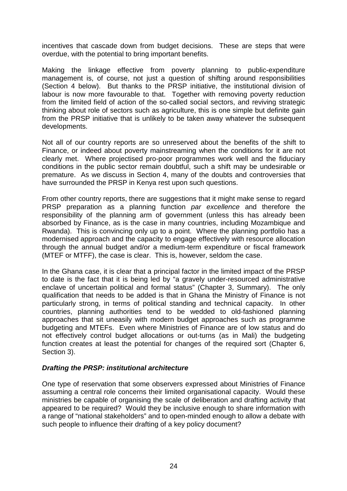incentives that cascade down from budget decisions. These are steps that were overdue, with the potential to bring important benefits.

Making the linkage effective from poverty planning to public-expenditure management is, of course, not just a question of shifting around responsibilities (Section 4 below). But thanks to the PRSP initiative, the institutional division of labour is now more favourable to that. Together with removing poverty reduction from the limited field of action of the so-called social sectors, and reviving strategic thinking about role of sectors such as agriculture, this is one simple but definite gain from the PRSP initiative that is unlikely to be taken away whatever the subsequent developments.

Not all of our country reports are so unreserved about the benefits of the shift to Finance, or indeed about poverty mainstreaming when the conditions for it are not clearly met. Where projectised pro-poor programmes work well and the fiduciary conditions in the public sector remain doubtful, such a shift may be undesirable or premature. As we discuss in Section 4, many of the doubts and controversies that have surrounded the PRSP in Kenya rest upon such questions.

From other country reports, there are suggestions that it might make sense to regard PRSP preparation as a planning function *par excellence* and therefore the responsibility of the planning arm of government (unless this has already been absorbed by Finance, as is the case in many countries, including Mozambique and Rwanda). This is convincing only up to a point. Where the planning portfolio has a modernised approach and the capacity to engage effectively with resource allocation through the annual budget and/or a medium-term expenditure or fiscal framework (MTEF or MTFF), the case is clear. This is, however, seldom the case.

In the Ghana case, it is clear that a principal factor in the limited impact of the PRSP to date is the fact that it is being led by "a gravely under-resourced administrative enclave of uncertain political and formal status" (Chapter 3, Summary). The only qualification that needs to be added is that in Ghana the Ministry of Finance is not particularly strong, in terms of political standing and technical capacity. In other countries, planning authorities tend to be wedded to old-fashioned planning approaches that sit uneasily with modern budget approaches such as programme budgeting and MTEFs. Even where Ministries of Finance are of low status and do not effectively control budget allocations or out-turns (as in Mali) the budgeting function creates at least the potential for changes of the required sort (Chapter 6, Section 3).

#### *Drafting the PRSP: institutional architecture*

One type of reservation that some observers expressed about Ministries of Finance assuming a central role concerns their limited organisational capacity. Would these ministries be capable of organising the scale of deliberation and drafting activity that appeared to be required? Would they be inclusive enough to share information with a range of "national stakeholders" and to open-minded enough to allow a debate with such people to influence their drafting of a key policy document?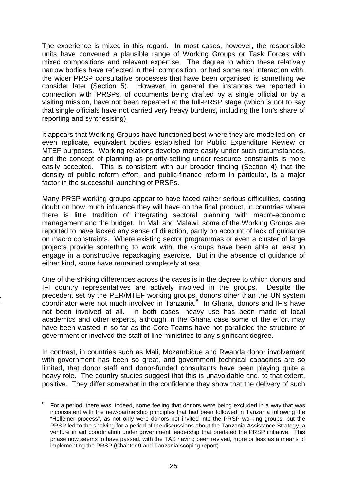The experience is mixed in this regard. In most cases, however, the responsible units have convened a plausible range of Working Groups or Task Forces with mixed compositions and relevant expertise. The degree to which these relatively narrow bodies have reflected in their composition, or had some real interaction with, the wider PRSP consultative processes that have been organised is something we consider later (Section 5). However, in general the instances we reported in connection with iPRSPs, of documents being drafted by a single official or by a visiting mission, have not been repeated at the full-PRSP stage (which is not to say that single officials have not carried very heavy burdens, including the lion's share of reporting and synthesising).

It appears that Working Groups have functioned best where they are modelled on, or even replicate, equivalent bodies established for Public Expenditure Review or MTEF purposes. Working relations develop more easily under such circumstances, and the concept of planning as priority-setting under resource constraints is more easily accepted. This is consistent with our broader finding (Section 4) that the density of public reform effort, and public-finance reform in particular, is a major factor in the successful launching of PRSPs.

Many PRSP working groups appear to have faced rather serious difficulties, casting doubt on how much influence they will have on the final product, in countries where there is little tradition of integrating sectoral planning with macro-economic management and the budget. In Mali and Malawi, some of the Working Groups are reported to have lacked any sense of direction, partly on account of lack of guidance on macro constraints. Where existing sector programmes or even a cluster of large projects provide something to work with, the Groups have been able at least to engage in a constructive repackaging exercise. But in the absence of guidance of either kind, some have remained completely at sea.

One of the striking differences across the cases is in the degree to which donors and IFI country representatives are actively involved in the groups. Despite the precedent set by the PER/MTEF working groups, donors other than the UN system  $\overline{\text{coordinator}}$  were not much involved in Tanzania. $^8$  In Ghana, donors and IFIs have not been involved at all. In both cases, heavy use has been made of local academics and other experts, although in the Ghana case some of the effort may have been wasted in so far as the Core Teams have not paralleled the structure of government or involved the staff of line ministries to any significant degree.

In contrast, in countries such as Mali, Mozambique and Rwanda donor involvement with government has been so great, and government technical capacities are so limited, that donor staff and donor-funded consultants have been playing quite a heavy role. The country studies suggest that this is unavoidable and, to that extent, positive. They differ somewhat in the confidence they show that the delivery of such

l

<sup>8</sup> For a period, there was, indeed, some feeling that donors were being excluded in a way that was inconsistent with the new-partnership principles that had been followed in Tanzania following the "Helleiner process", as not only were donors not invited into the PRSP working groups, but the PRSP led to the shelving for a period of the discussions about the Tanzania Assistance Strategy, a venture in aid coordination under government leadership that predated the PRSP initiative. This phase now seems to have passed, with the TAS having been revived, more or less as a means of implementing the PRSP (Chapter 9 and Tanzania scoping report).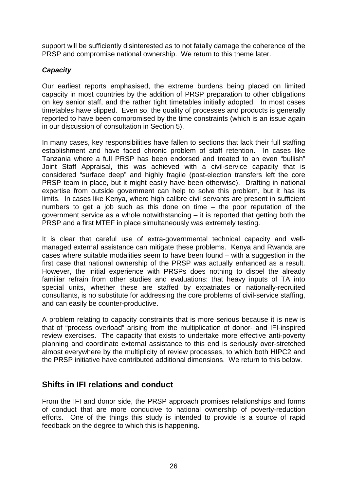support will be sufficiently disinterested as to not fatally damage the coherence of the PRSP and compromise national ownership. We return to this theme later.

## *Capacity*

Our earliest reports emphasised, the extreme burdens being placed on limited capacity in most countries by the addition of PRSP preparation to other obligations on key senior staff, and the rather tight timetables initially adopted. In most cases timetables have slipped. Even so, the quality of processes and products is generally reported to have been compromised by the time constraints (which is an issue again in our discussion of consultation in Section 5).

In many cases, key responsibilities have fallen to sections that lack their full staffing establishment and have faced chronic problem of staff retention. In cases like Tanzania where a full PRSP has been endorsed and treated to an even "bullish" Joint Staff Appraisal, this was achieved with a civil-service capacity that is considered "surface deep" and highly fragile (post-election transfers left the core PRSP team in place, but it might easily have been otherwise). Drafting in national expertise from outside government can help to solve this problem, but it has its limits. In cases like Kenya, where high calibre civil servants are present in sufficient numbers to get a job such as this done on time – the poor reputation of the government service as a whole notwithstanding – it is reported that getting both the PRSP and a first MTEF in place simultaneously was extremely testing.

It is clear that careful use of extra-governmental technical capacity and wellmanaged external assistance can mitigate these problems. Kenya and Rwanda are cases where suitable modalities seem to have been found – with a suggestion in the first case that national ownership of the PRSP was actually enhanced as a result. However, the initial experience with PRSPs does nothing to dispel the already familiar refrain from other studies and evaluations: that heavy inputs of TA into special units, whether these are staffed by expatriates or nationally-recruited consultants, is no substitute for addressing the core problems of civil-service staffing, and can easily be counter-productive.

A problem relating to capacity constraints that is more serious because it is new is that of "process overload" arising from the multiplication of donor- and IFI-inspired review exercises. The capacity that exists to undertake more effective anti-poverty planning and coordinate external assistance to this end is seriously over-stretched almost everywhere by the multiplicity of review processes, to which both HIPC2 and the PRSP initiative have contributed additional dimensions. We return to this below.

## **Shifts in IFI relations and conduct**

From the IFI and donor side, the PRSP approach promises relationships and forms of conduct that are more conducive to national ownership of poverty-reduction efforts. One of the things this study is intended to provide is a source of rapid feedback on the degree to which this is happening.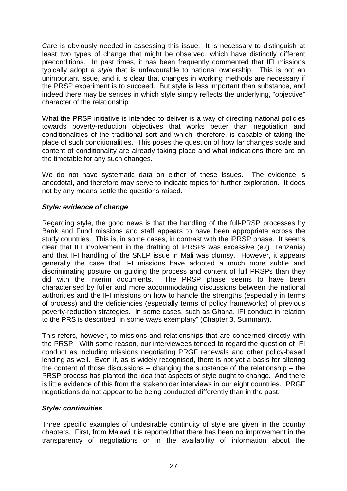Care is obviously needed in assessing this issue. It is necessary to distinguish at least two types of change that might be observed, which have distinctly different preconditions. In past times, it has been frequently commented that IFI missions typically adopt a *style* that is unfavourable to national ownership. This is not an unimportant issue, and it is clear that changes in working methods are necessary if the PRSP experiment is to succeed. But style is less important than substance, and indeed there may be senses in which style simply reflects the underlying, "objective" character of the relationship

What the PRSP initiative is intended to deliver is a way of directing national policies towards poverty-reduction objectives that works better than negotiation and conditionalities of the traditional sort and which, therefore, is capable of taking the place of such conditionalities. This poses the question of how far changes scale and content of conditionality are already taking place and what indications there are on the timetable for any such changes.

We do not have systematic data on either of these issues. The evidence is anecdotal, and therefore may serve to indicate topics for further exploration. It does not by any means settle the questions raised.

## *Style: evidence of change*

Regarding style, the good news is that the handling of the full-PRSP processes by Bank and Fund missions and staff appears to have been appropriate across the study countries. This is, in some cases, in contrast with the iPRSP phase. It seems clear that IFI involvement in the drafting of iPRSPs was excessive (e.g. Tanzania) and that IFI handling of the SNLP issue in Mali was clumsy. However, it appears generally the case that IFI missions have adopted a much more subtle and discriminating posture on guiding the process and content of full PRSPs than they did with the Interim documents. The PRSP phase seems to have been characterised by fuller and more accommodating discussions between the national authorities and the IFI missions on how to handle the strengths (especially in terms of process) and the deficiencies (especially terms of policy frameworks) of previous poverty-reduction strategies. In some cases, such as Ghana, IFI conduct in relation to the PRS is described "in some ways exemplary" (Chapter 3, Summary).

This refers, however, to missions and relationships that are concerned directly with the PRSP. With some reason, our interviewees tended to regard the question of IFI conduct as including missions negotiating PRGF renewals and other policy-based lending as well. Even if, as is widely recognised, there is not yet a basis for altering the content of those discussions – changing the substance of the relationship – the PRSP process has planted the idea that aspects of style ought to change. And there is little evidence of this from the stakeholder interviews in our eight countries. PRGF negotiations do not appear to be being conducted differently than in the past.

#### *Style: continuities*

Three specific examples of undesirable continuity of style are given in the country chapters. First, from Malawi it is reported that there has been no improvement in the transparency of negotiations or in the availability of information about the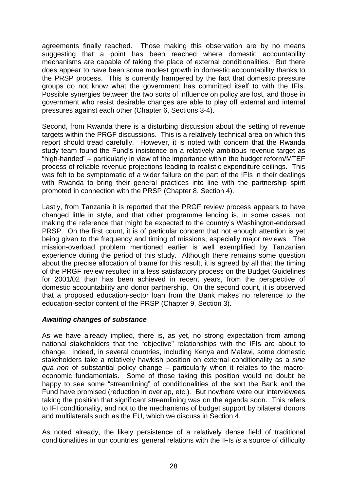agreements finally reached. Those making this observation are by no means suggesting that a point has been reached where domestic accountability mechanisms are capable of taking the place of external conditionalities. But there does appear to have been some modest growth in domestic accountability thanks to the PRSP process. This is currently hampered by the fact that domestic pressure groups do not know what the government has committed itself to with the IFIs. Possible synergies between the two sorts of influence on policy are lost, and those in government who resist desirable changes are able to play off external and internal pressures against each other (Chapter 6, Sections 3-4).

Second, from Rwanda there is a disturbing discussion about the setting of revenue targets within the PRGF discussions. This is a relatively technical area on which this report should tread carefully. However, it is noted with concern that the Rwanda study team found the Fund's insistence on a relatively ambitious revenue target as "high-handed" – particularly in view of the importance within the budget reform/MTEF process of reliable revenue projections leading to realistic expenditure ceilings. This was felt to be symptomatic of a wider failure on the part of the IFIs in their dealings with Rwanda to bring their general practices into line with the partnership spirit promoted in connection with the PRSP (Chapter 8, Section 4).

Lastly, from Tanzania it is reported that the PRGF review process appears to have changed little in style, and that other programme lending is, in some cases, not making the reference that might be expected to the country's Washington-endorsed PRSP. On the first count, it is of particular concern that not enough attention is yet being given to the frequency and timing of missions, especially major reviews. The mission-overload problem mentioned earlier is well exemplified by Tanzanian experience during the period of this study. Although there remains some question about the precise allocation of blame for this result, it is agreed by all that the timing of the PRGF review resulted in a less satisfactory process on the Budget Guidelines for 2001/02 than has been achieved in recent years, from the perspective of domestic accountability and donor partnership. On the second count, it is observed that a proposed education-sector loan from the Bank makes no reference to the education-sector content of the PRSP (Chapter 9, Section 3).

#### *Awaiting changes of substance*

As we have already implied, there is, as yet, no strong expectation from among national stakeholders that the "objective" relationships with the IFIs are about to change. Indeed, in several countries, including Kenya and Malawi, some domestic stakeholders take a relatively hawkish position on external conditionality as a *sine qua non* of substantial policy change – particularly when it relates to the macroeconomic fundamentals. Some of those taking this position would no doubt be happy to see some "streamlining" of conditionalities of the sort the Bank and the Fund have promised (reduction in overlap, etc.). But nowhere were our interviewees taking the position that significant streamlining was on the agenda soon. This refers to IFI conditionality, and not to the mechanisms of budget support by bilateral donors and multilaterals such as the EU, which we discuss in Section 4.

As noted already, the likely persistence of a relatively dense field of traditional conditionalities in our countries' general relations with the IFIs *is* a source of difficulty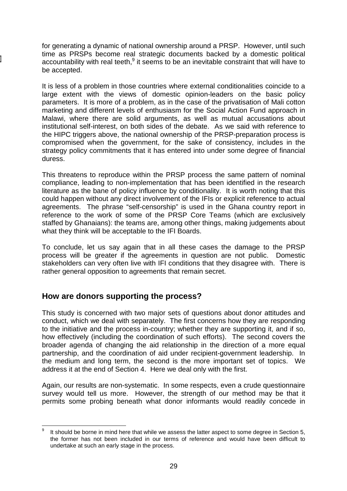for generating a dynamic of national ownership around a PRSP. However, until such time as PRSPs become real strategic documents backed by a domestic political accountability with real teeth,<sup>9</sup> it seems to be an inevitable constraint that will have to be accepted.

It is less of a problem in those countries where external conditionalities coincide to a large extent with the views of domestic opinion-leaders on the basic policy parameters. It is more of a problem, as in the case of the privatisation of Mali cotton marketing and different levels of enthusiasm for the Social Action Fund approach in Malawi, where there are solid arguments, as well as mutual accusations about institutional self-interest, on both sides of the debate. As we said with reference to the HIPC triggers above, the national ownership of the PRSP-preparation process is compromised when the government, for the sake of consistency, includes in the strategy policy commitments that it has entered into under some degree of financial duress.

This threatens to reproduce within the PRSP process the same pattern of nominal compliance, leading to non-implementation that has been identified in the research literature as the bane of policy influence by conditionality. It is worth noting that this could happen without any direct involvement of the IFIs or explicit reference to actual agreements. The phrase "self-censorship" is used in the Ghana country report in reference to the work of some of the PRSP Core Teams (which are exclusively staffed by Ghanaians): the teams are, among other things, making judgements about what they think will be acceptable to the IFI Boards.

To conclude, let us say again that in all these cases the damage to the PRSP process will be greater if the agreements in question are not public. Domestic stakeholders can very often live with IFI conditions that they disagree with. There is rather general opposition to agreements that remain secret.

## **How are donors supporting the process?**

This study is concerned with two major sets of questions about donor attitudes and conduct, which we deal with separately. The first concerns how they are responding to the initiative and the process in-country; whether they are supporting it, and if so, how effectively (including the coordination of such efforts). The second covers the broader agenda of changing the aid relationship in the direction of a more equal partnership, and the coordination of aid under recipient-government leadership. In the medium and long term, the second is the more important set of topics. We address it at the end of Section 4. Here we deal only with the first.

Again, our results are non-systematic. In some respects, even a crude questionnaire survey would tell us more. However, the strength of our method may be that it permits some probing beneath what donor informants would readily concede in

<sup>–&</sup>lt;br>9 It should be borne in mind here that while we assess the latter aspect to some degree in Section 5, the former has not been included in our terms of reference and would have been difficult to undertake at such an early stage in the process.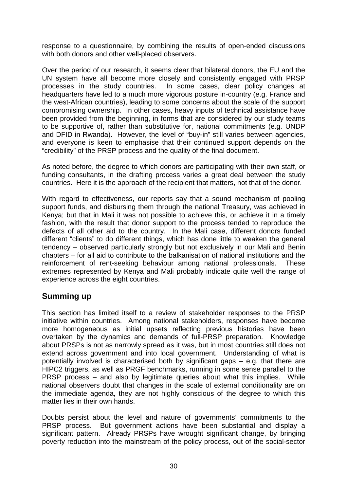response to a questionnaire, by combining the results of open-ended discussions with both donors and other well-placed observers.

Over the period of our research, it seems clear that bilateral donors, the EU and the UN system have all become more closely and consistently engaged with PRSP processes in the study countries. In some cases, clear policy changes at headquarters have led to a much more vigorous posture in-country (e.g. France and the west-African countries), leading to some concerns about the scale of the support compromising ownership. In other cases, heavy inputs of technical assistance have been provided from the beginning, in forms that are considered by our study teams to be supportive of, rather than substitutive for, national commitments (e.g. UNDP and DFID in Rwanda). However, the level of "buy-in" still varies between agencies, and everyone is keen to emphasise that their continued support depends on the "credibility" of the PRSP process and the quality of the final document.

As noted before, the degree to which donors are participating with their own staff, or funding consultants, in the drafting process varies a great deal between the study countries. Here it is the approach of the recipient that matters, not that of the donor.

With regard to effectiveness, our reports say that a sound mechanism of pooling support funds, and disbursing them through the national Treasury, was achieved in Kenya; but that in Mali it was not possible to achieve this, or achieve it in a timely fashion, with the result that donor support to the process tended to reproduce the defects of all other aid to the country. In the Mali case, different donors funded different "clients" to do different things, which has done little to weaken the general tendency – observed particularly strongly but not exclusively in our Mali and Benin chapters – for all aid to contribute to the balkanisation of national institutions and the reinforcement of rent-seeking behaviour among national professionals. These extremes represented by Kenya and Mali probably indicate quite well the range of experience across the eight countries.

# **Summing up**

This section has limited itself to a review of stakeholder responses to the PRSP initiative within countries. Among national stakeholders, responses have become more homogeneous as initial upsets reflecting previous histories have been overtaken by the dynamics and demands of full-PRSP preparation. Knowledge about PRSPs is not as narrowly spread as it was, but in most countries still does not extend across government and into local government. Understanding of what is potentially involved is characterised both by significant gaps – e.g. that there are HIPC2 triggers, as well as PRGF benchmarks, running in some sense parallel to the PRSP process – and also by legitimate queries about what this implies. While national observers doubt that changes in the scale of external conditionality are on the immediate agenda, they are not highly conscious of the degree to which this matter lies in their own hands.

Doubts persist about the level and nature of governments' commitments to the PRSP process. But government actions have been substantial and display a significant pattern. Already PRSPs have wrought significant change, by bringing poverty reduction into the mainstream of the policy process, out of the social-sector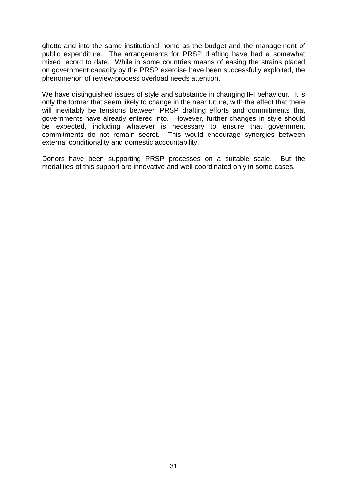ghetto and into the same institutional home as the budget and the management of public expenditure. The arrangements for PRSP drafting have had a somewhat mixed record to date. While in some countries means of easing the strains placed on government capacity by the PRSP exercise have been successfully exploited, the phenomenon of review-process overload needs attention.

We have distinguished issues of style and substance in changing IFI behaviour. It is only the former that seem likely to change in the near future, with the effect that there will inevitably be tensions between PRSP drafting efforts and commitments that governments have already entered into. However, further changes in style should be expected, including whatever is necessary to ensure that government commitments do not remain secret. This would encourage synergies between external conditionality and domestic accountability.

Donors have been supporting PRSP processes on a suitable scale. But the modalities of this support are innovative and well-coordinated only in some cases.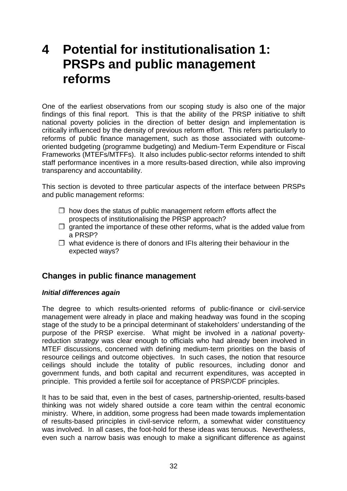# **4 Potential for institutionalisation 1: PRSPs and public management reforms**

One of the earliest observations from our scoping study is also one of the major findings of this final report. This is that the ability of the PRSP initiative to shift national poverty policies in the direction of better design and implementation is critically influenced by the density of previous reform effort. This refers particularly to reforms of public finance management, such as those associated with outcomeoriented budgeting (programme budgeting) and Medium-Term Expenditure or Fiscal Frameworks (MTEFs/MTFFs). It also includes public-sector reforms intended to shift staff performance incentives in a more results-based direction, while also improving transparency and accountability.

This section is devoted to three particular aspects of the interface between PRSPs and public management reforms:

- $\Box$  how does the status of public management reform efforts affect the prospects of institutionalising the PRSP approach?
- $\Box$  granted the importance of these other reforms, what is the added value from a PRSP?
- $\Box$  what evidence is there of donors and IFIs altering their behaviour in the expected ways?

# **Changes in public finance management**

#### *Initial differences again*

The degree to which results-oriented reforms of public-finance or civil-service management were already in place and making headway was found in the scoping stage of the study to be a principal determinant of stakeholders' understanding of the purpose of the PRSP exercise. What might be involved in a *national* povertyreduction *strategy* was clear enough to officials who had already been involved in MTEF discussions, concerned with defining medium-term priorities on the basis of resource ceilings and outcome objectives. In such cases, the notion that resource ceilings should include the totality of public resources, including donor and government funds, and both capital and recurrent expenditures, was accepted in principle. This provided a fertile soil for acceptance of PRSP/CDF principles.

It has to be said that, even in the best of cases, partnership-oriented, results-based thinking was not widely shared outside a core team within the central economic ministry. Where, in addition, some progress had been made towards implementation of results-based principles in civil-service reform, a somewhat wider constituency was involved. In all cases, the foot-hold for these ideas was tenuous. Nevertheless, even such a narrow basis was enough to make a significant difference as against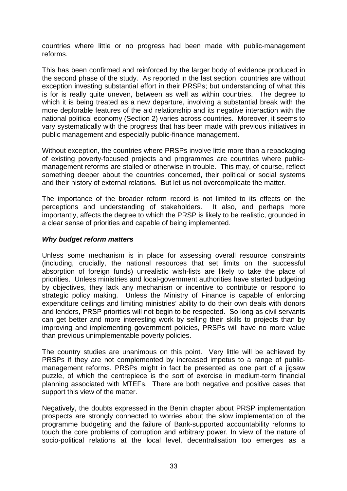countries where little or no progress had been made with public-management reforms.

This has been confirmed and reinforced by the larger body of evidence produced in the second phase of the study. As reported in the last section, countries are without exception investing substantial effort in their PRSPs; but understanding of what this is for is really quite uneven, between as well as within countries. The degree to which it is being treated as a new departure, involving a substantial break with the more deplorable features of the aid relationship and its negative interaction with the national political economy (Section 2) varies across countries. Moreover, it seems to vary systematically with the progress that has been made with previous initiatives in public management and especially public-finance management.

Without exception, the countries where PRSPs involve little more than a repackaging of existing poverty-focused projects and programmes are countries where publicmanagement reforms are stalled or otherwise in trouble. This may, of course, reflect something deeper about the countries concerned, their political or social systems and their history of external relations. But let us not overcomplicate the matter.

The importance of the broader reform record is not limited to its effects on the perceptions and understanding of stakeholders. It also, and perhaps more importantly, affects the degree to which the PRSP is likely to be realistic, grounded in a clear sense of priorities and capable of being implemented.

#### *Why budget reform matters*

Unless some mechanism is in place for assessing overall resource constraints (including, crucially, the national resources that set limits on the successful absorption of foreign funds) unrealistic wish-lists are likely to take the place of priorities. Unless ministries and local-government authorities have started budgeting by objectives, they lack any mechanism or incentive to contribute or respond to strategic policy making. Unless the Ministry of Finance is capable of enforcing expenditure ceilings and limiting ministries' ability to do their own deals with donors and lenders, PRSP priorities will not begin to be respected. So long as civil servants can get better and more interesting work by selling their skills to projects than by improving and implementing government policies, PRSPs will have no more value than previous unimplementable poverty policies.

The country studies are unanimous on this point. Very little will be achieved by PRSPs if they are not complemented by increased impetus to a range of publicmanagement reforms. PRSPs might in fact be presented as one part of a jigsaw puzzle, of which the centrepiece is the sort of exercise in medium-term financial planning associated with MTEFs. There are both negative and positive cases that support this view of the matter.

Negatively, the doubts expressed in the Benin chapter about PRSP implementation prospects are strongly connected to worries about the slow implementation of the programme budgeting and the failure of Bank-supported accountability reforms to touch the core problems of corruption and arbitrary power. In view of the nature of socio-political relations at the local level, decentralisation too emerges as a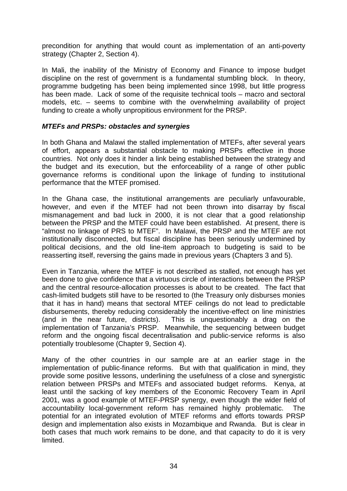precondition for anything that would count as implementation of an anti-poverty strategy (Chapter 2, Section 4).

In Mali, the inability of the Ministry of Economy and Finance to impose budget discipline on the rest of government is a fundamental stumbling block. In theory, programme budgeting has been being implemented since 1998, but little progress has been made. Lack of some of the requisite technical tools – macro and sectoral models, etc. – seems to combine with the overwhelming availability of project funding to create a wholly unpropitious environment for the PRSP.

#### *MTEFs and PRSPs: obstacles and synergies*

In both Ghana and Malawi the stalled implementation of MTEFs, after several years of effort, appears a substantial obstacle to making PRSPs effective in those countries. Not only does it hinder a link being established between the strategy and the budget and its execution, but the enforceability of a range of other public governance reforms is conditional upon the linkage of funding to institutional performance that the MTEF promised.

In the Ghana case, the institutional arrangements are peculiarly unfavourable, however, and even if the MTEF had not been thrown into disarray by fiscal mismanagement and bad luck in 2000, it is not clear that a good relationship between the PRSP and the MTEF could have been established. At present, there is "almost no linkage of PRS to MTEF". In Malawi, the PRSP and the MTEF are not institutionally disconnected, but fiscal discipline has been seriously undermined by political decisions, and the old line-item approach to budgeting is said to be reasserting itself, reversing the gains made in previous years (Chapters 3 and 5).

Even in Tanzania, where the MTEF is not described as stalled, not enough has yet been done to give confidence that a virtuous circle of interactions between the PRSP and the central resource-allocation processes is about to be created. The fact that cash-limited budgets still have to be resorted to (the Treasury only disburses monies that it has in hand) means that sectoral MTEF ceilings do not lead to predictable disbursements, thereby reducing considerably the incentive-effect on line ministries (and in the near future, districts). This is unquestionably a drag on the implementation of Tanzania's PRSP. Meanwhile, the sequencing between budget reform and the ongoing fiscal decentralisation and public-service reforms is also potentially troublesome (Chapter 9, Section 4).

Many of the other countries in our sample are at an earlier stage in the implementation of public-finance reforms. But with that qualification in mind, they provide some positive lessons, underlining the usefulness of a close and synergistic relation between PRSPs and MTEFs and associated budget reforms. Kenya, at least until the sacking of key members of the Economic Recovery Team in April 2001, was a good example of MTEF-PRSP synergy, even though the wider field of accountability local-government reform has remained highly problematic. The potential for an integrated evolution of MTEF reforms and efforts towards PRSP design and implementation also exists in Mozambique and Rwanda. But is clear in both cases that much work remains to be done, and that capacity to do it is very limited.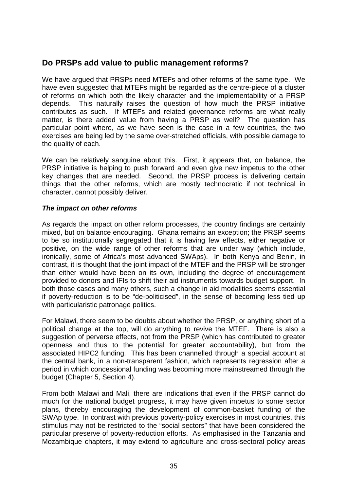# **Do PRSPs add value to public management reforms?**

We have argued that PRSPs need MTEFs and other reforms of the same type. We have even suggested that MTEFs might be regarded as the centre-piece of a cluster of reforms on which both the likely character and the implementability of a PRSP depends. This naturally raises the question of how much the PRSP initiative contributes as such. If MTEFs and related governance reforms are what really matter, is there added value from having a PRSP as well? The question has particular point where, as we have seen is the case in a few countries, the two exercises are being led by the same over-stretched officials, with possible damage to the quality of each.

We can be relatively sanguine about this. First, it appears that, on balance, the PRSP initiative is helping to push forward and even give new impetus to the other key changes that are needed. Second, the PRSP process is delivering certain things that the other reforms, which are mostly technocratic if not technical in character, cannot possibly deliver.

## *The impact on other reforms*

As regards the impact on other reform processes, the country findings are certainly mixed, but on balance encouraging. Ghana remains an exception; the PRSP seems to be so institutionally segregated that it is having few effects, either negative or positive, on the wide range of other reforms that are under way (which include, ironically, some of Africa's most advanced SWAps). In both Kenya and Benin, in contrast, it is thought that the joint impact of the MTEF and the PRSP will be stronger than either would have been on its own, including the degree of encouragement provided to donors and IFIs to shift their aid instruments towards budget support. In both those cases and many others, such a change in aid modalities seems essential if poverty-reduction is to be "de-politicised", in the sense of becoming less tied up with particularistic patronage politics.

For Malawi, there seem to be doubts about whether the PRSP, or anything short of a political change at the top, will do anything to revive the MTEF. There is also a suggestion of perverse effects, not from the PRSP (which has contributed to greater openness and thus to the potential for greater accountability), but from the associated HIPC2 funding. This has been channelled through a special account at the central bank, in a non-transparent fashion, which represents regression after a period in which concessional funding was becoming more mainstreamed through the budget (Chapter 5, Section 4).

From both Malawi and Mali, there are indications that even if the PRSP cannot do much for the national budget progress, it may have given impetus to some sector plans, thereby encouraging the development of common-basket funding of the SWAp type. In contrast with previous poverty-policy exercises in most countries, this stimulus may not be restricted to the "social sectors" that have been considered the particular preserve of poverty-reduction efforts. As emphasised in the Tanzania and Mozambique chapters, it may extend to agriculture and cross-sectoral policy areas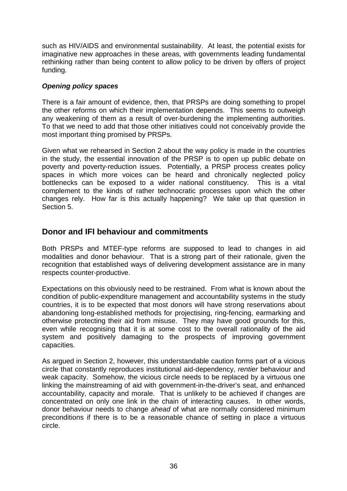such as HIV/AIDS and environmental sustainability. At least, the potential exists for imaginative new approaches in these areas, with governments leading fundamental rethinking rather than being content to allow policy to be driven by offers of project funding.

## *Opening policy spaces*

There is a fair amount of evidence, then, that PRSPs are doing something to propel the other reforms on which their implementation depends. This seems to outweigh any weakening of them as a result of over-burdening the implementing authorities. To that we need to add that those other initiatives could not conceivably provide the most important thing promised by PRSPs.

Given what we rehearsed in Section 2 about the way policy is made in the countries in the study, the essential innovation of the PRSP is to open up public debate on poverty and poverty-reduction issues. Potentially, a PRSP process creates policy spaces in which more voices can be heard and chronically neglected policy bottlenecks can be exposed to a wider national constituency. This is a vital complement to the kinds of rather technocratic processes upon which the other changes rely. How far is this actually happening? We take up that question in Section 5.

## **Donor and IFI behaviour and commitments**

Both PRSPs and MTEF-type reforms are supposed to lead to changes in aid modalities and donor behaviour. That is a strong part of their rationale, given the recognition that established ways of delivering development assistance are in many respects counter-productive.

Expectations on this obviously need to be restrained. From what is known about the condition of public-expenditure management and accountability systems in the study countries, it is to be expected that most donors will have strong reservations about abandoning long-established methods for projectising, ring-fencing, earmarking and otherwise protecting their aid from misuse. They may have good grounds for this, even while recognising that it is at some cost to the overall rationality of the aid system and positively damaging to the prospects of improving government capacities.

As argued in Section 2, however, this understandable caution forms part of a vicious circle that constantly reproduces institutional aid-dependency, *rentier* behaviour and weak capacity. Somehow, the vicious circle needs to be replaced by a virtuous one linking the mainstreaming of aid with government-in-the-driver's seat, and enhanced accountability, capacity and morale. That is unlikely to be achieved if changes are concentrated on only one link in the chain of interacting causes. In other words, donor behaviour needs to change *ahead* of what are normally considered minimum preconditions if there is to be a reasonable chance of setting in place a virtuous circle.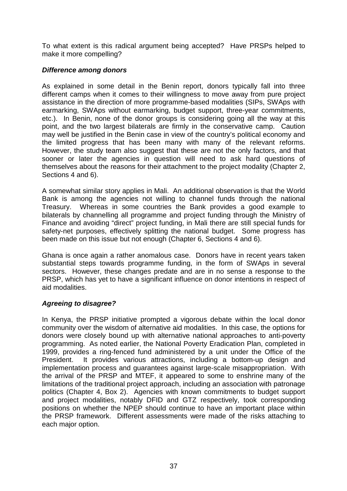To what extent is this radical argument being accepted? Have PRSPs helped to make it more compelling?

## *Difference among donors*

As explained in some detail in the Benin report, donors typically fall into three different camps when it comes to their willingness to move away from pure project assistance in the direction of more programme-based modalities (SIPs, SWAps with earmarking, SWAps without earmarking, budget support, three-year commitments, etc.). In Benin, none of the donor groups is considering going all the way at this point, and the two largest bilaterals are firmly in the conservative camp. Caution may well be justified in the Benin case in view of the country's political economy and the limited progress that has been many with many of the relevant reforms. However, the study team also suggest that these are not the only factors, and that sooner or later the agencies in question will need to ask hard questions of themselves about the reasons for their attachment to the project modality (Chapter 2, Sections 4 and 6).

A somewhat similar story applies in Mali. An additional observation is that the World Bank is among the agencies not willing to channel funds through the national Treasury. Whereas in some countries the Bank provides a good example to bilaterals by channelling all programme and project funding through the Ministry of Finance and avoiding "direct" project funding, in Mali there are still special funds for safety-net purposes, effectively splitting the national budget. Some progress has been made on this issue but not enough (Chapter 6, Sections 4 and 6).

Ghana is once again a rather anomalous case. Donors have in recent years taken substantial steps towards programme funding, in the form of SWAps in several sectors. However, these changes predate and are in no sense a response to the PRSP, which has yet to have a significant influence on donor intentions in respect of aid modalities.

## *Agreeing to disagree?*

In Kenya, the PRSP initiative prompted a vigorous debate within the local donor community over the wisdom of alternative aid modalities. In this case, the options for donors were closely bound up with alternative national approaches to anti-poverty programming. As noted earlier, the National Poverty Eradication Plan, completed in 1999, provides a ring-fenced fund administered by a unit under the Office of the President. It provides various attractions, including a bottom-up design and implementation process and guarantees against large-scale misappropriation. With the arrival of the PRSP and MTEF, it appeared to some to enshrine many of the limitations of the traditional project approach, including an association with patronage politics (Chapter 4, Box 2). Agencies with known commitments to budget support and project modalities, notably DFID and GTZ respectively, took corresponding positions on whether the NPEP should continue to have an important place within the PRSP framework. Different assessments were made of the risks attaching to each major option.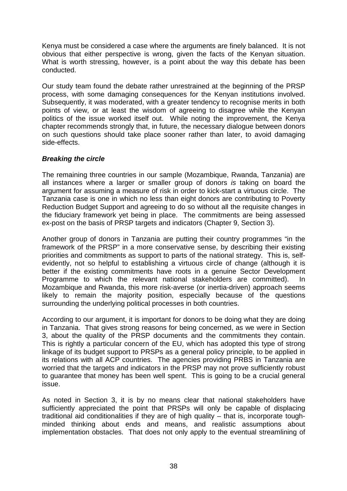Kenya must be considered a case where the arguments are finely balanced. It is not obvious that either perspective is wrong, given the facts of the Kenyan situation. What is worth stressing, however, is a point about the way this debate has been conducted.

Our study team found the debate rather unrestrained at the beginning of the PRSP process, with some damaging consequences for the Kenyan institutions involved. Subsequently, it was moderated, with a greater tendency to recognise merits in both points of view, or at least the wisdom of agreeing to disagree while the Kenyan politics of the issue worked itself out. While noting the improvement, the Kenya chapter recommends strongly that, in future, the necessary dialogue between donors on such questions should take place sooner rather than later, to avoid damaging side-effects.

## *Breaking the circle*

The remaining three countries in our sample (Mozambique, Rwanda, Tanzania) are all instances where a larger or smaller group of donors *is* taking on board the argument for assuming a measure of risk in order to kick-start a virtuous circle. The Tanzania case is one in which no less than eight donors are contributing to Poverty Reduction Budget Support and agreeing to do so without all the requisite changes in the fiduciary framework yet being in place. The commitments are being assessed ex-post on the basis of PRSP targets and indicators (Chapter 9, Section 3).

Another group of donors in Tanzania are putting their country programmes "in the framework of the PRSP" in a more conservative sense, by describing their existing priorities and commitments as support to parts of the national strategy. This is, selfevidently, not so helpful to establishing a virtuous circle of change (although it is better if the existing commitments have roots in a genuine Sector Development Programme to which the relevant national stakeholders are committed). In Mozambique and Rwanda, this more risk-averse (or inertia-driven) approach seems likely to remain the majority position, especially because of the questions surrounding the underlying political processes in both countries.

According to our argument, it is important for donors to be doing what they are doing in Tanzania. That gives strong reasons for being concerned, as we were in Section 3, about the quality of the PRSP documents and the commitments they contain. This is rightly a particular concern of the EU, which has adopted this type of strong linkage of its budget support to PRSPs as a general policy principle, to be applied in its relations with all ACP countries. The agencies providing PRBS in Tanzania are worried that the targets and indicators in the PRSP may not prove sufficiently robust to guarantee that money has been well spent. This is going to be a crucial general issue.

As noted in Section 3, it is by no means clear that national stakeholders have sufficiently appreciated the point that PRSPs will only be capable of displacing traditional aid conditionalities if they are of high quality – that is, incorporate toughminded thinking about ends and means, and realistic assumptions about implementation obstacles. That does not only apply to the eventual streamlining of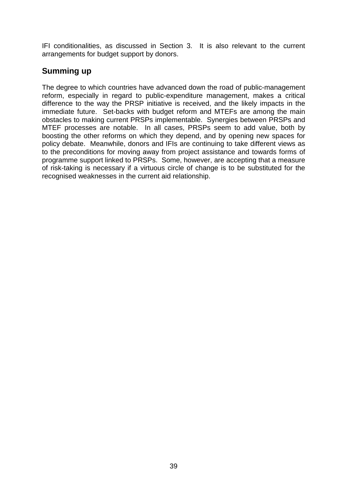IFI conditionalities, as discussed in Section 3. It is also relevant to the current arrangements for budget support by donors.

# **Summing up**

The degree to which countries have advanced down the road of public-management reform, especially in regard to public-expenditure management, makes a critical difference to the way the PRSP initiative is received, and the likely impacts in the immediate future. Set-backs with budget reform and MTEFs are among the main obstacles to making current PRSPs implementable. Synergies between PRSPs and MTEF processes are notable. In all cases, PRSPs seem to add value, both by boosting the other reforms on which they depend, and by opening new spaces for policy debate. Meanwhile, donors and IFIs are continuing to take different views as to the preconditions for moving away from project assistance and towards forms of programme support linked to PRSPs. Some, however, are accepting that a measure of risk-taking is necessary if a virtuous circle of change is to be substituted for the recognised weaknesses in the current aid relationship.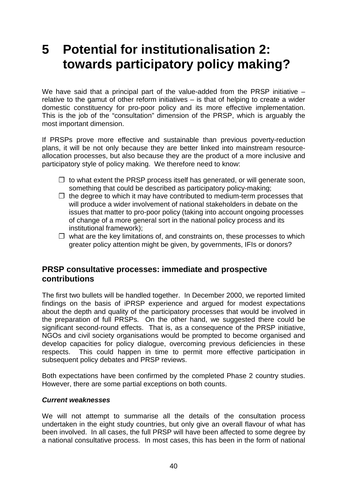# **5 Potential for institutionalisation 2: towards participatory policy making?**

We have said that a principal part of the value-added from the PRSP initiative – relative to the gamut of other reform initiatives – is that of helping to create a wider domestic constituency for pro-poor policy and its more effective implementation. This is the job of the "consultation" dimension of the PRSP, which is arguably the most important dimension.

If PRSPs prove more effective and sustainable than previous poverty-reduction plans, it will be not only because they are better linked into mainstream resourceallocation processes, but also because they are the product of a more inclusive and participatory style of policy making. We therefore need to know:

- $\Box$  to what extent the PRSP process itself has generated, or will generate soon, something that could be described as participatory policy-making;
- $\Box$  the degree to which it may have contributed to medium-term processes that will produce a wider involvement of national stakeholders in debate on the issues that matter to pro-poor policy (taking into account ongoing processes of change of a more general sort in the national policy process and its institutional framework);
- $\Box$  what are the key limitations of, and constraints on, these processes to which greater policy attention might be given, by governments, IFIs or donors?

## **PRSP consultative processes: immediate and prospective contributions**

The first two bullets will be handled together. In December 2000, we reported limited findings on the basis of iPRSP experience and argued for modest expectations about the depth and quality of the participatory processes that would be involved in the preparation of full PRSPs. On the other hand, we suggested there could be significant second-round effects. That is, as a consequence of the PRSP initiative, NGOs and civil society organisations would be prompted to become organised and develop capacities for policy dialogue, overcoming previous deficiencies in these respects. This could happen in time to permit more effective participation in subsequent policy debates and PRSP reviews.

Both expectations have been confirmed by the completed Phase 2 country studies. However, there are some partial exceptions on both counts.

## *Current weaknesses*

We will not attempt to summarise all the details of the consultation process undertaken in the eight study countries, but only give an overall flavour of what has been involved. In all cases, the full PRSP will have been affected to some degree by a national consultative process. In most cases, this has been in the form of national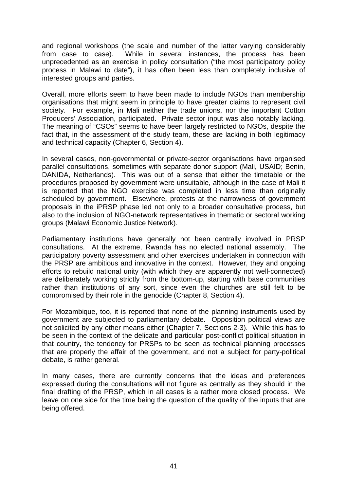and regional workshops (the scale and number of the latter varying considerably from case to case). While in several instances, the process has been unprecedented as an exercise in policy consultation ("the most participatory policy process in Malawi to date"), it has often been less than completely inclusive of interested groups and parties.

Overall, more efforts seem to have been made to include NGOs than membership organisations that might seem in principle to have greater claims to represent civil society. For example, in Mali neither the trade unions, nor the important Cotton Producers' Association, participated. Private sector input was also notably lacking. The meaning of "CSOs" seems to have been largely restricted to NGOs, despite the fact that, in the assessment of the study team, these are lacking in both legitimacy and technical capacity (Chapter 6, Section 4).

In several cases, non-governmental or private-sector organisations have organised parallel consultations, sometimes with separate donor support (Mali, USAID; Benin, DANIDA, Netherlands). This was out of a sense that either the timetable or the procedures proposed by government were unsuitable, although in the case of Mali it is reported that the NGO exercise was completed in less time than originally scheduled by government. Elsewhere, protests at the narrowness of government proposals in the iPRSP phase led not only to a broader consultative process, but also to the inclusion of NGO-network representatives in thematic or sectoral working groups (Malawi Economic Justice Network).

Parliamentary institutions have generally not been centrally involved in PRSP consultations. At the extreme, Rwanda has no elected national assembly. The participatory poverty assessment and other exercises undertaken in connection with the PRSP are ambitious and innovative in the context. However, they and ongoing efforts to rebuild national unity (with which they are apparently not well-connected) are deliberately working strictly from the bottom-up, starting with base communities rather than institutions of any sort, since even the churches are still felt to be compromised by their role in the genocide (Chapter 8, Section 4).

For Mozambique, too, it is reported that none of the planning instruments used by government are subjected to parliamentary debate. Opposition political views are not solicited by any other means either (Chapter 7, Sections 2-3). While this has to be seen in the context of the delicate and particular post-conflict political situation in that country, the tendency for PRSPs to be seen as technical planning processes that are properly the affair of the government, and not a subject for party-political debate, is rather general.

In many cases, there are currently concerns that the ideas and preferences expressed during the consultations will not figure as centrally as they should in the final drafting of the PRSP, which in all cases is a rather more closed process. We leave on one side for the time being the question of the quality of the inputs that are being offered.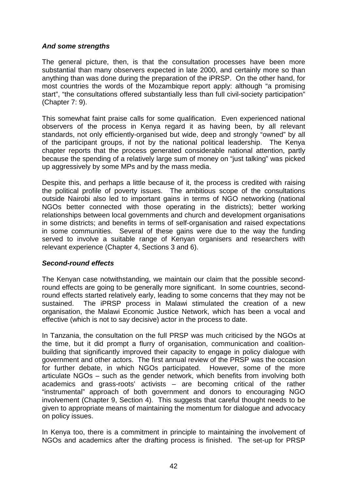## *And some strengths*

The general picture, then, is that the consultation processes have been more substantial than many observers expected in late 2000, and certainly more so than anything than was done during the preparation of the iPRSP. On the other hand, for most countries the words of the Mozambique report apply: although "a promising start", "the consultations offered substantially less than full civil-society participation" (Chapter 7: 9).

This somewhat faint praise calls for some qualification. Even experienced national observers of the process in Kenya regard it as having been, by all relevant standards, not only efficiently-organised but wide, deep and strongly "owned" by all of the participant groups, if not by the national political leadership. The Kenya chapter reports that the process generated considerable national attention, partly because the spending of a relatively large sum of money on "just talking" was picked up aggressively by some MPs and by the mass media.

Despite this, and perhaps a little because of it, the process is credited with raising the political profile of poverty issues. The ambitious scope of the consultations outside Nairobi also led to important gains in terms of NGO networking (national NGOs better connected with those operating in the districts); better working relationships between local governments and church and development organisations in some districts; and benefits in terms of self-organisation and raised expectations in some communities. Several of these gains were due to the way the funding served to involve a suitable range of Kenyan organisers and researchers with relevant experience (Chapter 4, Sections 3 and 6).

#### *Second-round effects*

The Kenyan case notwithstanding, we maintain our claim that the possible secondround effects are going to be generally more significant. In some countries, secondround effects started relatively early, leading to some concerns that they may not be sustained. The iPRSP process in Malawi stimulated the creation of a new organisation, the Malawi Economic Justice Network, which has been a vocal and effective (which is not to say decisive) actor in the process to date.

In Tanzania, the consultation on the full PRSP was much criticised by the NGOs at the time, but it did prompt a flurry of organisation, communication and coalitionbuilding that significantly improved their capacity to engage in policy dialogue with government and other actors. The first annual review of the PRSP was the occasion for further debate, in which NGOs participated. However, some of the more articulate NGOs – such as the gender network, which benefits from involving both academics and grass-roots' activists – are becoming critical of the rather "instrumental" approach of both government and donors to encouraging NGO involvement (Chapter 9, Section 4). This suggests that careful thought needs to be given to appropriate means of maintaining the momentum for dialogue and advocacy on policy issues.

In Kenya too, there is a commitment in principle to maintaining the involvement of NGOs and academics after the drafting process is finished. The set-up for PRSP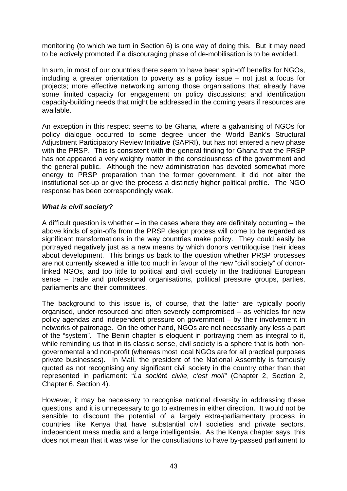monitoring (to which we turn in Section 6) is one way of doing this. But it may need to be actively promoted if a discouraging phase of de-mobilisation is to be avoided.

In sum, in most of our countries there seem to have been spin-off benefits for NGOs, including a greater orientation to poverty as a policy issue – not just a focus for projects; more effective networking among those organisations that already have some limited capacity for engagement on policy discussions; and identification capacity-building needs that might be addressed in the coming years if resources are available.

An exception in this respect seems to be Ghana, where a galvanising of NGOs for policy dialogue occurred to some degree under the World Bank's Structural Adjustment Participatory Review Initiative (SAPRI), but has not entered a new phase with the PRSP. This is consistent with the general finding for Ghana that the PRSP has not appeared a very weighty matter in the consciousness of the government and the general public. Although the new administration has devoted somewhat more energy to PRSP preparation than the former government, it did not alter the institutional set-up or give the process a distinctly higher political profile. The NGO response has been correspondingly weak.

#### *What is civil society?*

A difficult question is whether – in the cases where they are definitely occurring – the above kinds of spin-offs from the PRSP design process will come to be regarded as significant transformations in the way countries make policy. They could easily be portrayed negatively just as a new means by which donors ventriloquise their ideas about development. This brings us back to the question whether PRSP processes are not currently skewed a little too much in favour of the new "civil society" of donorlinked NGOs, and too little to political and civil society in the traditional European sense – trade and professional organisations, political pressure groups, parties, parliaments and their committees.

The background to this issue is, of course, that the latter are typically poorly organised, under-resourced and often severely compromised – as vehicles for new policy agendas and independent pressure on government – by their involvement in networks of patronage. On the other hand, NGOs are not necessarily any less a part of the "system". The Benin chapter is eloquent in portraying them as integral to it, while reminding us that in its classic sense, civil society is a sphere that is both nongovernmental and non-profit (whereas most local NGOs are for all practical purposes private businesses). In Mali, the president of the National Assembly is famously quoted as not recognising any significant civil society in the country other than that represented in parliament: "*La société civile, c'est moi!*" (Chapter 2, Section 2, Chapter 6, Section 4).

However, it may be necessary to recognise national diversity in addressing these questions, and it is unnecessary to go to extremes in either direction. It would not be sensible to discount the potential of a largely extra-parliamentary process in countries like Kenya that have substantial civil societies and private sectors, independent mass media and a large intelligentsia. As the Kenya chapter says, this does not mean that it was wise for the consultations to have by-passed parliament to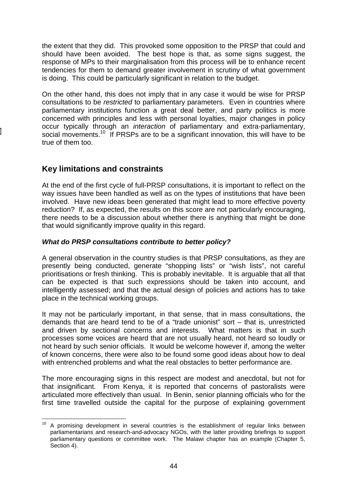the extent that they did. This provoked some opposition to the PRSP that could and should have been avoided. The best hope is that, as some signs suggest, the response of MPs to their marginalisation from this process will be to enhance recent tendencies for them to demand greater involvement in scrutiny of what government is doing. This could be particularly significant in relation to the budget.

On the other hand, this does not imply that in any case it would be wise for PRSP consultations to be *restricted* to parliamentary parameters. Even in countries where parliamentary institutions function a great deal better, and party politics is more concerned with principles and less with personal loyalties, major changes in policy occur typically through an *interaction* of parliamentary and extra-parliamentary, social movements.<sup>10</sup> If PRSPs are to be a significant innovation, this will have to be true of them too.

# **Key limitations and constraints**

At the end of the first cycle of full-PRSP consultations, it is important to reflect on the way issues have been handled as well as on the types of institutions that have been involved. Have new ideas been generated that might lead to more effective poverty reduction? If, as expected, the results on this score are not particularly encouraging, there needs to be a discussion about whether there is anything that might be done that would significantly improve quality in this regard.

## *What do PRSP consultations contribute to better policy?*

A general observation in the country studies is that PRSP consultations, as they are presently being conducted, generate "shopping lists" or "wish lists", not careful prioritisations or fresh thinking. This is probably inevitable. It is arguable that all that can be expected is that such expressions should be taken into account, and intelligently assessed; and that the actual design of policies and actions has to take place in the technical working groups.

It may not be particularly important, in that sense, that in mass consultations, the demands that are heard tend to be of a "trade unionist" sort – that is, unrestricted and driven by sectional concerns and interests. What matters is that in such processes some voices are heard that are not usually heard, not heard so loudly or not heard by such senior officials. It would be welcome however if, among the welter of known concerns, there were also to be found some good ideas about how to deal with entrenched problems and what the real obstacles to better performance are.

The more encouraging signs in this respect are modest and anecdotal, but not for that insignificant. From Kenya, it is reported that concerns of pastoralists were articulated more effectively than usual. In Benin, senior planning officials who for the first time travelled outside the capital for the purpose of explaining government

 $10$ 10 A promising development in several countries is the establishment of regular links between parliamentarians and research-and-advocacy NGOs, with the latter providing briefings to support parliamentary questions or committee work. The Malawi chapter has an example (Chapter 5, Section 4).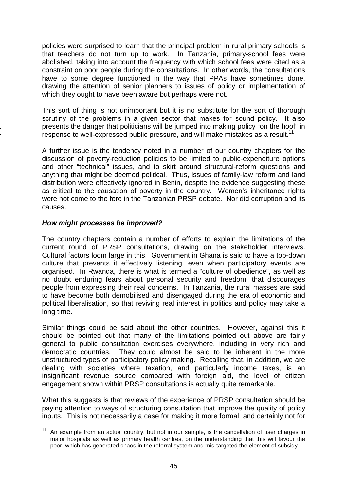policies were surprised to learn that the principal problem in rural primary schools is that teachers do not turn up to work. In Tanzania, primary-school fees were abolished, taking into account the frequency with which school fees were cited as a constraint on poor people during the consultations. In other words, the consultations have to some degree functioned in the way that PPAs have sometimes done, drawing the attention of senior planners to issues of policy or implementation of which they ought to have been aware but perhaps were not.

This sort of thing is not unimportant but it is no substitute for the sort of thorough scrutiny of the problems in a given sector that makes for sound policy. It also presents the danger that politicians will be jumped into making policy "on the hoof" in response to well-expressed public pressure, and will make mistakes as a result.<sup>11</sup>

A further issue is the tendency noted in a number of our country chapters for the discussion of poverty-reduction policies to be limited to public-expenditure options and other "technical" issues, and to skirt around structural-reform questions and anything that might be deemed political. Thus, issues of family-law reform and land distribution were effectively ignored in Benin, despite the evidence suggesting these as critical to the causation of poverty in the country. Women's inheritance rights were not come to the fore in the Tanzanian PRSP debate. Nor did corruption and its causes.

## *How might processes be improved?*

The country chapters contain a number of efforts to explain the limitations of the current round of PRSP consultations, drawing on the stakeholder interviews. Cultural factors loom large in this. Government in Ghana is said to have a top-down culture that prevents it effectively listening, even when participatory events are organised. In Rwanda, there is what is termed a "culture of obedience", as well as no doubt enduring fears about personal security and freedom, that discourages people from expressing their real concerns. In Tanzania, the rural masses are said to have become both demobilised and disengaged during the era of economic and political liberalisation, so that reviving real interest in politics and policy may take a long time.

Similar things could be said about the other countries. However, against this it should be pointed out that many of the limitations pointed out above are fairly general to public consultation exercises everywhere, including in very rich and democratic countries. They could almost be said to be inherent in the more unstructured types of participatory policy making. Recalling that, in addition, we are dealing with societies where taxation, and particularly income taxes, is an insignificant revenue source compared with foreign aid, the level of citizen engagement shown within PRSP consultations is actually quite remarkable.

What this suggests is that reviews of the experience of PRSP consultation should be paying attention to ways of structuring consultation that improve the quality of policy inputs. This is not necessarily a case for making it more formal, and certainly not for

 $11$ An example from an actual country, but not in our sample, is the cancellation of user charges in major hospitals as well as primary health centres, on the understanding that this will favour the poor, which has generated chaos in the referral system and mis-targeted the element of subsidy.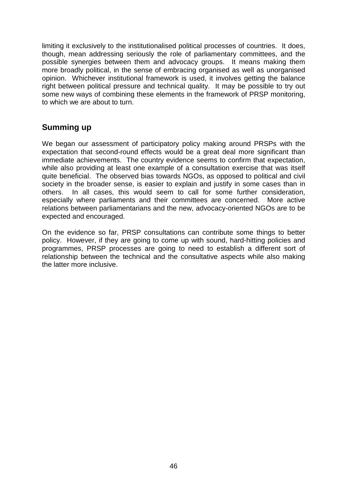limiting it exclusively to the institutionalised political processes of countries. It does, though, mean addressing seriously the role of parliamentary committees, and the possible synergies between them and advocacy groups. It means making them more broadly political, in the sense of embracing organised as well as unorganised opinion. Whichever institutional framework is used, it involves getting the balance right between political pressure and technical quality. It may be possible to try out some new ways of combining these elements in the framework of PRSP monitoring, to which we are about to turn.

# **Summing up**

We began our assessment of participatory policy making around PRSPs with the expectation that second-round effects would be a great deal more significant than immediate achievements. The country evidence seems to confirm that expectation, while also providing at least one example of a consultation exercise that was itself quite beneficial. The observed bias towards NGOs, as opposed to political and civil society in the broader sense, is easier to explain and justify in some cases than in others. In all cases, this would seem to call for some further consideration, especially where parliaments and their committees are concerned. More active relations between parliamentarians and the new, advocacy-oriented NGOs are to be expected and encouraged.

On the evidence so far, PRSP consultations can contribute some things to better policy. However, if they are going to come up with sound, hard-hitting policies and programmes, PRSP processes are going to need to establish a different sort of relationship between the technical and the consultative aspects while also making the latter more inclusive.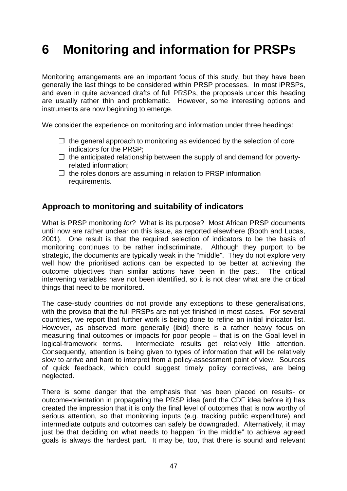# **6 Monitoring and information for PRSPs**

Monitoring arrangements are an important focus of this study, but they have been generally the last things to be considered within PRSP processes. In most iPRSPs, and even in quite advanced drafts of full PRSPs, the proposals under this heading are usually rather thin and problematic. However, some interesting options and instruments are now beginning to emerge.

We consider the experience on monitoring and information under three headings:

- $\Box$  the general approach to monitoring as evidenced by the selection of core indicators for the PRSP;
- $\square$  the anticipated relationship between the supply of and demand for povertyrelated information;
- $\square$  the roles donors are assuming in relation to PRSP information requirements.

# **Approach to monitoring and suitability of indicators**

What is PRSP monitoring *for*? What is its purpose? Most African PRSP documents until now are rather unclear on this issue, as reported elsewhere (Booth and Lucas, 2001). One result is that the required selection of indicators to be the basis of monitoring continues to be rather indiscriminate. Although they purport to be strategic, the documents are typically weak in the "middle". They do not explore very well how the prioritised actions can be expected to be better at achieving the outcome objectives than similar actions have been in the past. The critical intervening variables have not been identified, so it is not clear what are the critical things that need to be monitored.

The case-study countries do not provide any exceptions to these generalisations, with the proviso that the full PRSPs are not yet finished in most cases. For several countries, we report that further work is being done to refine an initial indicator list. However, as observed more generally (ibid) there is a rather heavy focus on measuring final outcomes or impacts for poor people – that is on the Goal level in logical-framework terms. Intermediate results get relatively little attention. Consequently, attention is being given to types of information that will be relatively slow to arrive and hard to interpret from a policy-assessment point of view. Sources of quick feedback, which could suggest timely policy correctives, are being neglected.

There is some danger that the emphasis that has been placed on results- or outcome-orientation in propagating the PRSP idea (and the CDF idea before it) has created the impression that it is only the final level of outcomes that is now worthy of serious attention, so that monitoring inputs (e.g. tracking public expenditure) and intermediate outputs and outcomes can safely be downgraded. Alternatively, it may just be that deciding on what needs to happen "in the middle" to achieve agreed goals is always the hardest part. It may be, too, that there is sound and relevant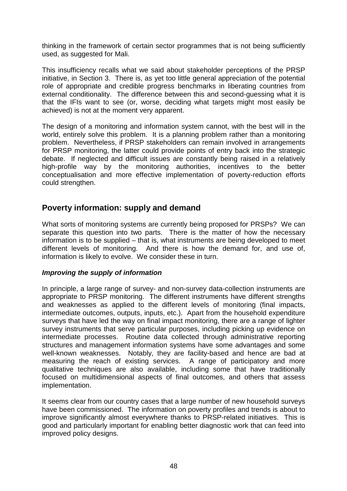thinking in the framework of certain sector programmes that is not being sufficiently used, as suggested for Mali.

This insufficiency recalls what we said about stakeholder perceptions of the PRSP initiative, in Section 3. There is, as yet too little general appreciation of the potential role of appropriate and credible progress benchmarks in liberating countries from external conditionality. The difference between this and second-guessing what it is that the IFIs want to see (or, worse, deciding what targets might most easily be achieved) is not at the moment very apparent.

The design of a monitoring and information system cannot, with the best will in the world, entirely solve this problem. It is a planning problem rather than a monitoring problem. Nevertheless, if PRSP stakeholders can remain involved in arrangements for PRSP monitoring, the latter could provide points of entry back into the strategic debate. If neglected and difficult issues are constantly being raised in a relatively high-profile way by the monitoring authorities, incentives to the better conceptualisation and more effective implementation of poverty-reduction efforts could strengthen.

# **Poverty information: supply and demand**

What sorts of monitoring systems are currently being proposed for PRSPs? We can separate this question into two parts. There is the matter of how the necessary information is to be supplied – that is, what instruments are being developed to meet different levels of monitoring. And there is how the demand for, and use of, information is likely to evolve. We consider these in turn.

## *Improving the supply of information*

In principle, a large range of survey- and non-survey data-collection instruments are appropriate to PRSP monitoring. The different instruments have different strengths and weaknesses as applied to the different levels of monitoring (final impacts, intermediate outcomes, outputs, inputs, etc.). Apart from the household expenditure surveys that have led the way on final impact monitoring, there are a range of lighter survey instruments that serve particular purposes, including picking up evidence on intermediate processes. Routine data collected through administrative reporting structures and management information systems have some advantages and some well-known weaknesses. Notably, they are facility-based and hence are bad at measuring the reach of existing services. A range of participatory and more qualitative techniques are also available, including some that have traditionally focused on multidimensional aspects of final outcomes, and others that assess implementation.

It seems clear from our country cases that a large number of new household surveys have been commissioned. The information on poverty profiles and trends is about to improve significantly almost everywhere thanks to PRSP-related initiatives. This is good and particularly important for enabling better diagnostic work that can feed into improved policy designs.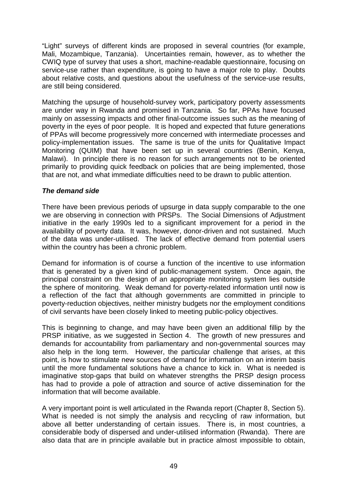"Light" surveys of different kinds are proposed in several countries (for example, Mali, Mozambique, Tanzania). Uncertainties remain, however, as to whether the CWIQ type of survey that uses a short, machine-readable questionnaire, focusing on service-use rather than expenditure, is going to have a major role to play. Doubts about relative costs, and questions about the usefulness of the service-use results, are still being considered.

Matching the upsurge of household-survey work, participatory poverty assessments are under way in Rwanda and promised in Tanzania. So far, PPAs have focused mainly on assessing impacts and other final-outcome issues such as the meaning of poverty in the eyes of poor people. It is hoped and expected that future generations of PPAs will become progressively more concerned with intermediate processes and policy-implementation issues. The same is true of the units for Qualitative Impact Monitoring (QUIM) that have been set up in several countries (Benin, Kenya, Malawi). In principle there is no reason for such arrangements not to be oriented primarily to providing quick feedback on policies that are being implemented, those that are not, and what immediate difficulties need to be drawn to public attention.

#### *The demand side*

There have been previous periods of upsurge in data supply comparable to the one we are observing in connection with PRSPs. The Social Dimensions of Adjustment initiative in the early 1990s led to a significant improvement for a period in the availability of poverty data. It was, however, donor-driven and not sustained. Much of the data was under-utilised. The lack of effective demand from potential users within the country has been a chronic problem.

Demand for information is of course a function of the incentive to use information that is generated by a given kind of public-management system. Once again, the principal constraint on the design of an appropriate monitoring system lies outside the sphere of monitoring. Weak demand for poverty-related information until now is a reflection of the fact that although governments are committed in principle to poverty-reduction objectives, neither ministry budgets nor the employment conditions of civil servants have been closely linked to meeting public-policy objectives.

This is beginning to change, and may have been given an additional fillip by the PRSP initiative, as we suggested in Section 4. The growth of new pressures and demands for accountability from parliamentary and non-governmental sources may also help in the long term. However, the particular challenge that arises, at this point, is how to stimulate new sources of demand for information on an interim basis until the more fundamental solutions have a chance to kick in. What is needed is imaginative stop-gaps that build on whatever strengths the PRSP design process has had to provide a pole of attraction and source of active dissemination for the information that will become available.

A very important point is well articulated in the Rwanda report (Chapter 8, Section 5). What is needed is not simply the analysis and recycling of raw information, but above all better understanding of certain issues. There is, in most countries, a considerable body of dispersed and under-utilised information (Rwanda). There are also data that are in principle available but in practice almost impossible to obtain,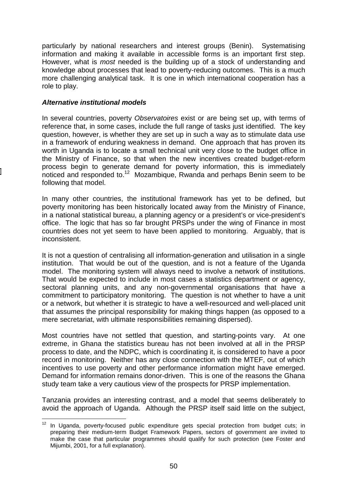particularly by national researchers and interest groups (Benin). Systematising information and making it available in accessible forms is an important first step. However, what is *most* needed is the building up of a stock of understanding and knowledge about processes that lead to poverty-reducing outcomes. This is a much more challenging analytical task. It is one in which international cooperation has a role to play.

#### *Alternative institutional models*

In several countries, poverty *Observatoires* exist or are being set up, with terms of reference that, in some cases, include the full range of tasks just identified. The key question, however, is whether they are set up in such a way as to stimulate data use in a framework of enduring weakness in demand. One approach that has proven its worth in Uganda is to locate a small technical unit very close to the budget office in the Ministry of Finance, so that when the new incentives created budget-reform process begin to generate demand for poverty information, this is immediately noticed and responded to.<sup>12</sup> Mozambique, Rwanda and perhaps Benin seem to be following that model.

In many other countries, the institutional framework has yet to be defined, but poverty monitoring has been historically located away from the Ministry of Finance, in a national statistical bureau, a planning agency or a president's or vice-president's office. The logic that has so far brought PRSPs under the wing of Finance in most countries does not yet seem to have been applied to monitoring. Arguably, that is inconsistent.

It is not a question of centralising all information-generation and utilisation in a single institution. That would be out of the question, and is not a feature of the Uganda model. The monitoring system will always need to involve a network of institutions. That would be expected to include in most cases a statistics department or agency, sectoral planning units, and any non-governmental organisations that have a commitment to participatory monitoring. The question is not whether to have a unit or a network, but whether it is strategic to have a well-resourced and well-placed unit that assumes the principal responsibility for making things happen (as opposed to a mere secretariat, with ultimate responsibilities remaining dispersed).

Most countries have not settled that question, and starting-points vary. At one extreme, in Ghana the statistics bureau has not been involved at all in the PRSP process to date, and the NDPC, which is coordinating it, is considered to have a poor record in monitoring. Neither has any close connection with the MTEF, out of which incentives to use poverty and other performance information might have emerged. Demand for information remains donor-driven. This is one of the reasons the Ghana study team take a very cautious view of the prospects for PRSP implementation.

Tanzania provides an interesting contrast, and a model that seems deliberately to avoid the approach of Uganda. Although the PRSP itself said little on the subject,

 $12$ In Uganda, poverty-focused public expenditure gets special protection from budget cuts; in preparing their medium-term Budget Framework Papers, sectors of government are invited to make the case that particular programmes should qualify for such protection (see Foster and Mijumbi, 2001, for a full explanation).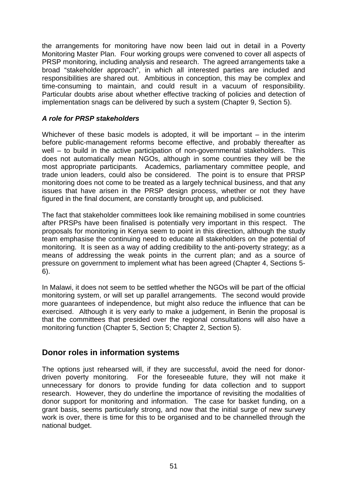the arrangements for monitoring have now been laid out in detail in a Poverty Monitoring Master Plan. Four working groups were convened to cover all aspects of PRSP monitoring, including analysis and research. The agreed arrangements take a broad "stakeholder approach", in which all interested parties are included and responsibilities are shared out. Ambitious in conception, this may be complex and time-consuming to maintain, and could result in a vacuum of responsibility. Particular doubts arise about whether effective tracking of policies and detection of implementation snags can be delivered by such a system (Chapter 9, Section 5).

## *A role for PRSP stakeholders*

Whichever of these basic models is adopted, it will be important – in the interim before public-management reforms become effective, and probably thereafter as well – to build in the active participation of non-governmental stakeholders. This does not automatically mean NGOs, although in some countries they will be the most appropriate participants. Academics, parliamentary committee people, and trade union leaders, could also be considered. The point is to ensure that PRSP monitoring does not come to be treated as a largely technical business, and that any issues that have arisen in the PRSP design process, whether or not they have figured in the final document, are constantly brought up, and publicised.

The fact that stakeholder committees look like remaining mobilised in some countries after PRSPs have been finalised is potentially very important in this respect. The proposals for monitoring in Kenya seem to point in this direction, although the study team emphasise the continuing need to educate all stakeholders on the potential of monitoring. It is seen as a way of adding credibility to the anti-poverty strategy; as a means of addressing the weak points in the current plan; and as a source of pressure on government to implement what has been agreed (Chapter 4, Sections 5- 6).

In Malawi, it does not seem to be settled whether the NGOs will be part of the official monitoring system, or will set up parallel arrangements. The second would provide more guarantees of independence, but might also reduce the influence that can be exercised. Although it is very early to make a judgement, in Benin the proposal is that the committees that presided over the regional consultations will also have a monitoring function (Chapter 5, Section 5; Chapter 2, Section 5).

## **Donor roles in information systems**

The options just rehearsed will, if they are successful, avoid the need for donordriven poverty monitoring. For the foreseeable future, they will not make it unnecessary for donors to provide funding for data collection and to support research. However, they do underline the importance of revisiting the modalities of donor support for monitoring and information. The case for basket funding, on a grant basis, seems particularly strong, and now that the initial surge of new survey work is over, there is time for this to be organised and to be channelled through the national budget.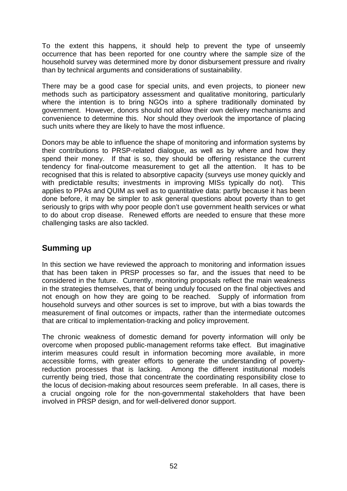To the extent this happens, it should help to prevent the type of unseemly occurrence that has been reported for one country where the sample size of the household survey was determined more by donor disbursement pressure and rivalry than by technical arguments and considerations of sustainability.

There may be a good case for special units, and even projects, to pioneer new methods such as participatory assessment and qualitative monitoring, particularly where the intention is to bring NGOs into a sphere traditionally dominated by government. However, donors should not allow their own delivery mechanisms and convenience to determine this. Nor should they overlook the importance of placing such units where they are likely to have the most influence.

Donors may be able to influence the shape of monitoring and information systems by their contributions to PRSP-related dialogue, as well as by where and how they spend their money. If that is so, they should be offering resistance the current tendency for final-outcome measurement to get all the attention. It has to be recognised that this is related to absorptive capacity (surveys use money quickly and with predictable results; investments in improving MISs typically do not). This applies to PPAs and QUIM as well as to quantitative data: partly because it has been done before, it may be simpler to ask general questions about poverty than to get seriously to grips with why poor people don't use government health services or what to do about crop disease. Renewed efforts are needed to ensure that these more challenging tasks are also tackled.

# **Summing up**

In this section we have reviewed the approach to monitoring and information issues that has been taken in PRSP processes so far, and the issues that need to be considered in the future. Currently, monitoring proposals reflect the main weakness in the strategies themselves, that of being unduly focused on the final objectives and not enough on how they are going to be reached. Supply of information from household surveys and other sources is set to improve, but with a bias towards the measurement of final outcomes or impacts, rather than the intermediate outcomes that are critical to implementation-tracking and policy improvement.

The chronic weakness of domestic demand for poverty information will only be overcome when proposed public-management reforms take effect. But imaginative interim measures could result in information becoming more available, in more accessible forms, with greater efforts to generate the understanding of povertyreduction processes that is lacking. Among the different institutional models currently being tried, those that concentrate the coordinating responsibility close to the locus of decision-making about resources seem preferable. In all cases, there is a crucial ongoing role for the non-governmental stakeholders that have been involved in PRSP design, and for well-delivered donor support.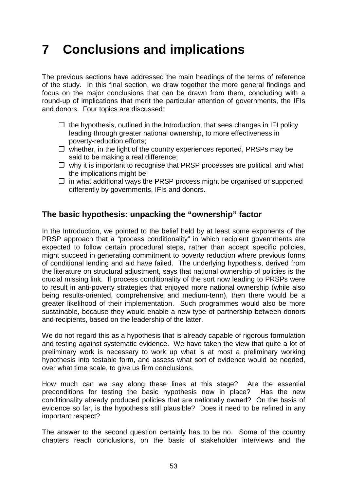# **7 Conclusions and implications**

The previous sections have addressed the main headings of the terms of reference of the study. In this final section, we draw together the more general findings and focus on the major conclusions that can be drawn from them, concluding with a round-up of implications that merit the particular attention of governments, the IFIs and donors. Four topics are discussed:

- $\Box$  the hypothesis, outlined in the Introduction, that sees changes in IFI policy leading through greater national ownership, to more effectiveness in poverty-reduction efforts;
- $\Box$  whether, in the light of the country experiences reported, PRSPs may be said to be making a real difference;
- $\Box$  why it is important to recognise that PRSP processes are political, and what the implications might be;
- $\square$  in what additional ways the PRSP process might be organised or supported differently by governments, IFIs and donors.

# **The basic hypothesis: unpacking the "ownership" factor**

In the Introduction, we pointed to the belief held by at least some exponents of the PRSP approach that a "process conditionality" in which recipient governments are expected to follow certain procedural steps, rather than accept specific policies, might succeed in generating commitment to poverty reduction where previous forms of conditional lending and aid have failed. The underlying hypothesis, derived from the literature on structural adjustment, says that national ownership of policies is the crucial missing link. If process conditionality of the sort now leading to PRSPs were to result in anti-poverty strategies that enjoyed more national ownership (while also being results-oriented, comprehensive and medium-term), then there would be a greater likelihood of their implementation. Such programmes would also be more sustainable, because they would enable a new type of partnership between donors and recipients, based on the leadership of the latter.

We do not regard this as a hypothesis that is already capable of rigorous formulation and testing against systematic evidence. We have taken the view that quite a lot of preliminary work is necessary to work up what is at most a preliminary working hypothesis into testable form, and assess what sort of evidence would be needed, over what time scale, to give us firm conclusions.

How much can we say along these lines at this stage? Are the essential preconditions for testing the basic hypothesis now in place? Has the new conditionality already produced policies that are nationally owned? On the basis of evidence so far, is the hypothesis still plausible? Does it need to be refined in any important respect?

The answer to the second question certainly has to be no. Some of the country chapters reach conclusions, on the basis of stakeholder interviews and the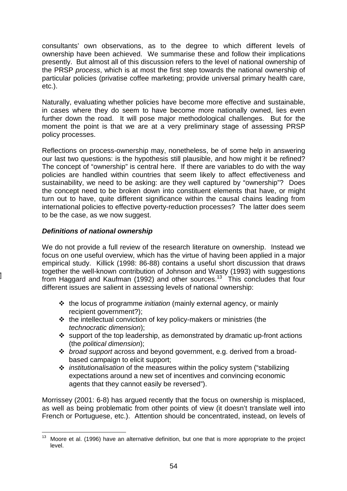consultants' own observations, as to the degree to which different levels of ownership have been achieved. We summarise these and follow their implications presently. But almost all of this discussion refers to the level of national ownership of the PRSP *process*, which is at most the first step towards the national ownership of particular policies (privatise coffee marketing; provide universal primary health care, etc.).

Naturally, evaluating whether policies have become more effective and sustainable, in cases where they do seem to have become more nationally owned, lies even further down the road. It will pose major methodological challenges. But for the moment the point is that we are at a very preliminary stage of assessing PRSP policy processes.

Reflections on process-ownership may, nonetheless, be of some help in answering our last two questions: is the hypothesis still plausible, and how might it be refined? The concept of "ownership" is central here. If there are variables to do with the way policies are handled within countries that seem likely to affect effectiveness and sustainability, we need to be asking: are they well captured by "ownership"? Does the concept need to be broken down into constituent elements that have, or might turn out to have, quite different significance within the causal chains leading from international policies to effective poverty-reduction processes? The latter does seem to be the case, as we now suggest.

## *Definitions of national ownership*

We do not provide a full review of the research literature on ownership. Instead we focus on one useful overview, which has the virtue of having been applied in a major empirical study. Killick (1998: 86-88) contains a useful short discussion that draws together the well-known contribution of Johnson and Wasty (1993) with suggestions from Haggard and Kaufman (1992) and other sources.<sup>13</sup> This concludes that four different issues are salient in assessing levels of national ownership:

- " the locus of programme *initiation* (mainly external agency, or mainly recipient government?);
- $\cdot \cdot$  the intellectual conviction of key policy-makers or ministries (the *technocratic dimension*);
- \* support of the top leadership, as demonstrated by dramatic up-front actions (the *political dimension*);
- " *broad support* across and beyond government, e.g. derived from a broadbased campaign to elicit support;
- " *institutionalisation* of the measures within the policy system ("stabilizing expectations around a new set of incentives and convincing economic agents that they cannot easily be reversed").

Morrissey (2001: 6-8) has argued recently that the focus on ownership is misplaced, as well as being problematic from other points of view (it doesn't translate well into French or Portuguese, etc.). Attention should be concentrated, instead, on levels of

 $13$ Moore et al. (1996) have an alternative definition, but one that is more appropriate to the project level.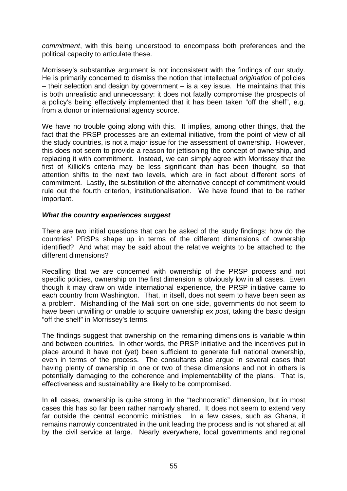*commitment*, with this being understood to encompass both preferences and the political capacity to articulate these.

Morrissey's substantive argument is not inconsistent with the findings of our study. He is primarily concerned to dismiss the notion that intellectual *origination* of policies  $-$  their selection and design by government  $-$  is a key issue. He maintains that this is both unrealistic and unnecessary: it does not fatally compromise the prospects of a policy's being effectively implemented that it has been taken "off the shelf", e.g. from a donor or international agency source.

We have no trouble going along with this. It implies, among other things, that the fact that the PRSP processes are an external initiative, from the point of view of all the study countries, is not a major issue for the assessment of ownership. However, this does not seem to provide a reason for jettisoning the concept of ownership, and replacing it with commitment. Instead, we can simply agree with Morrissey that the first of Killick's criteria may be less significant than has been thought, so that attention shifts to the next two levels, which are in fact about different sorts of commitment. Lastly, the substitution of the alternative concept of commitment would rule out the fourth criterion, institutionalisation. We have found that to be rather important.

#### *What the country experiences suggest*

There are two initial questions that can be asked of the study findings: how do the countries' PRSPs shape up in terms of the different dimensions of ownership identified? And what may be said about the relative weights to be attached to the different dimensions?

Recalling that we are concerned with ownership of the PRSP process and not specific policies, ownership on the first dimension is obviously low in all cases. Even though it may draw on wide international experience, the PRSP initiative came to each country from Washington. That, in itself, does not seem to have been seen as a problem. Mishandling of the Mali sort on one side, governments do not seem to have been unwilling or unable to acquire ownership *ex post*, taking the basic design "off the shelf" in Morrissey's terms.

The findings suggest that ownership on the remaining dimensions is variable within and between countries. In other words, the PRSP initiative and the incentives put in place around it have not (yet) been sufficient to generate full national ownership, even in terms of the process. The consultants also argue in several cases that having plenty of ownership in one or two of these dimensions and not in others is potentially damaging to the coherence and implementability of the plans. That is, effectiveness and sustainability are likely to be compromised.

In all cases, ownership is quite strong in the "technocratic" dimension, but in most cases this has so far been rather narrowly shared. It does not seem to extend very far outside the central economic ministries. In a few cases, such as Ghana, it remains narrowly concentrated in the unit leading the process and is not shared at all by the civil service at large. Nearly everywhere, local governments and regional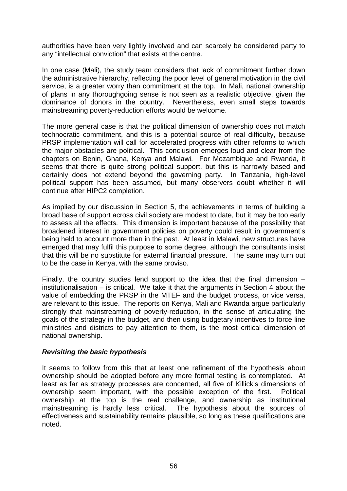authorities have been very lightly involved and can scarcely be considered party to any "intellectual conviction" that exists at the centre.

In one case (Mali), the study team considers that lack of commitment further down the administrative hierarchy, reflecting the poor level of general motivation in the civil service, is a greater worry than commitment at the top. In Mali, national ownership of plans in any thoroughgoing sense is not seen as a realistic objective, given the dominance of donors in the country. Nevertheless, even small steps towards mainstreaming poverty-reduction efforts would be welcome.

The more general case is that the political dimension of ownership does not match technocratic commitment, and this is a potential source of real difficulty, because PRSP implementation will call for accelerated progress with other reforms to which the major obstacles are political. This conclusion emerges loud and clear from the chapters on Benin, Ghana, Kenya and Malawi. For Mozambique and Rwanda, it seems that there is quite strong political support, but this is narrowly based and certainly does not extend beyond the governing party. In Tanzania, high-level political support has been assumed, but many observers doubt whether it will continue after HIPC2 completion.

As implied by our discussion in Section 5, the achievements in terms of building a broad base of support across civil society are modest to date, but it may be too early to assess all the effects. This dimension is important because of the possibility that broadened interest in government policies on poverty could result in government's being held to account more than in the past. At least in Malawi, new structures have emerged that may fulfil this purpose to some degree, although the consultants insist that this will be no substitute for external financial pressure. The same may turn out to be the case in Kenya, with the same proviso.

Finally, the country studies lend support to the idea that the final dimension – institutionalisation – is critical. We take it that the arguments in Section 4 about the value of embedding the PRSP in the MTEF and the budget process, or vice versa, are relevant to this issue. The reports on Kenya, Mali and Rwanda argue particularly strongly that mainstreaming of poverty-reduction, in the sense of articulating the goals of the strategy in the budget, and then using budgetary incentives to force line ministries and districts to pay attention to them, is the most critical dimension of national ownership.

#### *Revisiting the basic hypothesis*

It seems to follow from this that at least one refinement of the hypothesis about ownership should be adopted before any more formal testing is contemplated. At least as far as strategy processes are concerned, all five of Killick's dimensions of ownership seem important, with the possible exception of the first. Political ownership at the top is the real challenge, and ownership as institutional mainstreaming is hardly less critical. The hypothesis about the sources of effectiveness and sustainability remains plausible, so long as these qualifications are noted.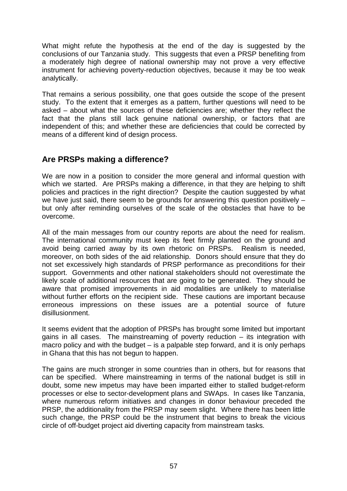What might refute the hypothesis at the end of the day is suggested by the conclusions of our Tanzania study. This suggests that even a PRSP benefiting from a moderately high degree of national ownership may not prove a very effective instrument for achieving poverty-reduction objectives, because it may be too weak analytically.

That remains a serious possibility, one that goes outside the scope of the present study. To the extent that it emerges as a pattern, further questions will need to be asked – about what the sources of these deficiencies are; whether they reflect the fact that the plans still lack genuine national ownership, or factors that are independent of this; and whether these are deficiencies that could be corrected by means of a different kind of design process.

# **Are PRSPs making a difference?**

We are now in a position to consider the more general and informal question with which we started. Are PRSPs making a difference, in that they are helping to shift policies and practices in the right direction? Despite the caution suggested by what we have just said, there seem to be grounds for answering this question positively – but only after reminding ourselves of the scale of the obstacles that have to be overcome.

All of the main messages from our country reports are about the need for realism. The international community must keep its feet firmly planted on the ground and avoid being carried away by its own rhetoric on PRSPs. Realism is needed, moreover, on both sides of the aid relationship. Donors should ensure that they do not set excessively high standards of PRSP performance as preconditions for their support. Governments and other national stakeholders should not overestimate the likely scale of additional resources that are going to be generated. They should be aware that promised improvements in aid modalities are unlikely to materialise without further efforts on the recipient side. These cautions are important because erroneous impressions on these issues are a potential source of future disillusionment.

It seems evident that the adoption of PRSPs has brought some limited but important gains in all cases. The mainstreaming of poverty reduction – its integration with macro policy and with the budget – is a palpable step forward, and it is only perhaps in Ghana that this has not begun to happen.

The gains are much stronger in some countries than in others, but for reasons that can be specified. Where mainstreaming in terms of the national budget is still in doubt, some new impetus may have been imparted either to stalled budget-reform processes or else to sector-development plans and SWAps. In cases like Tanzania, where numerous reform initiatives and changes in donor behaviour preceded the PRSP, the additionality from the PRSP may seem slight. Where there has been little such change, the PRSP could be the instrument that begins to break the vicious circle of off-budget project aid diverting capacity from mainstream tasks.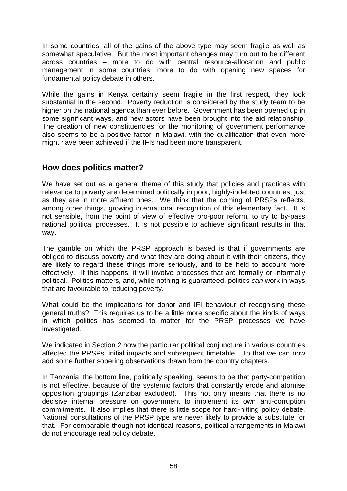In some countries, all of the gains of the above type may seem fragile as well as somewhat speculative. But the most important changes may turn out to be different across countries – more to do with central resource-allocation and public management in some countries, more to do with opening new spaces for fundamental policy debate in others.

While the gains in Kenya certainly seem fragile in the first respect, they look substantial in the second. Poverty reduction is considered by the study team to be higher on the national agenda than ever before. Government has been opened up in some significant ways, and new actors have been brought into the aid relationship. The creation of new constituencies for the monitoring of government performance also seems to be a positive factor in Malawi, with the qualification that even more might have been achieved if the IFIs had been more transparent.

## **How does politics matter?**

We have set out as a general theme of this study that policies and practices with relevance to poverty are determined politically in poor, highly-indebted countries, just as they are in more affluent ones. We think that the coming of PRSPs reflects, among other things, growing international recognition of this elementary fact. It is not sensible, from the point of view of effective pro-poor reform, to try to by-pass national political processes. It is not possible to achieve significant results in that way.

The gamble on which the PRSP approach is based is that if governments are obliged to discuss poverty and what they are doing about it with their citizens, they are likely to regard these things more seriously, and to be held to account more effectively. If this happens, it will involve processes that are formally or informally political. Politics matters, and, while nothing is guaranteed, politics *can* work in ways that are favourable to reducing poverty.

What could be the implications for donor and IFI behaviour of recognising these general truths? This requires us to be a little more specific about the kinds of ways in which politics has seemed to matter for the PRSP processes we have investigated.

We indicated in Section 2 how the particular political conjuncture in various countries affected the PRSPs' initial impacts and subsequent timetable. To that we can now add some further sobering observations drawn from the country chapters.

In Tanzania, the bottom line, politically speaking, seems to be that party-competition is not effective, because of the systemic factors that constantly erode and atomise opposition groupings (Zanzibar excluded). This not only means that there is no decisive internal pressure on government to implement its own anti-corruption commitments. It also implies that there is little scope for hard-hitting policy debate. National consultations of the PRSP type are never likely to provide a substitute for that. For comparable though not identical reasons, political arrangements in Malawi do not encourage real policy debate.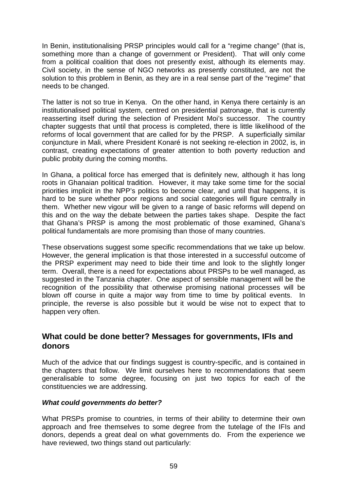In Benin, institutionalising PRSP principles would call for a "regime change" (that is, something more than a change of government or President). That will only come from a political coalition that does not presently exist, although its elements may. Civil society, in the sense of NGO networks as presently constituted, are not the solution to this problem in Benin, as they are in a real sense part of the "regime" that needs to be changed.

The latter is not so true in Kenya. On the other hand, in Kenya there certainly is an institutionalised political system, centred on presidential patronage, that is currently reasserting itself during the selection of President Moi's successor. The country chapter suggests that until that process is completed, there is little likelihood of the reforms of local government that are called for by the PRSP. A superficially similar conjuncture in Mali, where President Konaré is not seeking re-election in 2002, is, in contrast, creating expectations of greater attention to both poverty reduction and public probity during the coming months.

In Ghana, a political force has emerged that is definitely new, although it has long roots in Ghanaian political tradition. However, it may take some time for the social priorities implicit in the NPP's politics to become clear, and until that happens, it is hard to be sure whether poor regions and social categories will figure centrally in them. Whether new vigour will be given to a range of basic reforms will depend on this and on the way the debate between the parties takes shape. Despite the fact that Ghana's PRSP is among the most problematic of those examined, Ghana's political fundamentals are more promising than those of many countries.

These observations suggest some specific recommendations that we take up below. However, the general implication is that those interested in a successful outcome of the PRSP experiment may need to bide their time and look to the slightly longer term. Overall, there is a need for expectations about PRSPs to be well managed, as suggested in the Tanzania chapter. One aspect of sensible management will be the recognition of the possibility that otherwise promising national processes will be blown off course in quite a major way from time to time by political events. In principle, the reverse is also possible but it would be wise not to expect that to happen very often.

## **What could be done better? Messages for governments, IFIs and donors**

Much of the advice that our findings suggest is country-specific, and is contained in the chapters that follow. We limit ourselves here to recommendations that seem generalisable to some degree, focusing on just two topics for each of the constituencies we are addressing.

#### *What could governments do better?*

What PRSPs promise to countries, in terms of their ability to determine their own approach and free themselves to some degree from the tutelage of the IFIs and donors, depends a great deal on what governments do. From the experience we have reviewed, two things stand out particularly: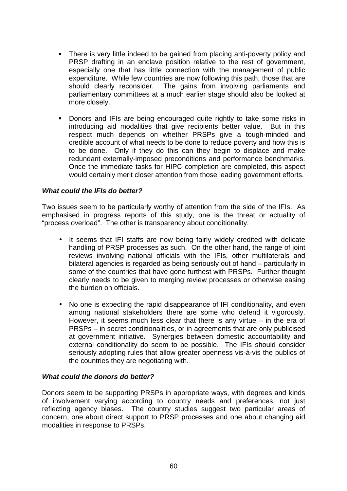- **EXT** There is very little indeed to be gained from placing anti-poverty policy and PRSP drafting in an enclave position relative to the rest of government, especially one that has little connection with the management of public expenditure. While few countries are now following this path, those that are should clearly reconsider. The gains from involving parliaments and parliamentary committees at a much earlier stage should also be looked at more closely.
- Donors and IFIs are being encouraged quite rightly to take some risks in introducing aid modalities that give recipients better value. But in this respect much depends on whether PRSPs give a tough-minded and credible account of what needs to be done to reduce poverty and how this is to be done. Only if they do this can they begin to displace and make redundant externally-imposed preconditions and performance benchmarks. Once the immediate tasks for HIPC completion are completed, this aspect would certainly merit closer attention from those leading government efforts.

#### *What could the IFIs do better?*

Two issues seem to be particularly worthy of attention from the side of the IFIs. As emphasised in progress reports of this study, one is the threat or actuality of "process overload". The other is transparency about conditionality.

- It seems that IFI staffs are now being fairly widely credited with delicate handling of PRSP processes as such. On the other hand, the range of joint reviews involving national officials with the IFIs, other multilaterals and bilateral agencies is regarded as being seriously out of hand – particularly in some of the countries that have gone furthest with PRSPs. Further thought clearly needs to be given to merging review processes or otherwise easing the burden on officials.
- No one is expecting the rapid disappearance of IFI conditionality, and even among national stakeholders there are some who defend it vigorously. However, it seems much less clear that there is any virtue  $-$  in the era of PRSPs – in secret conditionalities, or in agreements that are only publicised at government initiative. Synergies between domestic accountability and external conditionality do seem to be possible. The IFIs should consider seriously adopting rules that allow greater openness vis-à-vis the publics of the countries they are negotiating with.

#### *What could the donors do better?*

Donors seem to be supporting PRSPs in appropriate ways, with degrees and kinds of involvement varying according to country needs and preferences, not just reflecting agency biases. The country studies suggest two particular areas of concern, one about direct support to PRSP processes and one about changing aid modalities in response to PRSPs.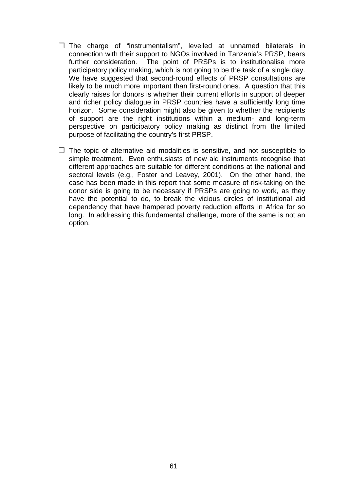- ❐ The charge of "instrumentalism", levelled at unnamed bilaterals in connection with their support to NGOs involved in Tanzania's PRSP, bears further consideration. The point of PRSPs is to institutionalise more participatory policy making, which is not going to be the task of a single day. We have suggested that second-round effects of PRSP consultations are likely to be much more important than first-round ones. A question that this clearly raises for donors is whether their current efforts in support of deeper and richer policy dialogue in PRSP countries have a sufficiently long time horizon. Some consideration might also be given to whether the recipients of support are the right institutions within a medium- and long-term perspective on participatory policy making as distinct from the limited purpose of facilitating the country's first PRSP.
- $\square$  The topic of alternative aid modalities is sensitive, and not susceptible to simple treatment. Even enthusiasts of new aid instruments recognise that different approaches are suitable for different conditions at the national and sectoral levels (e.g., Foster and Leavey, 2001). On the other hand, the case has been made in this report that some measure of risk-taking on the donor side is going to be necessary if PRSPs are going to work, as they have the potential to do, to break the vicious circles of institutional aid dependency that have hampered poverty reduction efforts in Africa for so long. In addressing this fundamental challenge, more of the same is not an option.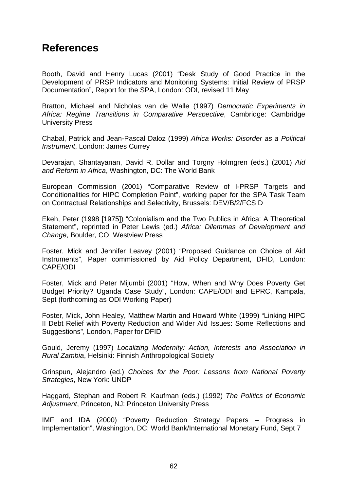## **References**

Booth, David and Henry Lucas (2001) "Desk Study of Good Practice in the Development of PRSP Indicators and Monitoring Systems: Initial Review of PRSP Documentation", Report for the SPA, London: ODI, revised 11 May

Bratton, Michael and Nicholas van de Walle (1997) *Democratic Experiments in Africa: Regime Transitions in Comparative Perspective*, Cambridge: Cambridge University Press

Chabal, Patrick and Jean-Pascal Daloz (1999) *Africa Works: Disorder as a Political Instrument*, London: James Currey

Devarajan, Shantayanan, David R. Dollar and Torgny Holmgren (eds.) (2001) *Aid and Reform in Africa*, Washington, DC: The World Bank

European Commission (2001) "Comparative Review of I-PRSP Targets and Conditionalities for HIPC Completion Point", working paper for the SPA Task Team on Contractual Relationships and Selectivity, Brussels: DEV/B/2/FCS D

Ekeh, Peter (1998 [1975]) "Colonialism and the Two Publics in Africa: A Theoretical Statement", reprinted in Peter Lewis (ed.) *Africa: Dilemmas of Development and Change*, Boulder, CO: Westview Press

Foster, Mick and Jennifer Leavey (2001) "Proposed Guidance on Choice of Aid Instruments", Paper commissioned by Aid Policy Department, DFID, London: CAPE/ODI

Foster, Mick and Peter Mijumbi (2001) "How, When and Why Does Poverty Get Budget Priority? Uganda Case Study", London: CAPE/ODI and EPRC, Kampala, Sept (forthcoming as ODI Working Paper)

Foster, Mick, John Healey, Matthew Martin and Howard White (1999) "Linking HIPC II Debt Relief with Poverty Reduction and Wider Aid Issues: Some Reflections and Suggestions", London, Paper for DFID

Gould, Jeremy (1997) *Localizing Modernity: Action, Interests and Association in Rural Zambia*, Helsinki: Finnish Anthropological Society

Grinspun, Alejandro (ed.) *Choices for the Poor: Lessons from National Poverty Strategies*, New York: UNDP

Haggard, Stephan and Robert R. Kaufman (eds.) (1992) *The Politics of Economic Adjustment*, Princeton, NJ: Princeton University Press

IMF and IDA (2000) "Poverty Reduction Strategy Papers – Progress in Implementation", Washington, DC: World Bank/International Monetary Fund, Sept 7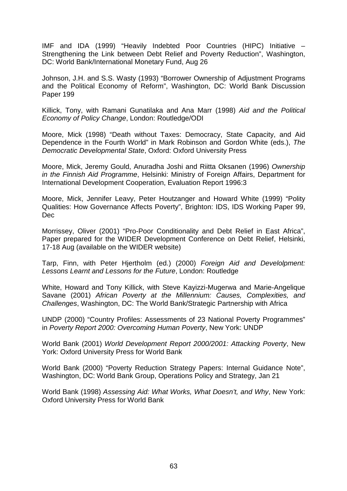IMF and IDA (1999) "Heavily Indebted Poor Countries (HIPC) Initiative – Strengthening the Link between Debt Relief and Poverty Reduction", Washington, DC: World Bank/International Monetary Fund, Aug 26

Johnson, J.H. and S.S. Wasty (1993) "Borrower Ownership of Adjustment Programs and the Political Economy of Reform", Washington, DC: World Bank Discussion Paper 199

Killick, Tony, with Ramani Gunatilaka and Ana Marr (1998) *Aid and the Political Economy of Policy Change*, London: Routledge/ODI

Moore, Mick (1998) "Death without Taxes: Democracy, State Capacity, and Aid Dependence in the Fourth World" in Mark Robinson and Gordon White (eds.), *The Democratic Developmental State*, Oxford: Oxford University Press

Moore, Mick, Jeremy Gould, Anuradha Joshi and Riitta Oksanen (1996) *Ownership in the Finnish Aid Programme*, Helsinki: Ministry of Foreign Affairs, Department for International Development Cooperation, Evaluation Report 1996:3

Moore, Mick, Jennifer Leavy, Peter Houtzanger and Howard White (1999) "Polity Qualities: How Governance Affects Poverty", Brighton: IDS, IDS Working Paper 99, Dec

Morrissey, Oliver (2001) "Pro-Poor Conditionality and Debt Relief in East Africa", Paper prepared for the WIDER Development Conference on Debt Relief, Helsinki, 17-18 Aug (available on the WIDER website)

Tarp, Finn, with Peter Hjertholm (ed.) (2000) *Foreign Aid and Develolpment: Lessons Learnt and Lessons for the Future*, London: Routledge

White, Howard and Tony Killick, with Steve Kayizzi-Mugerwa and Marie-Angelique Savane (2001) *African Poverty at the Millennium: Causes, Complexities, and Challenges*, Washington, DC: The World Bank/Strategic Partnership with Africa

UNDP (2000) "Country Profiles: Assessments of 23 National Poverty Programmes" in *Poverty Report 2000: Overcoming Human Poverty*, New York: UNDP

World Bank (2001) *World Development Report 2000/2001: Attacking Poverty*, New York: Oxford University Press for World Bank

World Bank (2000) "Poverty Reduction Strategy Papers: Internal Guidance Note", Washington, DC: World Bank Group, Operations Policy and Strategy, Jan 21

World Bank (1998) *Assessing Aid: What Works, What Doesn't, and Why*, New York: Oxford University Press for World Bank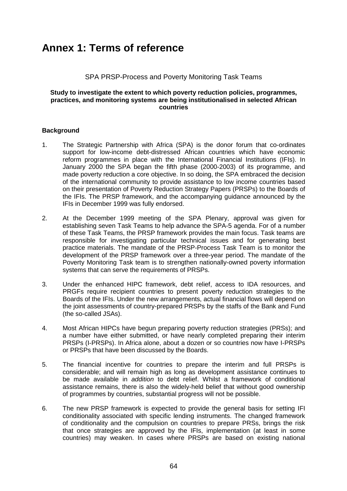# **Annex 1: Terms of reference**

### SPA PRSP-Process and Poverty Monitoring Task Teams

#### **Study to investigate the extent to which poverty reduction policies, programmes, practices, and monitoring systems are being institutionalised in selected African countries**

#### **Background**

- 1. The Strategic Partnership with Africa (SPA) is the donor forum that co-ordinates support for low-income debt-distressed African countries which have economic reform programmes in place with the International Financial Institutions (IFIs). In January 2000 the SPA began the fifth phase (2000-2003) of its programme, and made poverty reduction a core objective. In so doing, the SPA embraced the decision of the international community to provide assistance to low income countries based on their presentation of Poverty Reduction Strategy Papers (PRSPs) to the Boards of the IFIs. The PRSP framework, and the accompanying guidance announced by the IFIs in December 1999 was fully endorsed.
- 2. At the December 1999 meeting of the SPA Plenary, approval was given for establishing seven Task Teams to help advance the SPA-5 agenda. For of a number of these Task Teams, the PRSP framework provides the main focus. Task teams are responsible for investigating particular technical issues and for generating best practice materials. The mandate of the PRSP-Process Task Team is to monitor the development of the PRSP framework over a three-year period. The mandate of the Poverty Monitoring Task team is to strengthen nationally-owned poverty information systems that can serve the requirements of PRSPs.
- 3. Under the enhanced HIPC framework, debt relief, access to IDA resources, and PRGFs require recipient countries to present poverty reduction strategies to the Boards of the IFIs. Under the new arrangements, actual financial flows will depend on the joint assessments of country-prepared PRSPs by the staffs of the Bank and Fund (the so-called JSAs).
- 4. Most African HIPCs have begun preparing poverty reduction strategies (PRSs); and a number have either submitted, or have nearly completed preparing their interim PRSPs (I-PRSPs). In Africa alone, about a dozen or so countries now have I-PRSPs or PRSPs that have been discussed by the Boards.
- 5. The financial incentive for countries to prepare the interim and full PRSPs is considerable; and will remain high as long as development assistance continues to be made available in *addition* to debt relief. Whilst a framework of conditional assistance remains, there is also the widely-held belief that without good ownership of programmes by countries, substantial progress will not be possible.
- 6. The new PRSP framework is expected to provide the general basis for setting IFI conditionality associated with specific lending instruments. The changed framework of conditionality and the compulsion on countries to prepare PRSs, brings the risk that once strategies are approved by the IFIs, implementation (at least in some countries) may weaken. In cases where PRSPs are based on existing national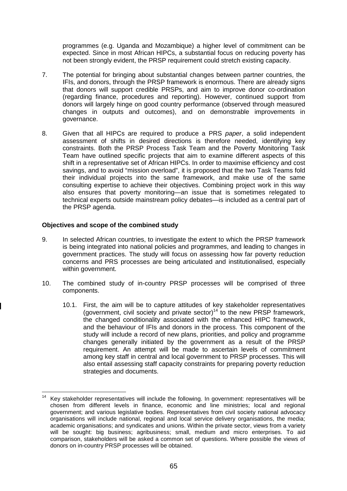programmes (e.g. Uganda and Mozambique) a higher level of commitment can be expected. Since in most African HIPCs, a substantial focus on reducing poverty has not been strongly evident, the PRSP requirement could stretch existing capacity.

- 7. The potential for bringing about substantial changes between partner countries, the IFIs, and donors, through the PRSP framework is enormous. There are already signs that donors will support credible PRSPs, and aim to improve donor co-ordination (regarding finance, procedures and reporting). However, continued support from donors will largely hinge on good country performance (observed through measured changes in outputs and outcomes), and on demonstrable improvements in governance.
- 8. Given that all HIPCs are required to produce a PRS *paper*, a solid independent assessment of shifts in desired directions is therefore needed, identifying key constraints. Both the PRSP Process Task Team and the Poverty Monitoring Task Team have outlined specific projects that aim to examine different aspects of this shift in a representative set of African HIPCs. In order to maximise efficiency and cost savings, and to avoid "mission overload", it is proposed that the two Task Teams fold their individual projects into the same framework, and make use of the same consulting expertise to achieve their objectives. Combining project work in this way also ensures that poverty monitoring—an issue that is sometimes relegated to technical experts outside mainstream policy debates—is included as a central part of the PRSP agenda.

#### **Objectives and scope of the combined study**

- 9. In selected African countries, to investigate the extent to which the PRSP framework is being integrated into national policies and programmes, and leading to changes in government practices. The study will focus on assessing how far poverty reduction concerns and PRS processes are being articulated and institutionalised, especially within government.
- 10. The combined study of in-country PRSP processes will be comprised of three components.
	- 10.1. First, the aim will be to capture attitudes of key stakeholder representatives (government, civil society and private sector)<sup>14</sup> to the new PRSP framework, the changed conditionality associated with the enhanced HIPC framework, and the behaviour of IFIs and donors in the process. This component of the study will include a record of new plans, priorities, and policy and programme changes generally initiated by the government as a result of the PRSP requirement. An attempt will be made to ascertain levels of commitment among key staff in central and local government to PRSP processes. This will also entail assessing staff capacity constraints for preparing poverty reduction strategies and documents.

l Key stakeholder representatives will include the following. In government: representatives will be chosen from different levels in finance, economic and line ministries; local and regional government; and various legislative bodies. Representatives from civil society national advocacy organisations will include national, regional and local service delivery organisations, the media; academic organisations; and syndicates and unions. Within the private sector, views from a variety will be sought: big business; agribusiness; small, medium and micro enterprises. To aid comparison, stakeholders will be asked a common set of questions. Where possible the views of donors on in-country PRSP processes will be obtained.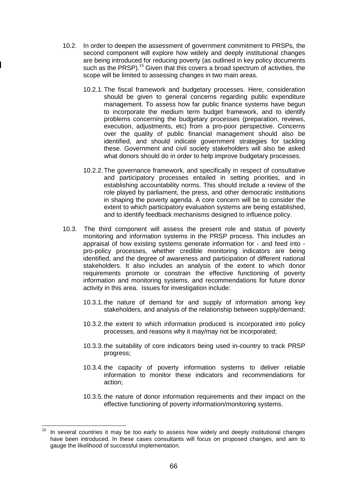- 10.2. In order to deepen the assessment of government commitment to PRSPs, the second component will explore how widely and deeply institutional changes are being introduced for reducing poverty (as outlined in key policy documents such as the PRSP).<sup>15</sup> Given that this covers a broad spectrum of activities, the scope will be limited to assessing changes in two main areas.
	- 10.2.1. The fiscal framework and budgetary processes. Here, consideration should be given to general concerns regarding public expenditure management. To assess how far public finance systems have begun to incorporate the medium term budget framework, and to identify problems concerning the budgetary processes (preparation, reviews, execution, adjustments, etc) from a pro-poor perspective. Concerns over the quality of public financial management should also be identified, and should indicate government strategies for tackling these. Government and civil society stakeholders will also be asked what donors should do in order to help improve budgetary processes.
	- 10.2.2. The governance framework, and specifically in respect of consultative and participatory processes entailed in setting priorities, and in establishing accountability norms. This should include a review of the role played by parliament, the press, and other democratic institutions in shaping the poverty agenda. A core concern will be to consider the extent to which participatory evaluation systems are being established, and to identify feedback mechanisms designed to influence policy.
- 10.3. The third component will assess the present role and status of poverty monitoring and information systems in the PRSP process. This includes an appraisal of how existing systems generate information for - and feed into pro-policy processes, whether credible monitoring indicators are being identified, and the degree of awareness and participation of different national stakeholders. It also includes an analysis of the extent to which donor requirements promote or constrain the effective functioning of poverty information and monitoring systems, and recommendations for future donor activity in this area. Issues for investigation include:
	- 10.3.1. the nature of demand for and supply of information among key stakeholders, and analysis of the relationship between supply/demand;
	- 10.3.2. the extent to which information produced is incorporated into policy processes, and reasons why it may/may not be incorporated;
	- 10.3.3. the suitability of core indicators being used in-country to track PRSP progress;
	- 10.3.4. the capacity of poverty information systems to deliver reliable information to monitor these indicators and recommendations for action;
	- 10.3.5. the nature of donor information requirements and their impact on the effective functioning of poverty information/monitoring systems.

<sup>15</sup> In several countries it may be too early to assess how widely and deeply institutional changes have been introduced. In these cases consultants will focus on proposed changes, and aim to gauge the likelihood of successful implementation.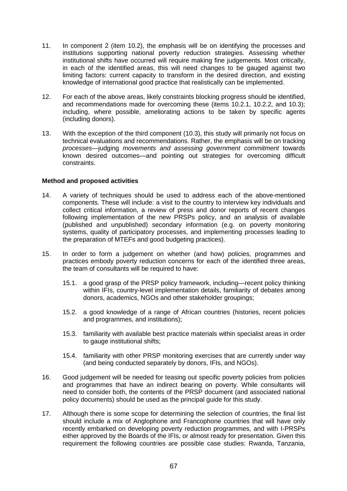- 11. In component 2 (item 10.2), the emphasis will be on identifying the processes and institutions supporting national poverty reduction strategies. Assessing whether institutional shifts have occurred will require making fine judgements. Most critically, in each of the identified areas, this will need changes to be gauged against two limiting factors: current capacity to transform in the desired direction, and existing knowledge of international good practice that realistically can be implemented.
- 12. For each of the above areas, likely constraints blocking progress should be identified, and recommendations made for overcoming these (items 10.2.1, 10.2.2, and 10.3); including, where possible, ameliorating actions to be taken by specific agents (including donors).
- 13. With the exception of the third component (10.3), this study will primarily not focus on technical evaluations and recommendations. Rather, the emphasis will be on tracking *processes*—judging *movements and assessing government commitment* towards known desired outcomes—and pointing out strategies for overcoming difficult constraints.

#### **Method and proposed activities**

- 14. A variety of techniques should be used to address each of the above-mentioned components. These will include: a visit to the country to interview key individuals and collect critical information, a review of press and donor reports of recent changes following implementation of the new PRSPs policy, and an analysis of available (published and unpublished) secondary information (e.g. on poverty monitoring systems, quality of participatory processes, and implementing processes leading to the preparation of MTEFs and good budgeting practices).
- 15. In order to form a judgement on whether (and how) policies, programmes and practices embody poverty reduction concerns for each of the identified three areas, the team of consultants will be required to have:
	- 15.1. a good grasp of the PRSP policy framework, including—recent policy thinking within IFIs, country-level implementation details, familiarity of debates among donors, academics, NGOs and other stakeholder groupings;
	- 15.2. a good knowledge of a range of African countries (histories, recent policies and programmes, and institutions);
	- 15.3. familiarity with available best practice materials within specialist areas in order to gauge institutional shifts;
	- 15.4. familiarity with other PRSP monitoring exercises that are currently under way (and being conducted separately by donors, IFIs, and NGOs).
- 16. Good judgement will be needed for teasing out specific poverty policies from policies and programmes that have an indirect bearing on poverty. While consultants will need to consider both, the contents of the PRSP document (and associated national policy documents) should be used as the principal guide for this study.
- 17. Although there is some scope for determining the selection of countries, the final list should include a mix of Anglophone and Francophone countries that will have only recently embarked on developing poverty reduction programmes, and with I-PRSPs either approved by the Boards of the IFIs, or almost ready for presentation. Given this requirement the following countries are possible case studies: Rwanda, Tanzania,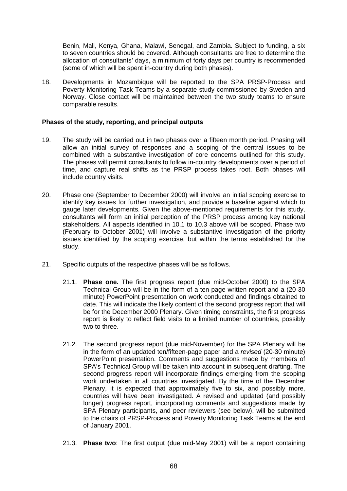Benin, Mali, Kenya, Ghana, Malawi, Senegal, and Zambia. Subject to funding, a six to seven countries should be covered. Although consultants are free to determine the allocation of consultants' days, a minimum of forty days per country is recommended (some of which will be spent in-country during both phases).

18. Developments in Mozambique will be reported to the SPA PRSP-Process and Poverty Monitoring Task Teams by a separate study commissioned by Sweden and Norway. Close contact will be maintained between the two study teams to ensure comparable results.

#### **Phases of the study, reporting, and principal outputs**

- 19. The study will be carried out in two phases over a fifteen month period. Phasing will allow an initial survey of responses and a scoping of the central issues to be combined with a substantive investigation of core concerns outlined for this study. The phases will permit consultants to follow in-country developments over a period of time, and capture real shifts as the PRSP process takes root. Both phases will include country visits.
- 20. Phase one (September to December 2000) will involve an initial scoping exercise to identify key issues for further investigation, and provide a baseline against which to gauge later developments. Given the above-mentioned requirements for this study, consultants will form an initial perception of the PRSP process among key national stakeholders. All aspects identified in 10.1 to 10.3 above will be scoped. Phase two (February to October 2001) will involve a substantive investigation of the priority issues identified by the scoping exercise, but within the terms established for the study.
- 21. Specific outputs of the respective phases will be as follows.
	- 21.1. **Phase one.** The first progress report (due mid-October 2000) to the SPA Technical Group will be in the form of a ten-page written report and a (20-30 minute) PowerPoint presentation on work conducted and findings obtained to date. This will indicate the likely content of the second progress report that will be for the December 2000 Plenary. Given timing constraints, the first progress report is likely to reflect field visits to a limited number of countries, possibly two to three.
	- 21.2. The second progress report (due mid-November) for the SPA Plenary will be in the form of an updated ten/fifteen-page paper and a *revised* (20-30 minute) PowerPoint presentation. Comments and suggestions made by members of SPA's Technical Group will be taken into account in subsequent drafting. The second progress report will incorporate findings emerging from the scoping work undertaken in all countries investigated. By the time of the December Plenary, it is expected that approximately five to six, and possibly more, countries will have been investigated. A revised and updated (and possibly longer) progress report, incorporating comments and suggestions made by SPA Plenary participants, and peer reviewers (see below), will be submitted to the chairs of PRSP-Process and Poverty Monitoring Task Teams at the end of January 2001.
	- 21.3. **Phase two**: The first output (due mid-May 2001) will be a report containing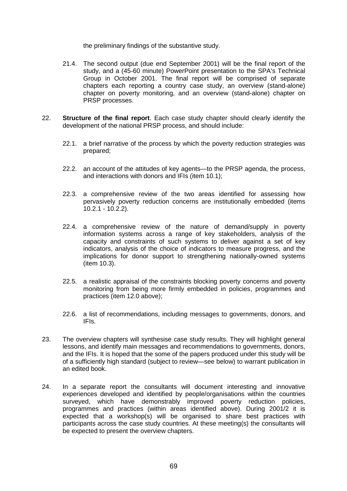the preliminary findings of the substantive study.

- 21.4. The second output (due end September 2001) will be the final report of the study, and a (45-60 minute) PowerPoint presentation to the SPA's Technical Group in October 2001. The final report will be comprised of separate chapters each reporting a country case study, an overview (stand-alone) chapter on poverty monitoring, and an overview (stand-alone) chapter on PRSP processes.
- 22. **Structure of the final report**. Each case study chapter should clearly identify the development of the national PRSP process, and should include:
	- 22.1. a brief narrative of the process by which the poverty reduction strategies was prepared;
	- 22.2. an account of the attitudes of key agents—to the PRSP agenda, the process, and interactions with donors and IFIs (item 10.1);
	- 22.3. a comprehensive review of the two areas identified for assessing how pervasively poverty reduction concerns are institutionally embedded (items 10.2.1 - 10.2.2).
	- 22.4. a comprehensive review of the nature of demand/supply in poverty information systems across a range of key stakeholders, analysis of the capacity and constraints of such systems to deliver against a set of key indicators, analysis of the choice of indicators to measure progress, and the implications for donor support to strengthening nationally-owned systems (item 10.3).
	- 22.5. a realistic appraisal of the constraints blocking poverty concerns and poverty monitoring from being more firmly embedded in policies, programmes and practices (item 12.0 above);
	- 22.6. a list of recommendations, including messages to governments, donors, and IFIs.
- 23. The overview chapters will synthesise case study results. They will highlight general lessons, and identify main messages and recommendations to governments, donors, and the IFIs. It is hoped that the some of the papers produced under this study will be of a sufficiently high standard (subject to review—see below) to warrant publication in an edited book.
- 24. In a separate report the consultants will document interesting and innovative experiences developed and identified by people/organisations within the countries surveyed, which have demonstrably improved poverty reduction policies, programmes and practices (within areas identified above). During 2001/2 it is expected that a workshop(s) will be organised to share best practices with participants across the case study countries. At these meeting(s) the consultants will be expected to present the overview chapters.